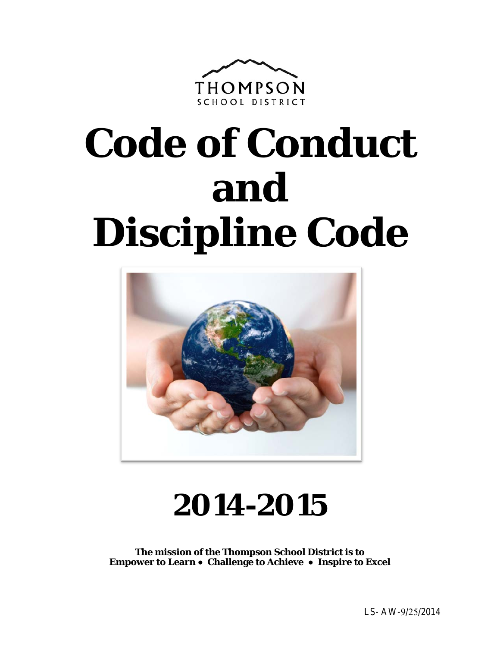

# **Code of Conduct and Discipline Code**



# **2014-2015**

**The mission of the Thompson School District is to Empower to Learn** ● **Challenge to Achieve** ● **Inspire to Excel**

LS- AW-9/25/2014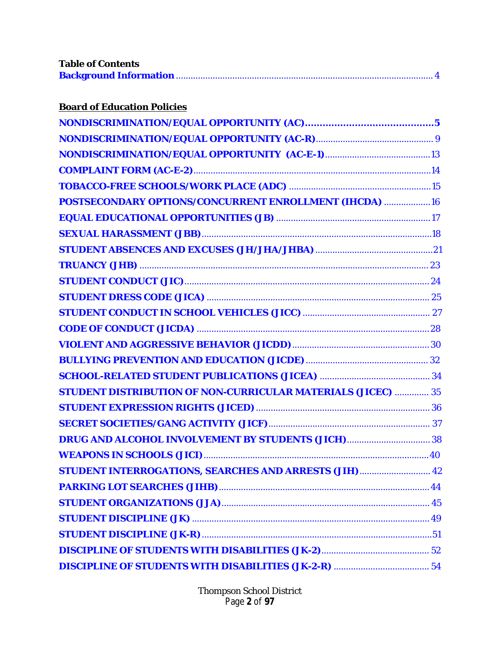| <b>Table of Contents</b> |  |
|--------------------------|--|
|                          |  |

| <b>Board of Education Policies</b> |  |
|------------------------------------|--|
|                                    |  |

| POSTSECONDARY OPTIONS/CONCURRENT ENROLLMENT (IHCDA)  16             |  |
|---------------------------------------------------------------------|--|
|                                                                     |  |
|                                                                     |  |
|                                                                     |  |
|                                                                     |  |
|                                                                     |  |
|                                                                     |  |
|                                                                     |  |
|                                                                     |  |
|                                                                     |  |
|                                                                     |  |
|                                                                     |  |
| <b>STUDENT DISTRIBUTION OF NON-CURRICULAR MATERIALS (JICEC)  35</b> |  |
|                                                                     |  |
|                                                                     |  |
|                                                                     |  |
|                                                                     |  |
| STUDENT INTERROGATIONS, SEARCHES AND ARRESTS (JIH) 42               |  |
|                                                                     |  |
|                                                                     |  |
|                                                                     |  |
|                                                                     |  |
|                                                                     |  |
|                                                                     |  |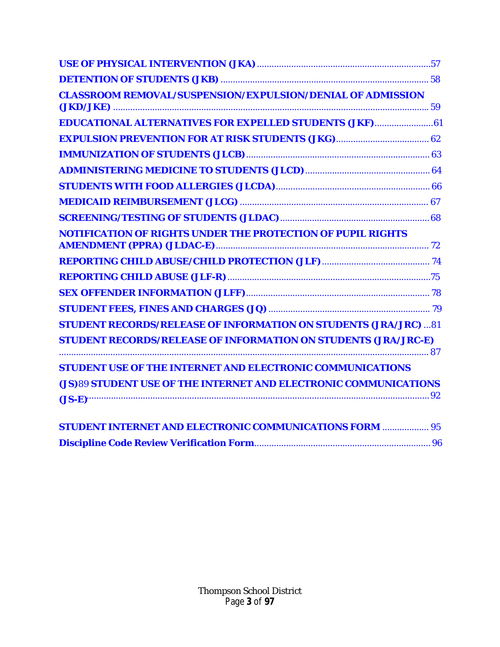| <b>CLASSROOM REMOVAL/SUSPENSION/EXPULSION/DENIAL OF ADMISSION</b>      |
|------------------------------------------------------------------------|
| <b>EDUCATIONAL ALTERNATIVES FOR EXPELLED STUDENTS (JKF) 61</b>         |
|                                                                        |
|                                                                        |
|                                                                        |
|                                                                        |
|                                                                        |
|                                                                        |
| NOTIFICATION OF RIGHTS UNDER THE PROTECTION OF PUPIL RIGHTS            |
|                                                                        |
|                                                                        |
|                                                                        |
|                                                                        |
| <b>STUDENT RECORDS/RELEASE OF INFORMATION ON STUDENTS (JRA/JRC) 81</b> |
| <b>STUDENT RECORDS/RELEASE OF INFORMATION ON STUDENTS (JRA/JRC-E)</b>  |
| <b>STUDENT USE OF THE INTERNET AND ELECTRONIC COMMUNICATIONS</b>       |
| (JS)89 STUDENT USE OF THE INTERNET AND ELECTRONIC COMMUNICATIONS       |
| $(JS-E)$                                                               |
| <b>STUDENT INTERNET AND ELECTRONIC COMMUNICATIONS FORM  95</b>         |
|                                                                        |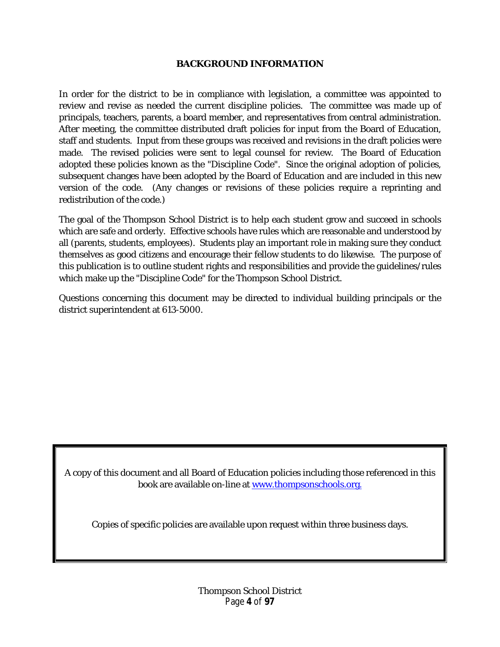#### **BACKGROUND INFORMATION**

<span id="page-3-0"></span>In order for the district to be in compliance with legislation, a committee was appointed to review and revise as needed the current discipline policies. The committee was made up of principals, teachers, parents, a board member, and representatives from central administration. After meeting, the committee distributed draft policies for input from the Board of Education, staff and students. Input from these groups was received and revisions in the draft policies were made. The revised policies were sent to legal counsel for review. The Board of Education adopted these policies known as the "Discipline Code". Since the original adoption of policies, subsequent changes have been adopted by the Board of Education and are included in this new version of the code. (Any changes or revisions of these policies require a reprinting and redistribution of the code.)

The goal of the Thompson School District is to help each student grow and succeed in schools which are safe and orderly. Effective schools have rules which are reasonable and understood by all (parents, students, employees). Students play an important role in making sure they conduct themselves as good citizens and encourage their fellow students to do likewise. The purpose of this publication is to outline student rights and responsibilities and provide the guidelines/rules which make up the "Discipline Code" for the Thompson School District.

Questions concerning this document may be directed to individual building principals or the district superintendent at 613-5000.

A copy of this document and all Board of Education policies including those referenced in this book are available on-line at [www.thompsonschools.org.](http://www.thompsonschools.org./)

Copies of specific policies are available upon request within three business days.

Thompson School District Page **4** of **97**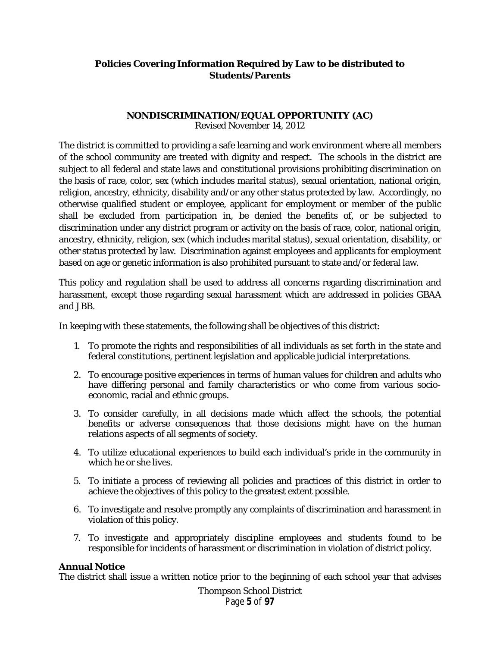# **Policies Covering Information Required by Law to be distributed to Students/Parents**

#### **NONDISCRIMINATION/EQUAL OPPORTUNITY (AC)** Revised November 14, 2012

<span id="page-4-0"></span>The district is committed to providing a safe learning and work environment where all members of the school community are treated with dignity and respect. The schools in the district are subject to all federal and state laws and constitutional provisions prohibiting discrimination on the basis of race, color, sex (which includes marital status), sexual orientation, national origin, religion, ancestry, ethnicity, disability and/or any other status protected by law. Accordingly, no otherwise qualified student or employee, applicant for employment or member of the public shall be excluded from participation in, be denied the benefits of, or be subjected to discrimination under any district program or activity on the basis of race, color, national origin, ancestry, ethnicity, religion, sex (which includes marital status), sexual orientation, disability, or other status protected by law. Discrimination against employees and applicants for employment based on age or genetic information is also prohibited pursuant to state and/or federal law.

This policy and regulation shall be used to address all concerns regarding discrimination and harassment, except those regarding sexual harassment which are addressed in policies GBAA and JBB.

In keeping with these statements, the following shall be objectives of this district:

- 1. To promote the rights and responsibilities of all individuals as set forth in the state and federal constitutions, pertinent legislation and applicable judicial interpretations.
- 2. To encourage positive experiences in terms of human values for children and adults who have differing personal and family characteristics or who come from various socioeconomic, racial and ethnic groups.
- 3. To consider carefully, in all decisions made which affect the schools, the potential benefits or adverse consequences that those decisions might have on the human relations aspects of all segments of society.
- 4. To utilize educational experiences to build each individual's pride in the community in which he or she lives.
- 5. To initiate a process of reviewing all policies and practices of this district in order to achieve the objectives of this policy to the greatest extent possible.
- 6. To investigate and resolve promptly any complaints of discrimination and harassment in violation of this policy.
- 7. To investigate and appropriately discipline employees and students found to be responsible for incidents of harassment or discrimination in violation of district policy.

#### **Annual Notice**

The district shall issue a written notice prior to the beginning of each school year that advises

Thompson School District Page **5** of **97**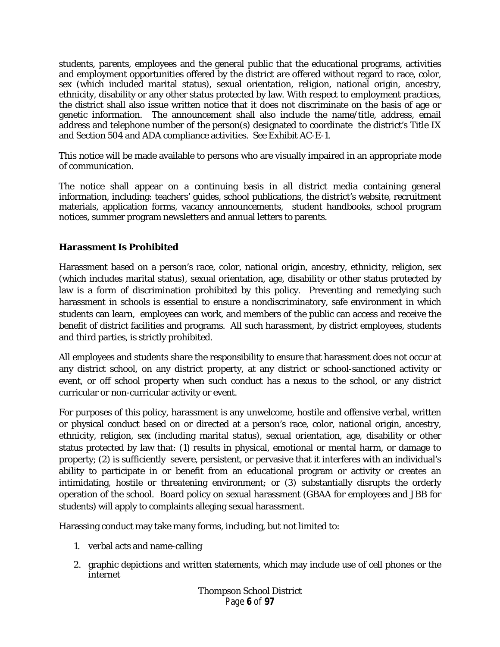students, parents, employees and the general public that the educational programs, activities and employment opportunities offered by the district are offered without regard to race, color, sex (which included marital status), sexual orientation, religion, national origin, ancestry, ethnicity, disability or any other status protected by law. With respect to employment practices, the district shall also issue written notice that it does not discriminate on the basis of age or genetic information. The announcement shall also include the name/title, address, email address and telephone number of the person(s) designated to coordinate the district's Title IX and Section 504 and ADA compliance activities. *See* Exhibit AC-E-1.

This notice will be made available to persons who are visually impaired in an appropriate mode of communication.

The notice shall appear on a continuing basis in all district media containing general information, including: teachers' guides, school publications, the district's website, recruitment materials, application forms, vacancy announcements, student handbooks, school program notices, summer program newsletters and annual letters to parents.

# **Harassment Is Prohibited**

Harassment based on a person's race, color, national origin, ancestry, ethnicity, religion, sex (which includes marital status), sexual orientation, age, disability or other status protected by law is a form of discrimination prohibited by this policy. Preventing and remedying such harassment in schools is essential to ensure a nondiscriminatory, safe environment in which students can learn, employees can work, and members of the public can access and receive the benefit of district facilities and programs. All such harassment, by district employees, students and third parties, is strictly prohibited.

All employees and students share the responsibility to ensure that harassment does not occur at any district school, on any district property, at any district or school-sanctioned activity or event, or off school property when such conduct has a nexus to the school, or any district curricular or non-curricular activity or event.

For purposes of this policy, harassment is any unwelcome, hostile and offensive verbal, written or physical conduct based on or directed at a person's race, color, national origin, ancestry, ethnicity, religion, sex (including marital status), sexual orientation, age, disability or other status protected by law that: (1) results in physical, emotional or mental harm, or damage to property; (2) is sufficiently severe, persistent, or pervasive that it interferes with an individual's ability to participate in or benefit from an educational program or activity or creates an intimidating, hostile or threatening environment; or (3) substantially disrupts the orderly operation of the school. Board policy on sexual harassment (GBAA for employees and JBB for students) will apply to complaints alleging sexual harassment.

Harassing conduct may take many forms, including, but not limited to:

- 1. verbal acts and name-calling
- 2. graphic depictions and written statements, which may include use of cell phones or the internet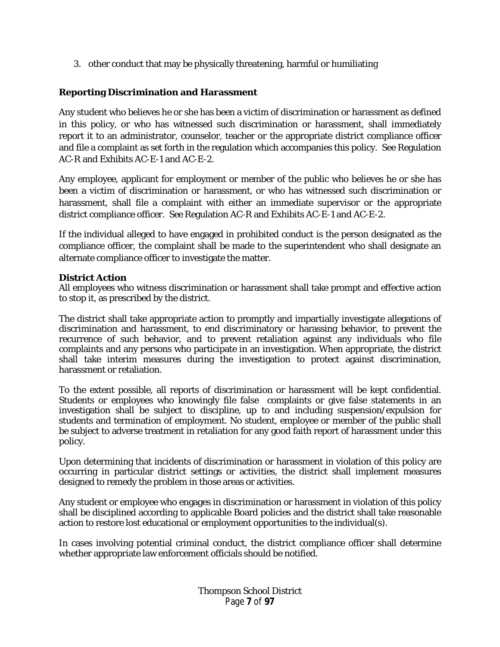3. other conduct that may be physically threatening, harmful or humiliating

# **Reporting Discrimination and Harassment**

Any student who believes he or she has been a victim of discrimination or harassment as defined in this policy, or who has witnessed such discrimination or harassment, shall immediately report it to an administrator, counselor, teacher or the appropriate district compliance officer and file a complaint as set forth in the regulation which accompanies this policy. *See* Regulation AC-R and Exhibits AC-E-1 and AC-E-2.

Any employee, applicant for employment or member of the public who believes he or she has been a victim of discrimination or harassment, or who has witnessed such discrimination or harassment, shall file a complaint with either an immediate supervisor or the appropriate district compliance officer. *See* Regulation AC-R and Exhibits AC-E-1 and AC-E-2.

If the individual alleged to have engaged in prohibited conduct is the person designated as the compliance officer, the complaint shall be made to the superintendent who shall designate an alternate compliance officer to investigate the matter.

#### **District Action**

All employees who witness discrimination or harassment shall take prompt and effective action to stop it, as prescribed by the district.

The district shall take appropriate action to promptly and impartially investigate allegations of discrimination and harassment, to end discriminatory or harassing behavior, to prevent the recurrence of such behavior, and to prevent retaliation against any individuals who file complaints and any persons who participate in an investigation. When appropriate, the district shall take interim measures during the investigation to protect against discrimination, harassment or retaliation.

To the extent possible, all reports of discrimination or harassment will be kept confidential. Students or employees who knowingly file false complaints or give false statements in an investigation shall be subject to discipline, up to and including suspension/expulsion for students and termination of employment. No student, employee or member of the public shall be subject to adverse treatment in retaliation for any good faith report of harassment under this policy.

Upon determining that incidents of discrimination or harassment in violation of this policy are occurring in particular district settings or activities, the district shall implement measures designed to remedy the problem in those areas or activities.

Any student or employee who engages in discrimination or harassment in violation of this policy shall be disciplined according to applicable Board policies and the district shall take reasonable action to restore lost educational or employment opportunities to the individual(s).

In cases involving potential criminal conduct, the district compliance officer shall determine whether appropriate law enforcement officials should be notified.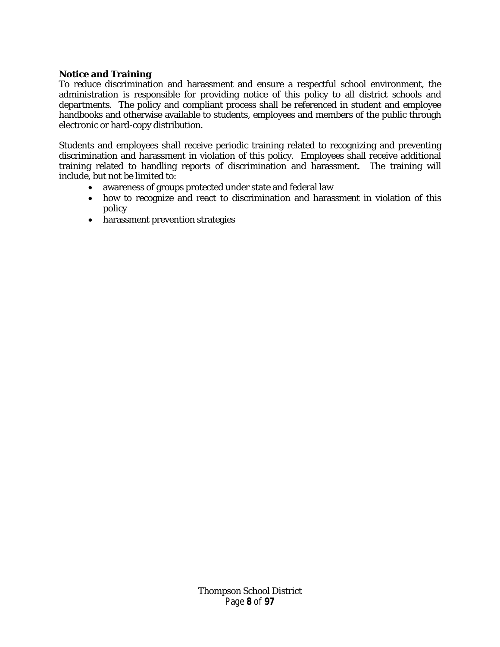#### **Notice and Training**

To reduce discrimination and harassment and ensure a respectful school environment, the administration is responsible for providing notice of this policy to all district schools and departments. The policy and compliant process shall be referenced in student and employee handbooks and otherwise available to students, employees and members of the public through electronic or hard-copy distribution.

Students and employees shall receive periodic training related to recognizing and preventing discrimination and harassment in violation of this policy. Employees shall receive additional training related to handling reports of discrimination and harassment. The training will include, but not be limited to:

- awareness of groups protected under state and federal law
- how to recognize and react to discrimination and harassment in violation of this policy
- harassment prevention strategies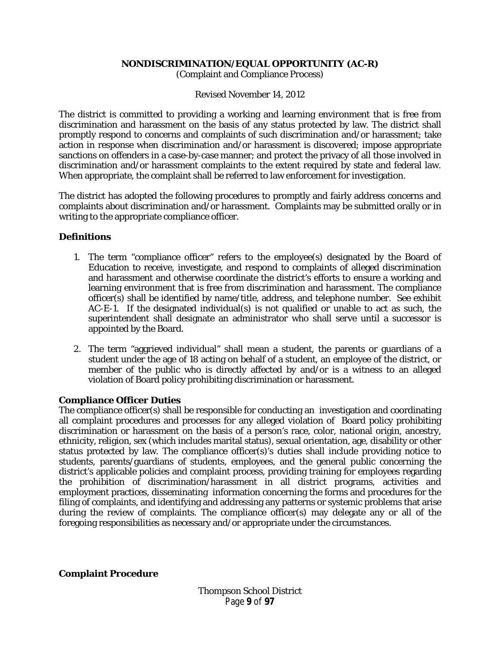#### **NONDISCRIMINATION/EQUAL OPPORTUNITY (AC-R)**

(Complaint and Compliance Process)

Revised November 14, 2012

<span id="page-8-0"></span>The district is committed to providing a working and learning environment that is free from discrimination and harassment on the basis of any status protected by law. The district shall promptly respond to concerns and complaints of such discrimination and/or harassment; take action in response when discrimination and/or harassment is discovered; impose appropriate sanctions on offenders in a case-by-case manner; and protect the privacy of all those involved in discrimination and/or harassment complaints to the extent required by state and federal law. When appropriate, the complaint shall be referred to law enforcement for investigation.

The district has adopted the following procedures to promptly and fairly address concerns and complaints about discrimination and/or harassment. Complaints may be submitted orally or in writing to the appropriate compliance officer.

#### **Definitions**

- 1. The term "compliance officer" refers to the employee(s) designated by the Board of Education to receive, investigate, and respond to complaints of alleged discrimination and harassment and otherwise coordinate the district's efforts to ensure a working and learning environment that is free from discrimination and harassment. The compliance officer(s) shall be identified by name/title, address, and telephone number. See exhibit AC-E-1. If the designated individual(s) is not qualified or unable to act as such, the superintendent shall designate an administrator who shall serve until a successor is appointed by the Board.
- 2. The term "aggrieved individual" shall mean a student, the parents or guardians of a student under the age of 18 acting on behalf of a student, an employee of the district, or member of the public who is directly affected by and/or is a witness to an alleged violation of Board policy prohibiting discrimination or harassment.

#### **Compliance Officer Duties**

The compliance officer(s) shall be responsible for conducting an investigation and coordinating all complaint procedures and processes for any alleged violation of Board policy prohibiting discrimination or harassment on the basis of a person's race, color, national origin, ancestry, ethnicity, religion, sex (which includes marital status), sexual orientation, age, disability or other status protected by law. The compliance officer(s)'s duties shall include providing notice to students, parents/guardians of students, employees, and the general public concerning the district's applicable policies and complaint process, providing training for employees regarding the prohibition of discrimination/harassment in all district programs, activities and employment practices, disseminating information concerning the forms and procedures for the filing of complaints, and identifying and addressing any patterns or systemic problems that arise during the review of complaints. The compliance officer(s) may delegate any or all of the foregoing responsibilities as necessary and/or appropriate under the circumstances.

**Complaint Procedure**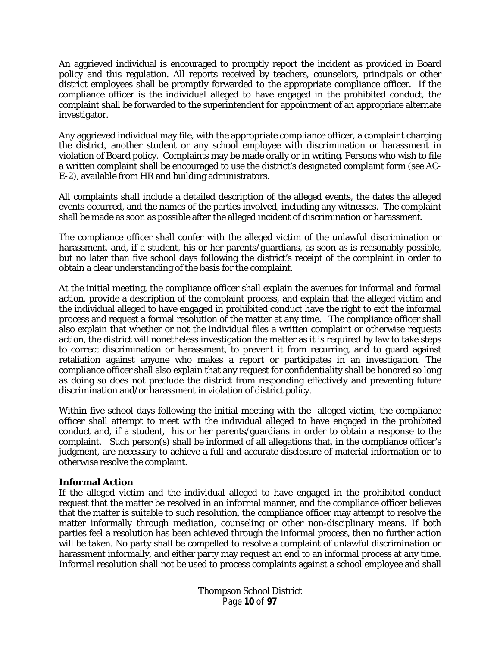An aggrieved individual is encouraged to promptly report the incident as provided in Board policy and this regulation. All reports received by teachers, counselors, principals or other district employees shall be promptly forwarded to the appropriate compliance officer. If the compliance officer is the individual alleged to have engaged in the prohibited conduct, the complaint shall be forwarded to the superintendent for appointment of an appropriate alternate investigator.

Any aggrieved individual may file, with the appropriate compliance officer, a complaint charging the district, another student or any school employee with discrimination or harassment in violation of Board policy. Complaints may be made orally or in writing. Persons who wish to file a written complaint shall be encouraged to use the district's designated complaint form (*see* AC-E-2), available from HR and building administrators.

All complaints shall include a detailed description of the alleged events, the dates the alleged events occurred, and the names of the parties involved, including any witnesses. The complaint shall be made as soon as possible after the alleged incident of discrimination or harassment.

The compliance officer shall confer with the alleged victim of the unlawful discrimination or harassment, and, if a student, his or her parents/guardians, as soon as is reasonably possible, but no later than five school days following the district's receipt of the complaint in order to obtain a clear understanding of the basis for the complaint.

At the initial meeting, the compliance officer shall explain the avenues for informal and formal action, provide a description of the complaint process, and explain that the alleged victim and the individual alleged to have engaged in prohibited conduct have the right to exit the informal process and request a formal resolution of the matter at any time. The compliance officer shall also explain that whether or not the individual files a written complaint or otherwise requests action, the district will nonetheless investigation the matter as it is required by law to take steps to correct discrimination or harassment, to prevent it from recurring, and to guard against retaliation against anyone who makes a report or participates in an investigation. The compliance officer shall also explain that any request for confidentiality shall be honored so long as doing so does not preclude the district from responding effectively and preventing future discrimination and/or harassment in violation of district policy.

Within five school days following the initial meeting with the alleged victim, the compliance officer shall attempt to meet with the individual alleged to have engaged in the prohibited conduct and, if a student, his or her parents/guardians in order to obtain a response to the complaint. Such person(s) shall be informed of all allegations that, in the compliance officer's judgment, are necessary to achieve a full and accurate disclosure of material information or to otherwise resolve the complaint.

#### **Informal Action**

If the alleged victim and the individual alleged to have engaged in the prohibited conduct request that the matter be resolved in an informal manner, and the compliance officer believes that the matter is suitable to such resolution, the compliance officer may attempt to resolve the matter informally through mediation, counseling or other non-disciplinary means. If both parties feel a resolution has been achieved through the informal process, then no further action will be taken. No party shall be compelled to resolve a complaint of unlawful discrimination or harassment informally, and either party may request an end to an informal process at any time. Informal resolution shall not be used to process complaints against a school employee and shall

> Thompson School District Page **10** of **97**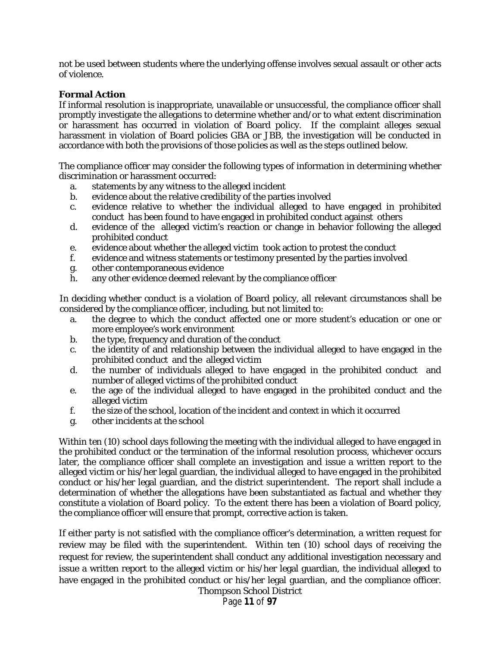not be used between students where the underlying offense involves sexual assault or other acts of violence.

#### **Formal Action**

If informal resolution is inappropriate, unavailable or unsuccessful, the compliance officer shall promptly investigate the allegations to determine whether and/or to what extent discrimination or harassment has occurred in violation of Board policy. If the complaint alleges sexual harassment in violation of Board policies GBA or JBB, the investigation will be conducted in accordance with both the provisions of those policies as well as the steps outlined below.

The compliance officer may consider the following types of information in determining whether discrimination or harassment occurred:

- a. statements by any witness to the alleged incident
- b. evidence about the relative credibility of the parties involved
- c. evidence relative to whether the individual alleged to have engaged in prohibited conduct has been found to have engaged in prohibited conduct against others
- d. evidence of the alleged victim's reaction or change in behavior following the alleged prohibited conduct
- e. evidence about whether the alleged victim took action to protest the conduct
- f. evidence and witness statements or testimony presented by the parties involved
- g. other contemporaneous evidence
- h. any other evidence deemed relevant by the compliance officer

In deciding whether conduct is a violation of Board policy, all relevant circumstances shall be considered by the compliance officer, including, but not limited to:

- a. the degree to which the conduct affected one or more student's education or one or more employee's work environment
- b. the type, frequency and duration of the conduct
- c. the identity of and relationship between the individual alleged to have engaged in the prohibited conduct and the alleged victim
- d. the number of individuals alleged to have engaged in the prohibited conduct and number of alleged victims of the prohibited conduct
- e. the age of the individual alleged to have engaged in the prohibited conduct and the alleged victim
- f. the size of the school, location of the incident and context in which it occurred
- g. other incidents at the school

Within ten (10) school days following the meeting with the individual alleged to have engaged in the prohibited conduct or the termination of the informal resolution process, whichever occurs later, the compliance officer shall complete an investigation and issue a written report to the alleged victim or his/her legal guardian, the individual alleged to have engaged in the prohibited conduct or his/her legal guardian, and the district superintendent. The report shall include a determination of whether the allegations have been substantiated as factual and whether they constitute a violation of Board policy. To the extent there has been a violation of Board policy, the compliance officer will ensure that prompt, corrective action is taken.

If either party is not satisfied with the compliance officer's determination, a written request for review may be filed with the superintendent. Within ten (10) school days of receiving the request for review, the superintendent shall conduct any additional investigation necessary and issue a written report to the alleged victim or his/her legal guardian, the individual alleged to have engaged in the prohibited conduct or his/her legal guardian, and the compliance officer. Thompson School District

Page **11** of **97**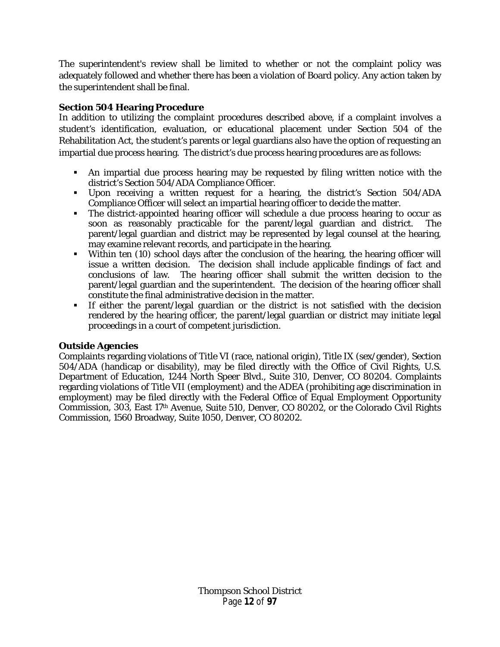The superintendent's review shall be limited to whether or not the complaint policy was adequately followed and whether there has been a violation of Board policy. Any action taken by the superintendent shall be final.

# **Section 504 Hearing Procedure**

In addition to utilizing the complaint procedures described above, if a complaint involves a student's identification, evaluation, or educational placement under Section 504 of the Rehabilitation Act, the student's parents or legal guardians also have the option of requesting an impartial due process hearing. The district's due process hearing procedures are as follows:

- An impartial due process hearing may be requested by filing written notice with the district's Section 504/ADA Compliance Officer.
- Upon receiving a written request for a hearing, the district's Section 504/ADA Compliance Officer will select an impartial hearing officer to decide the matter.
- The district-appointed hearing officer will schedule a due process hearing to occur as soon as reasonably practicable for the parent/legal guardian and district. The parent/legal guardian and district may be represented by legal counsel at the hearing, may examine relevant records, and participate in the hearing.
- Within ten (10) school days after the conclusion of the hearing, the hearing officer will issue a written decision. The decision shall include applicable findings of fact and conclusions of law. The hearing officer shall submit the written decision to the parent/legal guardian and the superintendent. The decision of the hearing officer shall constitute the final administrative decision in the matter.
- If either the parent/legal guardian or the district is not satisfied with the decision rendered by the hearing officer, the parent/legal guardian or district may initiate legal proceedings in a court of competent jurisdiction.

#### **Outside Agencies**

Complaints regarding violations of Title VI (race, national origin), Title IX (sex/gender), Section 504/ADA (handicap or disability), may be filed directly with the Office of Civil Rights, U.S. Department of Education, 1244 North Speer Blvd., Suite 310, Denver, CO 80204. Complaints regarding violations of Title VII (employment) and the ADEA (prohibiting age discrimination in employment) may be filed directly with the Federal Office of Equal Employment Opportunity Commission, 303, East 17th Avenue, Suite 510, Denver, CO 80202, or the Colorado Civil Rights Commission, 1560 Broadway, Suite 1050, Denver, CO 80202.

> Thompson School District Page **12** of **97**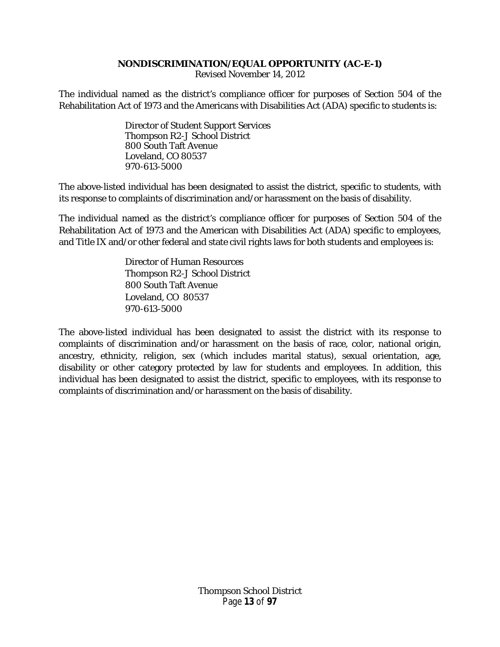#### **NONDISCRIMINATION/EQUAL OPPORTUNITY (AC-E-1)**

Revised November 14, 2012

<span id="page-12-0"></span>The individual named as the district's compliance officer for purposes of Section 504 of the Rehabilitation Act of 1973 and the Americans with Disabilities Act (ADA) specific to students is:

> Director of Student Support Services Thompson R2-J School District 800 South Taft Avenue Loveland, CO 80537 970-613-5000

The above-listed individual has been designated to assist the district, specific to students, with its response to complaints of discrimination and/or harassment on the basis of disability.

The individual named as the district's compliance officer for purposes of Section 504 of the Rehabilitation Act of 1973 and the American with Disabilities Act (ADA) specific to employees, and Title IX and/or other federal and state civil rights laws for both students and employees is:

> Director of Human Resources Thompson R2-J School District 800 South Taft Avenue Loveland, CO 80537 970-613-5000

The above-listed individual has been designated to assist the district with its response to complaints of discrimination and/or harassment on the basis of race, color, national origin, ancestry, ethnicity, religion, sex (which includes marital status), sexual orientation, age, disability or other category protected by law for students and employees. In addition, this individual has been designated to assist the district, specific to employees, with its response to complaints of discrimination and/or harassment on the basis of disability.

> Thompson School District Page **13** of **97**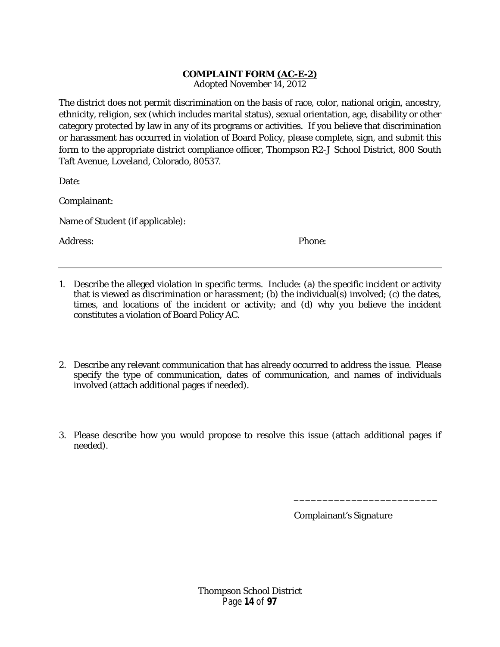# **COMPLAINT FORM (AC-E-2)**

Adopted November 14, 2012

<span id="page-13-0"></span>The district does not permit discrimination on the basis of race, color, national origin, ancestry, ethnicity, religion, sex (which includes marital status), sexual orientation, age, disability or other category protected by law in any of its programs or activities. If you believe that discrimination or harassment has occurred in violation of Board Policy, please complete, sign, and submit this form to the appropriate district compliance officer, Thompson R2-J School District, 800 South Taft Avenue, Loveland, Colorado, 80537.

Date:

Complainant:

Name of Student (if applicable):

Address: Phone:

- 1. Describe the alleged violation in specific terms. Include: (a) the specific incident or activity that is viewed as discrimination or harassment; (b) the individual(s) involved; (c) the dates, times, and locations of the incident or activity; and (d) why you believe the incident constitutes a violation of Board Policy AC.
- 2. Describe any relevant communication that has already occurred to address the issue. Please specify the type of communication, dates of communication, and names of individuals involved (attach additional pages if needed).
- 3. Please describe how you would propose to resolve this issue (attach additional pages if needed).

Complainant's Signature

\_\_\_\_\_\_\_\_\_\_\_\_\_\_\_\_\_\_\_\_\_\_\_\_\_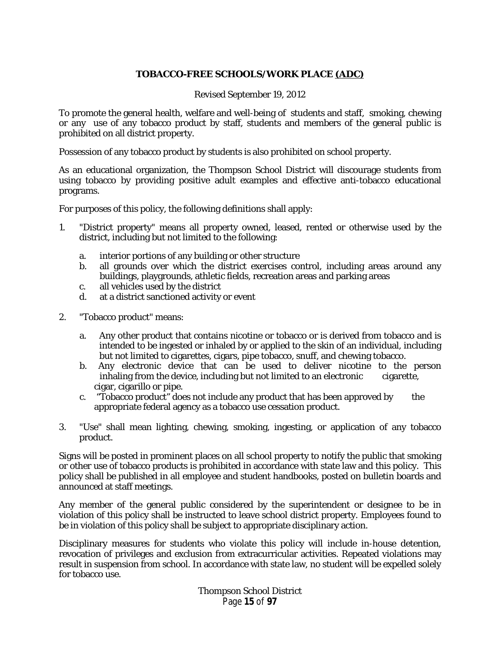# **TOBACCO-FREE SCHOOLS/WORK PLACE (ADC)**

Revised September 19, 2012

<span id="page-14-0"></span>To promote the general health, welfare and well-being of students and staff, smoking, chewing or any use of any tobacco product by staff, students and members of the general public is prohibited on all district property.

Possession of any tobacco product by students is also prohibited on school property.

As an educational organization, the Thompson School District will discourage students from using tobacco by providing positive adult examples and effective anti-tobacco educational programs.

For purposes of this policy, the following definitions shall apply:

- 1. "District property" means all property owned, leased, rented or otherwise used by the district, including but not limited to the following:
	- a. interior portions of any building or other structure
	- b. all grounds over which the district exercises control, including areas around any buildings, playgrounds, athletic fields, recreation areas and parking areas
	- c. all vehicles used by the district<br>d. at a district sanctioned activity
	- at a district sanctioned activity or event
- 2. "Tobacco product" means:
	- a. Any other product that contains nicotine or tobacco or is derived from tobacco and is intended to be ingested or inhaled by or applied to the skin of an individual, including but not limited to cigarettes, cigars, pipe tobacco, snuff, and chewing tobacco.
	- b. Any electronic device that can be used to deliver nicotine to the person inhaling from the device, including but not limited to an electronic cigarette, cigar, cigarillo or pipe.
	- c. "Tobacco product" does not include any product that has been approved by the appropriate federal agency as a tobacco use cessation product.
- 3. "Use" shall mean lighting, chewing, smoking, ingesting, or application of any tobacco product.

Signs will be posted in prominent places on all school property to notify the public that smoking or other use of tobacco products is prohibited in accordance with state law and this policy. This policy shall be published in all employee and student handbooks, posted on bulletin boards and announced at staff meetings.

Any member of the general public considered by the superintendent or designee to be in violation of this policy shall be instructed to leave school district property. Employees found to be in violation of this policy shall be subject to appropriate disciplinary action.

Disciplinary measures for students who violate this policy will include in-house detention, revocation of privileges and exclusion from extracurricular activities. Repeated violations may result in suspension from school. In accordance with state law, no student will be expelled solely for tobacco use.

> Thompson School District Page **15** of **97**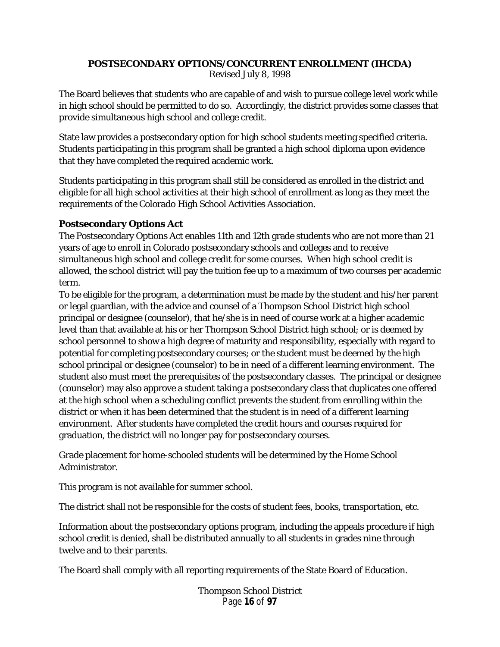# <span id="page-15-0"></span>**POSTSECONDARY OPTIONS/CONCURRENT ENROLLMENT (IHCDA)** Revised July 8, 1998

The Board believes that students who are capable of and wish to pursue college level work while in high school should be permitted to do so. Accordingly, the district provides some classes that provide simultaneous high school and college credit.

State law provides a postsecondary option for high school students meeting specified criteria. Students participating in this program shall be granted a high school diploma upon evidence that they have completed the required academic work.

Students participating in this program shall still be considered as enrolled in the district and eligible for all high school activities at their high school of enrollment as long as they meet the requirements of the Colorado High School Activities Association.

# **Postsecondary Options Act**

The Postsecondary Options Act enables 11th and 12th grade students who are not more than 21 years of age to enroll in Colorado postsecondary schools and colleges and to receive simultaneous high school and college credit for some courses. When high school credit is allowed, the school district will pay the tuition fee up to a maximum of two courses per academic term.

To be eligible for the program, a determination must be made by the student and his/her parent or legal guardian, with the advice and counsel of a Thompson School District high school principal or designee (counselor), that he/she is in need of course work at a higher academic level than that available at his or her Thompson School District high school; or is deemed by school personnel to show a high degree of maturity and responsibility, especially with regard to potential for completing postsecondary courses; or the student must be deemed by the high school principal or designee (counselor) to be in need of a different learning environment. The student also must meet the prerequisites of the postsecondary classes. The principal or designee (counselor) may also approve a student taking a postsecondary class that duplicates one offered at the high school when a scheduling conflict prevents the student from enrolling within the district or when it has been determined that the student is in need of a different learning environment. After students have completed the credit hours and courses required for graduation, the district will no longer pay for postsecondary courses.

Grade placement for home-schooled students will be determined by the Home School Administrator.

This program is not available for summer school.

The district shall not be responsible for the costs of student fees, books, transportation, etc.

Information about the postsecondary options program, including the appeals procedure if high school credit is denied, shall be distributed annually to all students in grades nine through twelve and to their parents.

The Board shall comply with all reporting requirements of the State Board of Education.

Thompson School District Page **16** of **97**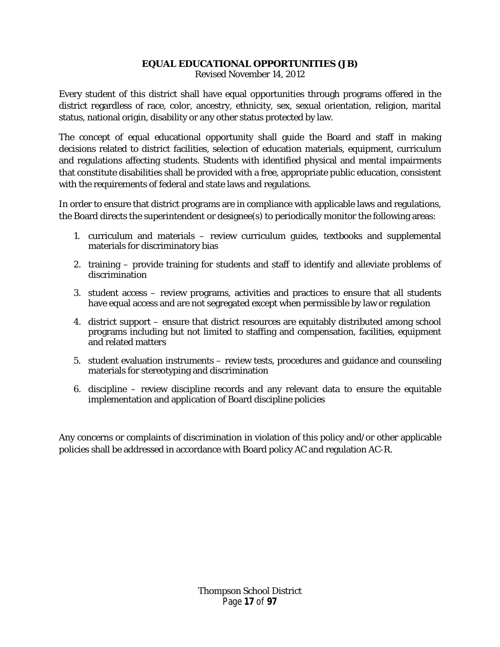# **EQUAL EDUCATIONAL OPPORTUNITIES (JB)**

Revised November 14, 2012

<span id="page-16-0"></span>Every student of this district shall have equal opportunities through programs offered in the district regardless of race, color, ancestry, ethnicity, sex, sexual orientation, religion, marital status, national origin, disability or any other status protected by law.

The concept of equal educational opportunity shall guide the Board and staff in making decisions related to district facilities, selection of education materials, equipment, curriculum and regulations affecting students. Students with identified physical and mental impairments that constitute disabilities shall be provided with a free, appropriate public education, consistent with the requirements of federal and state laws and regulations.

In order to ensure that district programs are in compliance with applicable laws and regulations, the Board directs the superintendent or designee(s) to periodically monitor the following areas:

- 1. curriculum and materials review curriculum guides, textbooks and supplemental materials for discriminatory bias
- 2. training provide training for students and staff to identify and alleviate problems of discrimination
- 3. student access review programs, activities and practices to ensure that all students have equal access and are not segregated except when permissible by law or regulation
- 4. district support ensure that district resources are equitably distributed among school programs including but not limited to staffing and compensation, facilities, equipment and related matters
- 5. student evaluation instruments review tests, procedures and guidance and counseling materials for stereotyping and discrimination
- 6. discipline review discipline records and any relevant data to ensure the equitable implementation and application of Board discipline policies

Any concerns or complaints of discrimination in violation of this policy and/or other applicable policies shall be addressed in accordance with Board policy AC and regulation AC-R.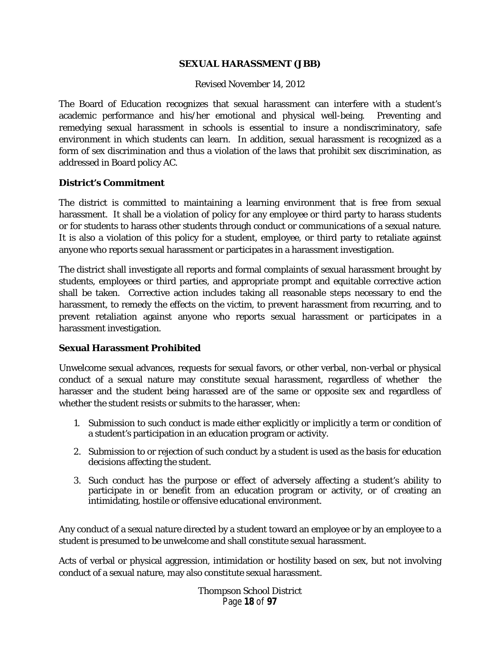#### **SEXUAL HARASSMENT (JBB)**

#### Revised November 14, 2012

<span id="page-17-0"></span>The Board of Education recognizes that sexual harassment can interfere with a student's academic performance and his/her emotional and physical well-being. Preventing and remedying sexual harassment in schools is essential to insure a nondiscriminatory, safe environment in which students can learn. In addition, sexual harassment is recognized as a form of sex discrimination and thus a violation of the laws that prohibit sex discrimination, as addressed in Board policy AC.

#### **District's Commitment**

The district is committed to maintaining a learning environment that is free from sexual harassment. It shall be a violation of policy for any employee or third party to harass students or for students to harass other students through conduct or communications of a sexual nature. It is also a violation of this policy for a student, employee, or third party to retaliate against anyone who reports sexual harassment or participates in a harassment investigation.

The district shall investigate all reports and formal complaints of sexual harassment brought by students, employees or third parties, and appropriate prompt and equitable corrective action shall be taken. Corrective action includes taking all reasonable steps necessary to end the harassment, to remedy the effects on the victim, to prevent harassment from recurring, and to prevent retaliation against anyone who reports sexual harassment or participates in a harassment investigation.

#### **Sexual Harassment Prohibited**

Unwelcome sexual advances, requests for sexual favors, or other verbal, non-verbal or physical conduct of a sexual nature may constitute sexual harassment, regardless of whether the harasser and the student being harassed are of the same or opposite sex and regardless of whether the student resists or submits to the harasser, when:

- 1. Submission to such conduct is made either explicitly or implicitly a term or condition of a student's participation in an education program or activity.
- 2. Submission to or rejection of such conduct by a student is used as the basis for education decisions affecting the student.
- 3. Such conduct has the purpose or effect of adversely affecting a student's ability to participate in or benefit from an education program or activity, or of creating an intimidating, hostile or offensive educational environment.

Any conduct of a sexual nature directed by a student toward an employee or by an employee to a student is presumed to be unwelcome and shall constitute sexual harassment.

Acts of verbal or physical aggression, intimidation or hostility based on sex, but not involving conduct of a sexual nature, may also constitute sexual harassment.

> Thompson School District Page **18** of **97**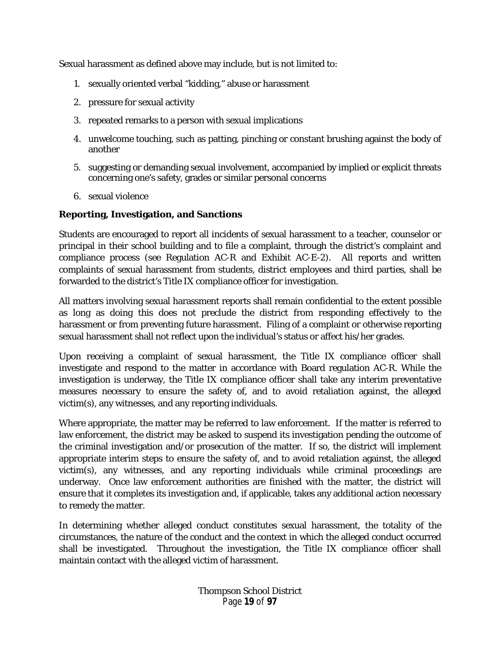Sexual harassment as defined above may include, but is not limited to:

- 1. sexually oriented verbal "kidding," abuse or harassment
- 2. pressure for sexual activity
- 3. repeated remarks to a person with sexual implications
- 4. unwelcome touching, such as patting, pinching or constant brushing against the body of another
- 5. suggesting or demanding sexual involvement, accompanied by implied or explicit threats concerning one's safety, grades or similar personal concerns
- 6. sexual violence

# **Reporting, Investigation, and Sanctions**

Students are encouraged to report all incidents of sexual harassment to a teacher, counselor or principal in their school building and to file a complaint, through the district's complaint and compliance process (see Regulation AC-R and Exhibit AC-E-2). All reports and written complaints of sexual harassment from students, district employees and third parties, shall be forwarded to the district's Title IX compliance officer for investigation.

All matters involving sexual harassment reports shall remain confidential to the extent possible as long as doing this does not preclude the district from responding effectively to the harassment or from preventing future harassment. Filing of a complaint or otherwise reporting sexual harassment shall not reflect upon the individual's status or affect his/her grades.

Upon receiving a complaint of sexual harassment, the Title IX compliance officer shall investigate and respond to the matter in accordance with Board regulation AC-R. While the investigation is underway, the Title IX compliance officer shall take any interim preventative measures necessary to ensure the safety of, and to avoid retaliation against, the alleged victim(s), any witnesses, and any reporting individuals.

Where appropriate, the matter may be referred to law enforcement. If the matter is referred to law enforcement, the district may be asked to suspend its investigation pending the outcome of the criminal investigation and/or prosecution of the matter. If so, the district will implement appropriate interim steps to ensure the safety of, and to avoid retaliation against, the alleged victim(s), any witnesses, and any reporting individuals while criminal proceedings are underway. Once law enforcement authorities are finished with the matter, the district will ensure that it completes its investigation and, if applicable, takes any additional action necessary to remedy the matter.

In determining whether alleged conduct constitutes sexual harassment, the totality of the circumstances, the nature of the conduct and the context in which the alleged conduct occurred shall be investigated. Throughout the investigation, the Title IX compliance officer shall maintain contact with the alleged victim of harassment.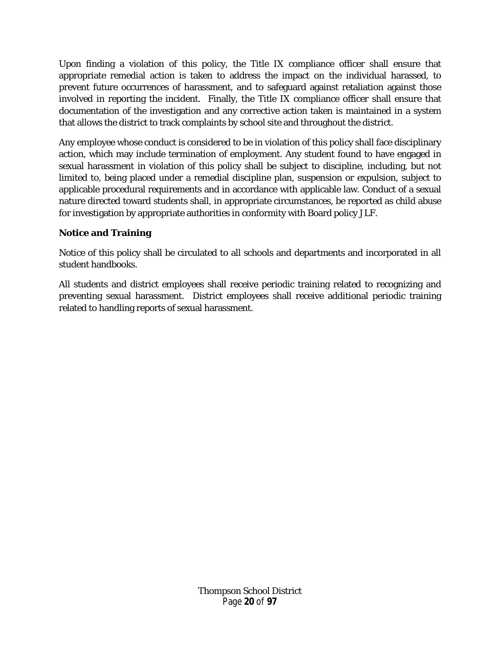Upon finding a violation of this policy, the Title IX compliance officer shall ensure that appropriate remedial action is taken to address the impact on the individual harassed, to prevent future occurrences of harassment, and to safeguard against retaliation against those involved in reporting the incident. Finally, the Title IX compliance officer shall ensure that documentation of the investigation and any corrective action taken is maintained in a system that allows the district to track complaints by school site and throughout the district.

Any employee whose conduct is considered to be in violation of this policy shall face disciplinary action, which may include termination of employment. Any student found to have engaged in sexual harassment in violation of this policy shall be subject to discipline, including, but not limited to, being placed under a remedial discipline plan, suspension or expulsion, subject to applicable procedural requirements and in accordance with applicable law. Conduct of a sexual nature directed toward students shall, in appropriate circumstances, be reported as child abuse for investigation by appropriate authorities in conformity with Board policy JLF.

# **Notice and Training**

Notice of this policy shall be circulated to all schools and departments and incorporated in all student handbooks.

All students and district employees shall receive periodic training related to recognizing and preventing sexual harassment. District employees shall receive additional periodic training related to handling reports of sexual harassment.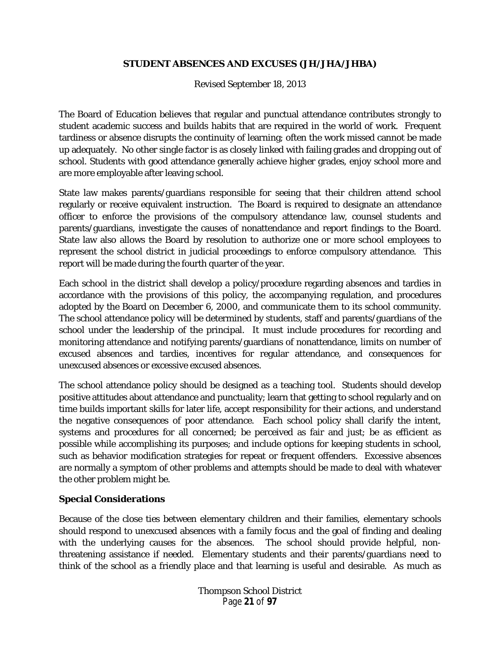## **STUDENT ABSENCES AND EXCUSES (JH/JHA/JHBA)**

Revised September 18, 2013

<span id="page-20-0"></span>The Board of Education believes that regular and punctual attendance contributes strongly to student academic success and builds habits that are required in the world of work. Frequent tardiness or absence disrupts the continuity of learning; often the work missed cannot be made up adequately. No other single factor is as closely linked with failing grades and dropping out of school. Students with good attendance generally achieve higher grades, enjoy school more and are more employable after leaving school.

State law makes parents/guardians responsible for seeing that their children attend school regularly or receive equivalent instruction. The Board is required to designate an attendance officer to enforce the provisions of the compulsory attendance law, counsel students and parents/guardians, investigate the causes of nonattendance and report findings to the Board. State law also allows the Board by resolution to authorize one or more school employees to represent the school district in judicial proceedings to enforce compulsory attendance. This report will be made during the fourth quarter of the year.

Each school in the district shall develop a policy/procedure regarding absences and tardies in accordance with the provisions of this policy, the accompanying regulation, and procedures adopted by the Board on December 6, 2000, and communicate them to its school community. The school attendance policy will be determined by students, staff and parents/guardians of the school under the leadership of the principal. It must include procedures for recording and monitoring attendance and notifying parents/guardians of nonattendance, limits on number of excused absences and tardies, incentives for regular attendance, and consequences for unexcused absences or excessive excused absences.

The school attendance policy should be designed as a teaching tool. Students should develop positive attitudes about attendance and punctuality; learn that getting to school regularly and on time builds important skills for later life, accept responsibility for their actions, and understand the negative consequences of poor attendance. Each school policy shall clarify the intent, systems and procedures for all concerned; be perceived as fair and just; be as efficient as possible while accomplishing its purposes; and include options for keeping students in school, such as behavior modification strategies for repeat or frequent offenders. Excessive absences are normally a symptom of other problems and attempts should be made to deal with whatever the other problem might be.

# **Special Considerations**

Because of the close ties between elementary children and their families, elementary schools should respond to unexcused absences with a family focus and the goal of finding and dealing with the underlying causes for the absences. The school should provide helpful, nonthreatening assistance if needed. Elementary students and their parents/guardians need to think of the school as a friendly place and that learning is useful and desirable. As much as

> Thompson School District Page **21** of **97**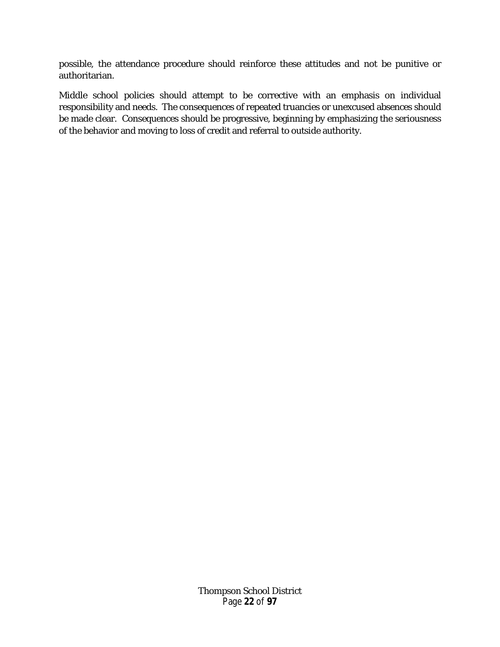possible, the attendance procedure should reinforce these attitudes and not be punitive or authoritarian.

Middle school policies should attempt to be corrective with an emphasis on individual responsibility and needs. The consequences of repeated truancies or unexcused absences should be made clear. Consequences should be progressive, beginning by emphasizing the seriousness of the behavior and moving to loss of credit and referral to outside authority.

> Thompson School District Page **22** of **97**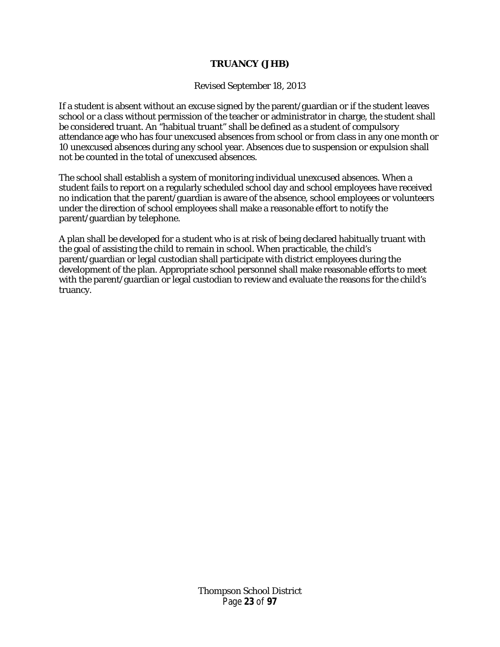#### **TRUANCY (JHB)**

Revised September 18, 2013

<span id="page-22-0"></span>If a student is absent without an excuse signed by the parent/guardian or if the student leaves school or a class without permission of the teacher or administrator in charge, the student shall be considered truant. An "habitual truant" shall be defined as a student of compulsory attendance age who has four unexcused absences from school or from class in any one month or 10 unexcused absences during any school year. Absences due to suspension or expulsion shall not be counted in the total of unexcused absences.

The school shall establish a system of monitoring individual unexcused absences. When a student fails to report on a regularly scheduled school day and school employees have received no indication that the parent/guardian is aware of the absence, school employees or volunteers under the direction of school employees shall make a reasonable effort to notify the parent/guardian by telephone.

A plan shall be developed for a student who is at risk of being declared habitually truant with the goal of assisting the child to remain in school. When practicable, the child's parent/guardian or legal custodian shall participate with district employees during the development of the plan. Appropriate school personnel shall make reasonable efforts to meet with the parent/guardian or legal custodian to review and evaluate the reasons for the child's truancy.

> Thompson School District Page **23** of **97**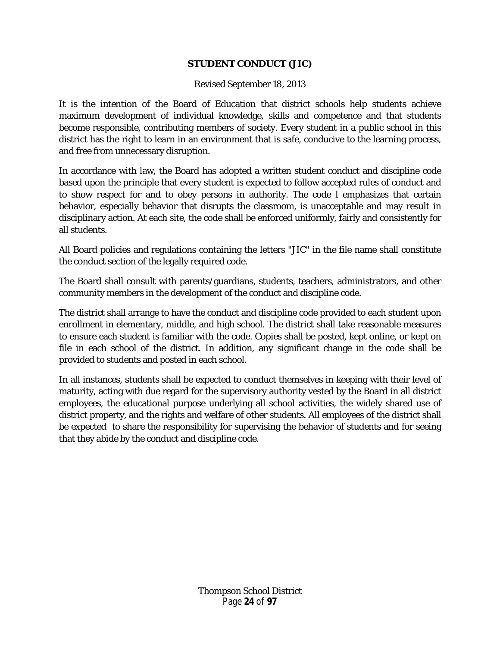# **STUDENT CONDUCT (JIC)**

## Revised September 18, 2013

<span id="page-23-0"></span>It is the intention of the Board of Education that district schools help students achieve maximum development of individual knowledge, skills and competence and that students become responsible, contributing members of society. Every student in a public school in this district has the right to learn in an environment that is safe, conducive to the learning process, and free from unnecessary disruption.

In accordance with law, the Board has adopted a written student conduct and discipline code based upon the principle that every student is expected to follow accepted rules of conduct and to show respect for and to obey persons in authority. The code l emphasizes that certain behavior, especially behavior that disrupts the classroom, is unacceptable and may result in disciplinary action. At each site, the code shall be enforced uniformly, fairly and consistently for all students.

All Board policies and regulations containing the letters "JIC" in the file name shall constitute the conduct section of the legally required code.

The Board shall consult with parents/guardians, students, teachers, administrators, and other community members in the development of the conduct and discipline code.

The district shall arrange to have the conduct and discipline code provided to each student upon enrollment in elementary, middle, and high school. The district shall take reasonable measures to ensure each student is familiar with the code. Copies shall be posted, kept online, or kept on file in each school of the district. In addition, any significant change in the code shall be provided to students and posted in each school.

In all instances, students shall be expected to conduct themselves in keeping with their level of maturity, acting with due regard for the supervisory authority vested by the Board in all district employees, the educational purpose underlying all school activities, the widely shared use of district property, and the rights and welfare of other students. All employees of the district shall be expected to share the responsibility for supervising the behavior of students and for seeing that they abide by the conduct and discipline code.

> Thompson School District Page **24** of **97**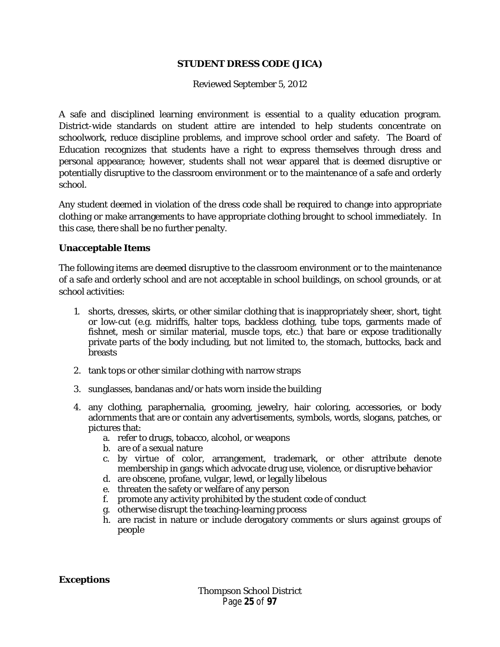#### **STUDENT DRESS CODE (JICA)**

Reviewed September 5, 2012

<span id="page-24-0"></span>A safe and disciplined learning environment is essential to a quality education program. District-wide standards on student attire are intended to help students concentrate on schoolwork, reduce discipline problems, and improve school order and safety. The Board of Education recognizes that students have a right to express themselves through dress and personal appearance; however, students shall not wear apparel that is deemed disruptive or potentially disruptive to the classroom environment or to the maintenance of a safe and orderly school.

Any student deemed in violation of the dress code shall be required to change into appropriate clothing or make arrangements to have appropriate clothing brought to school immediately. In this case, there shall be no further penalty.

#### **Unacceptable Items**

The following items are deemed disruptive to the classroom environment or to the maintenance of a safe and orderly school and are not acceptable in school buildings, on school grounds, or at school activities:

- 1. shorts, dresses, skirts, or other similar clothing that is inappropriately sheer, short, tight or low-cut (e.g. midriffs, halter tops, backless clothing, tube tops, garments made of fishnet, mesh or similar material, muscle tops, etc.) that bare or expose traditionally private parts of the body including, but not limited to, the stomach, buttocks, back and **breasts**
- 2. tank tops or other similar clothing with narrow straps
- 3. sunglasses, bandanas and/or hats worn inside the building
- 4. any clothing, paraphernalia, grooming, jewelry, hair coloring, accessories, or body adornments that are or contain any advertisements, symbols, words, slogans, patches, or pictures that:
	- a. refer to drugs, tobacco, alcohol, or weapons
	- b. are of a sexual nature
	- c. by virtue of color, arrangement, trademark, or other attribute denote membership in gangs which advocate drug use, violence, or disruptive behavior
	- d. are obscene, profane, vulgar, lewd, or legally libelous
	- e. threaten the safety or welfare of any person
	- f. promote any activity prohibited by the student code of conduct
	- g. otherwise disrupt the teaching-learning process
	- h. are racist in nature or include derogatory comments or slurs against groups of people

**Exceptions**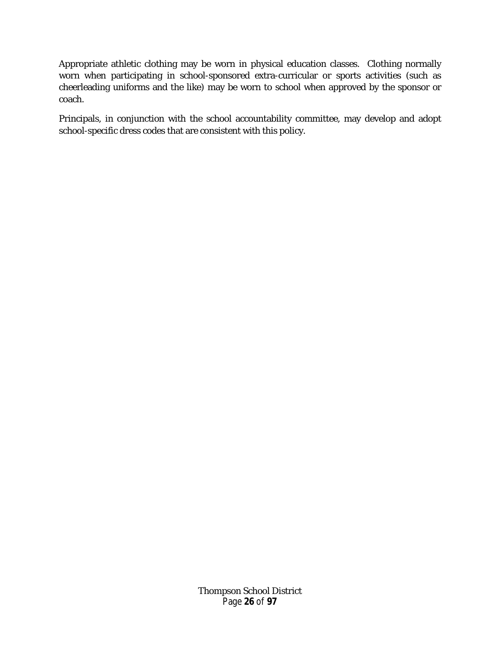Appropriate athletic clothing may be worn in physical education classes. Clothing normally worn when participating in school-sponsored extra-curricular or sports activities (such as cheerleading uniforms and the like) may be worn to school when approved by the sponsor or coach.

Principals, in conjunction with the school accountability committee, may develop and adopt school-specific dress codes that are consistent with this policy.

> Thompson School District Page **26** of **97**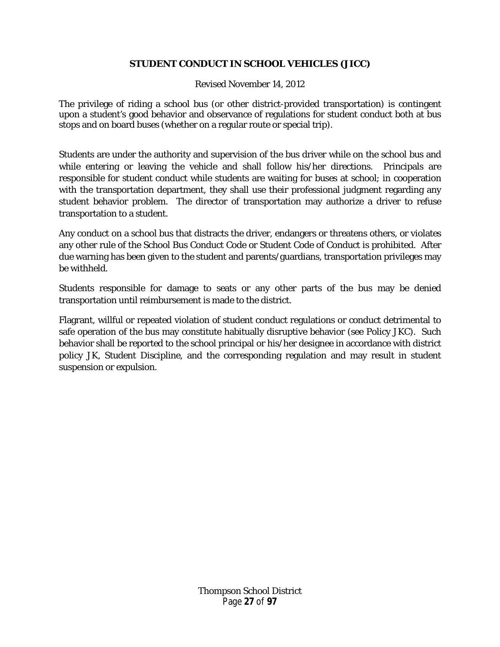# **STUDENT CONDUCT IN SCHOOL VEHICLES (JICC)**

Revised November 14, 2012

<span id="page-26-0"></span>The privilege of riding a school bus (or other district-provided transportation) is contingent upon a student's good behavior and observance of regulations for student conduct both at bus stops and on board buses (whether on a regular route or special trip).

Students are under the authority and supervision of the bus driver while on the school bus and while entering or leaving the vehicle and shall follow his/her directions. Principals are responsible for student conduct while students are waiting for buses at school; in cooperation with the transportation department, they shall use their professional judgment regarding any student behavior problem. The director of transportation may authorize a driver to refuse transportation to a student.

Any conduct on a school bus that distracts the driver, endangers or threatens others, or violates any other rule of the School Bus Conduct Code or Student Code of Conduct is prohibited. After due warning has been given to the student and parents/guardians, transportation privileges may be withheld.

Students responsible for damage to seats or any other parts of the bus may be denied transportation until reimbursement is made to the district.

Flagrant, willful or repeated violation of student conduct regulations or conduct detrimental to safe operation of the bus may constitute habitually disruptive behavior (see Policy JKC). Such behavior shall be reported to the school principal or his/her designee in accordance with district policy JK, Student Discipline, and the corresponding regulation and may result in student suspension or expulsion.

> Thompson School District Page **27** of **97**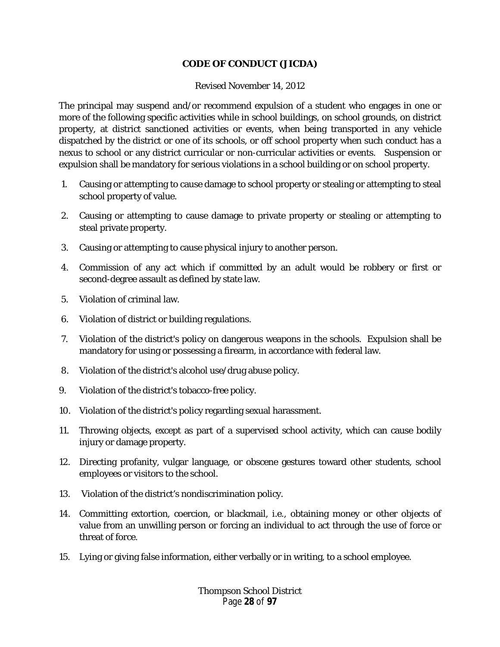# **CODE OF CONDUCT (JICDA)**

#### Revised November 14, 2012

<span id="page-27-0"></span>The principal may suspend and/or recommend expulsion of a student who engages in one or more of the following specific activities while in school buildings, on school grounds, on district property, at district sanctioned activities or events, when being transported in any vehicle dispatched by the district or one of its schools, or off school property when such conduct has a nexus to school or any district curricular or non-curricular activities or events. Suspension or expulsion shall be mandatory for serious violations in a school building or on school property.

- 1. Causing or attempting to cause damage to school property or stealing or attempting to steal school property of value.
- 2. Causing or attempting to cause damage to private property or stealing or attempting to steal private property.
- 3. Causing or attempting to cause physical injury to another person.
- 4. Commission of any act which if committed by an adult would be robbery or first or second-degree assault as defined by state law.
- 5. Violation of criminal law.
- 6. Violation of district or building regulations.
- 7. Violation of the district's policy on dangerous weapons in the schools. Expulsion shall be mandatory for using or possessing a firearm, in accordance with federal law.
- 8. Violation of the district's alcohol use/drug abuse policy.
- 9. Violation of the district's tobacco-free policy.
- 10. Violation of the district's policy regarding sexual harassment.
- 11. Throwing objects, except as part of a supervised school activity, which can cause bodily injury or damage property.
- 12. Directing profanity, vulgar language, or obscene gestures toward other students, school employees or visitors to the school.
- 13. Violation of the district's nondiscrimination policy.
- 14. Committing extortion, coercion, or blackmail, i.e., obtaining money or other objects of value from an unwilling person or forcing an individual to act through the use of force or threat of force.
- 15. Lying or giving false information, either verbally or in writing, to a school employee.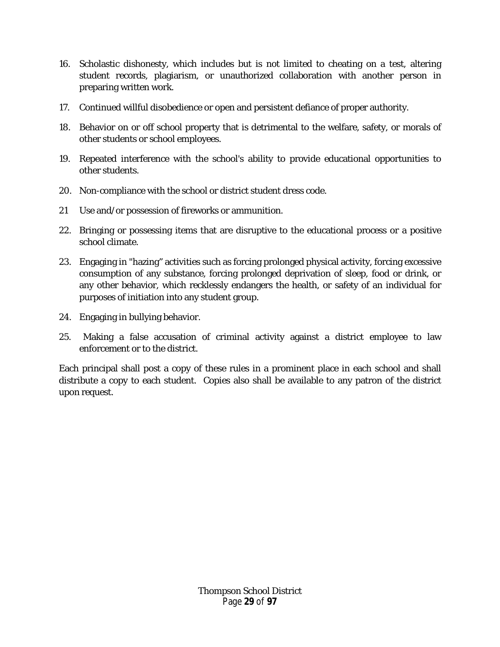- 16. Scholastic dishonesty, which includes but is not limited to cheating on a test, altering student records, plagiarism, or unauthorized collaboration with another person in preparing written work.
- 17. Continued willful disobedience or open and persistent defiance of proper authority.
- 18. Behavior on or off school property that is detrimental to the welfare, safety, or morals of other students or school employees.
- 19. Repeated interference with the school's ability to provide educational opportunities to other students.
- 20. Non-compliance with the school or district student dress code.
- 21 Use and/or possession of fireworks or ammunition.
- 22. Bringing or possessing items that are disruptive to the educational process or a positive school climate.
- 23. Engaging in "hazing" activities such as forcing prolonged physical activity, forcing excessive consumption of any substance, forcing prolonged deprivation of sleep, food or drink, or any other behavior, which recklessly endangers the health, or safety of an individual for purposes of initiation into any student group.
- 24. Engaging in bullying behavior.
- 25. Making a false accusation of criminal activity against a district employee to law enforcement or to the district.

Each principal shall post a copy of these rules in a prominent place in each school and shall distribute a copy to each student. Copies also shall be available to any patron of the district upon request.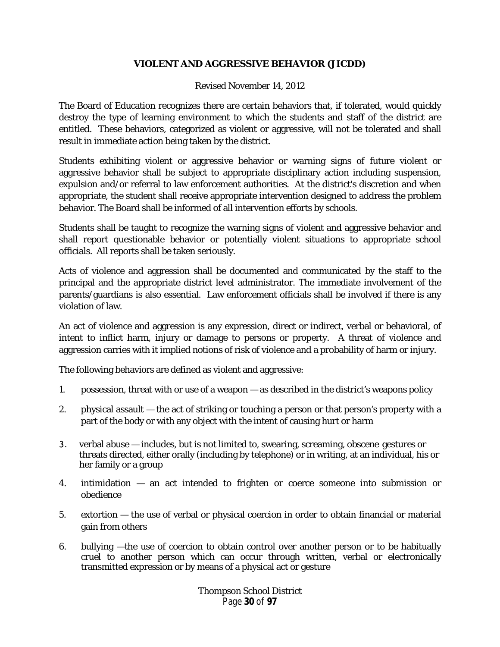# **VIOLENT AND AGGRESSIVE BEHAVIOR (JICDD)**

#### Revised November 14, 2012

<span id="page-29-0"></span>The Board of Education recognizes there are certain behaviors that, if tolerated, would quickly destroy the type of learning environment to which the students and staff of the district are entitled. These behaviors, categorized as violent or aggressive, will not be tolerated and shall result in immediate action being taken by the district.

Students exhibiting violent or aggressive behavior or warning signs of future violent or aggressive behavior shall be subject to appropriate disciplinary action including suspension, expulsion and/or referral to law enforcement authorities. At the district's discretion and when appropriate, the student shall receive appropriate intervention designed to address the problem behavior. The Board shall be informed of all intervention efforts by schools.

Students shall be taught to recognize the warning signs of violent and aggressive behavior and shall report questionable behavior or potentially violent situations to appropriate school officials. All reports shall be taken seriously.

Acts of violence and aggression shall be documented and communicated by the staff to the principal and the appropriate district level administrator. The immediate involvement of the parents/guardians is also essential. Law enforcement officials shall be involved if there is any violation of law.

An act of violence and aggression is any expression, direct or indirect, verbal or behavioral, of intent to inflict harm, injury or damage to persons or property. A threat of violence and aggression carries with it implied notions of risk of violence and a probability of harm or injury.

The following behaviors are defined as violent and aggressive:

- 1. possession, threat with or use of a weapon as described in the district's weapons policy
- 2. physical assault the act of striking or touching a person or that person's property with a part of the body or with any object with the intent of causing hurt or harm
- 3. verbal abuse includes, but is not limited to, swearing, screaming, obscene gestures or threats directed, either orally (including by telephone) or in writing, at an individual, his or her family or a group
- 4. intimidation an act intended to frighten or coerce someone into submission or obedience
- 5. extortion the use of verbal or physical coercion in order to obtain financial or material gain from others
- 6. bullying —the use of coercion to obtain control over another person or to be habitually cruel to another person which can occur through written, verbal or electronically transmitted expression or by means of a physical act or gesture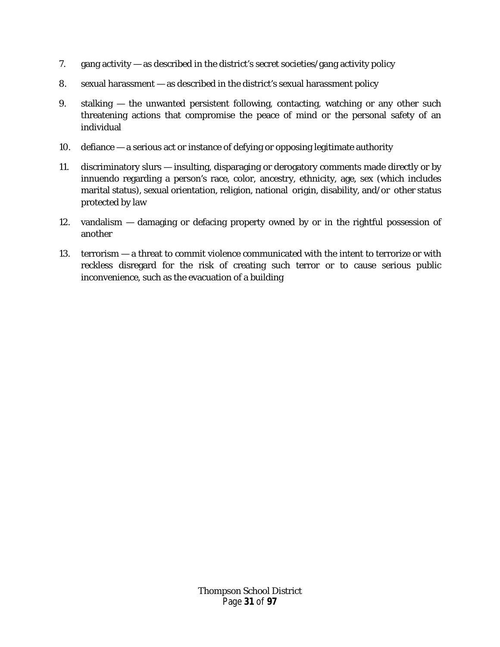- 7. gang activity as described in the district's secret societies/gang activity policy
- 8. sexual harassment as described in the district's sexual harassment policy
- 9. stalking the unwanted persistent following, contacting, watching or any other such threatening actions that compromise the peace of mind or the personal safety of an individual
- 10. defiance a serious act or instance of defying or opposing legitimate authority
- 11. discriminatory slurs insulting, disparaging or derogatory comments made directly or by innuendo regarding a person's race, color, ancestry, ethnicity, age, sex (which includes marital status), sexual orientation, religion, national origin, disability, and/or other status protected by law
- 12. vandalism damaging or defacing property owned by or in the rightful possession of another
- <span id="page-30-0"></span>13. terrorism — a threat to commit violence communicated with the intent to terrorize or with reckless disregard for the risk of creating such terror or to cause serious public inconvenience, such as the evacuation of a building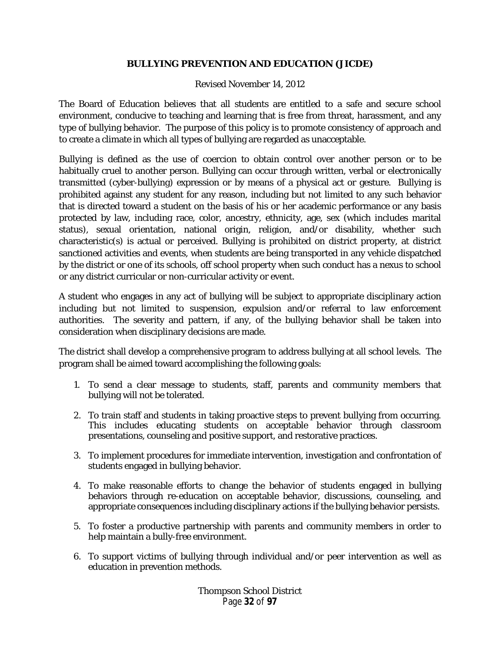# **BULLYING PREVENTION AND EDUCATION (JICDE)**

#### Revised November 14, 2012

The Board of Education believes that all students are entitled to a safe and secure school environment, conducive to teaching and learning that is free from threat, harassment, and any type of bullying behavior. The purpose of this policy is to promote consistency of approach and to create a climate in which all types of bullying are regarded as unacceptable.

Bullying is defined as the use of coercion to obtain control over another person or to be habitually cruel to another person. Bullying can occur through written, verbal or electronically transmitted (cyber-bullying) expression or by means of a physical act or gesture. Bullying is prohibited against any student for any reason, including but not limited to any such behavior that is directed toward a student on the basis of his or her academic performance or any basis protected by law, including race, color, ancestry, ethnicity, age, sex (which includes marital status), sexual orientation, national origin, religion, and/or disability, whether such characteristic(s) is actual or perceived. Bullying is prohibited on district property, at district sanctioned activities and events, when students are being transported in any vehicle dispatched by the district or one of its schools, off school property when such conduct has a nexus to school or any district curricular or non-curricular activity or event.

A student who engages in any act of bullying will be subject to appropriate disciplinary action including but not limited to suspension, expulsion and/or referral to law enforcement authorities. The severity and pattern, if any, of the bullying behavior shall be taken into consideration when disciplinary decisions are made.

The district shall develop a comprehensive program to address bullying at all school levels. The program shall be aimed toward accomplishing the following goals:

- 1. To send a clear message to students, staff, parents and community members that bullying will not be tolerated.
- 2. To train staff and students in taking proactive steps to prevent bullying from occurring. This includes educating students on acceptable behavior through classroom presentations, counseling and positive support, and restorative practices.
- 3. To implement procedures for immediate intervention, investigation and confrontation of students engaged in bullying behavior.
- 4. To make reasonable efforts to change the behavior of students engaged in bullying behaviors through re-education on acceptable behavior, discussions, counseling, and appropriate consequences including disciplinary actions if the bullying behavior persists.
- 5. To foster a productive partnership with parents and community members in order to help maintain a bully-free environment.
- 6. To support victims of bullying through individual and/or peer intervention as well as education in prevention methods.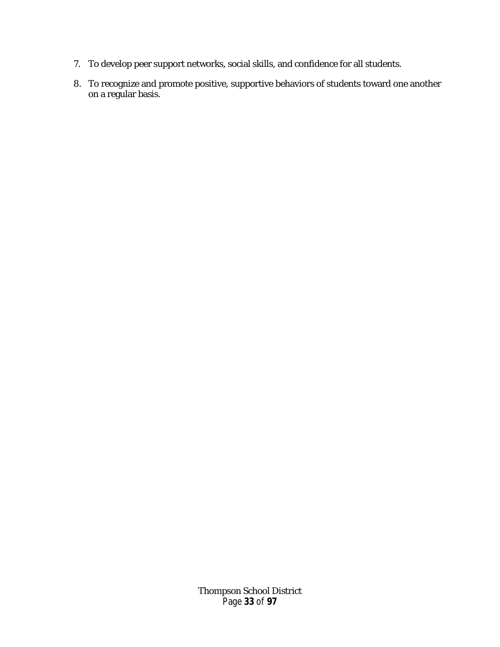- 7. To develop peer support networks, social skills, and confidence for all students.
- 8. To recognize and promote positive, supportive behaviors of students toward one another on a regular basis.

Thompson School District Page **33** of **97**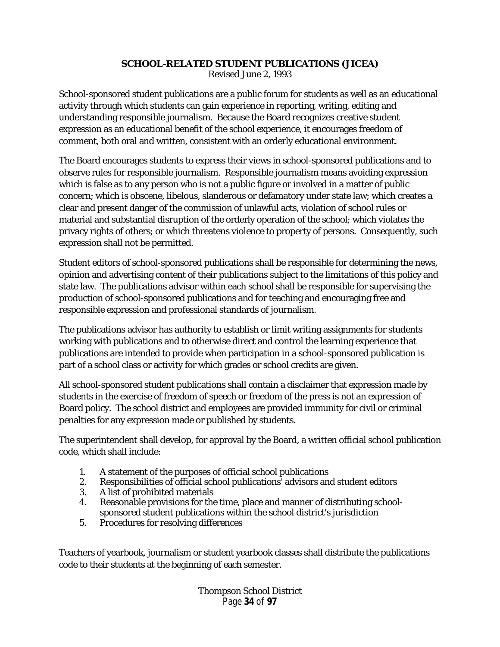# **SCHOOL-RELATED STUDENT PUBLICATIONS (JICEA)**

Revised June 2, 1993

<span id="page-33-0"></span>School-sponsored student publications are a public forum for students as well as an educational activity through which students can gain experience in reporting, writing, editing and understanding responsible journalism. Because the Board recognizes creative student expression as an educational benefit of the school experience, it encourages freedom of comment, both oral and written, consistent with an orderly educational environment.

The Board encourages students to express their views in school-sponsored publications and to observe rules for responsible journalism. Responsible journalism means avoiding expression which is false as to any person who is not a public figure or involved in a matter of public concern; which is obscene, libelous, slanderous or defamatory under state law; which creates a clear and present danger of the commission of unlawful acts, violation of school rules or material and substantial disruption of the orderly operation of the school; which violates the privacy rights of others; or which threatens violence to property of persons. Consequently, such expression shall not be permitted.

Student editors of school-sponsored publications shall be responsible for determining the news, opinion and advertising content of their publications subject to the limitations of this policy and state law. The publications advisor within each school shall be responsible for supervising the production of school-sponsored publications and for teaching and encouraging free and responsible expression and professional standards of journalism.

The publications advisor has authority to establish or limit writing assignments for students working with publications and to otherwise direct and control the learning experience that publications are intended to provide when participation in a school-sponsored publication is part of a school class or activity for which grades or school credits are given.

All school-sponsored student publications shall contain a disclaimer that expression made by students in the exercise of freedom of speech or freedom of the press is not an expression of Board policy. The school district and employees are provided immunity for civil or criminal penalties for any expression made or published by students.

The superintendent shall develop, for approval by the Board, a written official school publication code, which shall include:

- 1. A statement of the purposes of official school publications
- 2. Responsibilities of official school publications' advisors and student editors
- 3. A list of prohibited materials
- 4. Reasonable provisions for the time, place and manner of distributing schoolsponsored student publications within the school district's jurisdiction
- 5. Procedures for resolving differences

Teachers of yearbook, journalism or student yearbook classes shall distribute the publications code to their students at the beginning of each semester.

> Thompson School District Page **34** of **97**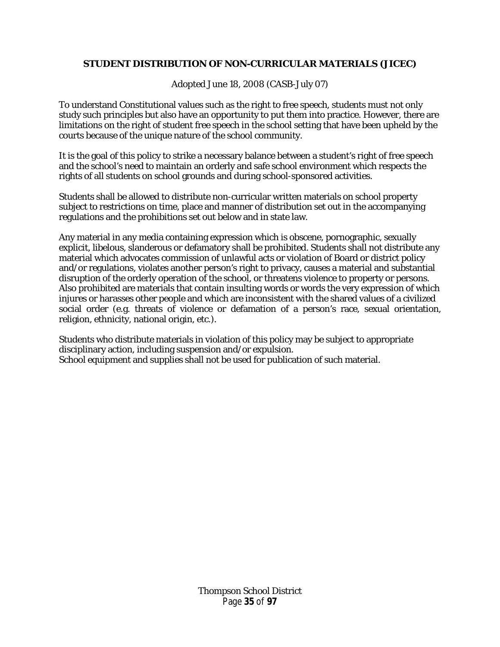# <span id="page-34-0"></span>**STUDENT DISTRIBUTION OF NON-CURRICULAR MATERIALS (JICEC)**

Adopted June 18, 2008 (CASB-July 07)

To understand Constitutional values such as the right to free speech, students must not only study such principles but also have an opportunity to put them into practice. However, there are limitations on the right of student free speech in the school setting that have been upheld by the courts because of the unique nature of the school community.

It is the goal of this policy to strike a necessary balance between a student's right of free speech and the school's need to maintain an orderly and safe school environment which respects the rights of all students on school grounds and during school-sponsored activities.

Students shall be allowed to distribute non-curricular written materials on school property subject to restrictions on time, place and manner of distribution set out in the accompanying regulations and the prohibitions set out below and in state law.

Any material in any media containing expression which is obscene, pornographic, sexually explicit, libelous, slanderous or defamatory shall be prohibited. Students shall not distribute any material which advocates commission of unlawful acts or violation of Board or district policy and/or regulations, violates another person's right to privacy, causes a material and substantial disruption of the orderly operation of the school, or threatens violence to property or persons. Also prohibited are materials that contain insulting words or words the very expression of which injures or harasses other people and which are inconsistent with the shared values of a civilized social order (e.g. threats of violence or defamation of a person's race, sexual orientation, religion, ethnicity, national origin, etc.).

Students who distribute materials in violation of this policy may be subject to appropriate disciplinary action, including suspension and/or expulsion. School equipment and supplies shall not be used for publication of such material.

> Thompson School District Page **35** of **97**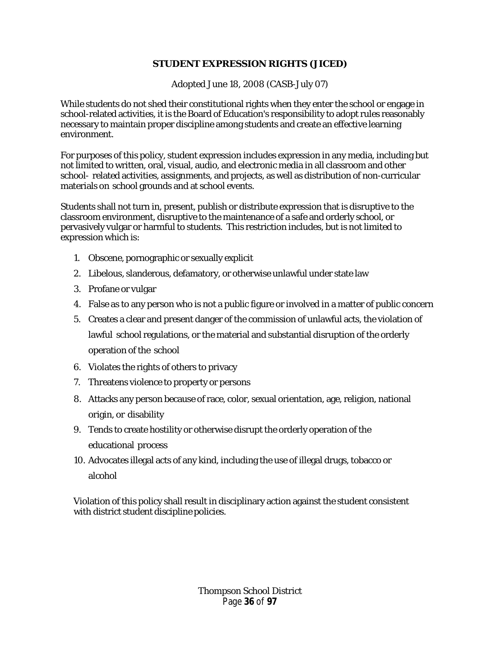# **STUDENT EXPRESSION RIGHTS (JICED)**

Adopted June 18, 2008 (CASB-July 07)

<span id="page-35-0"></span>While students do not shed their constitutional rights when they enter the school or engage in school-related activities, it is the Board of Education's responsibility to adopt rules reasonably necessary to maintain proper discipline among students and create an effective learning environment.

For purposes of this policy, student expression includes expression in any media, including but not limited to written, oral, visual, audio, and electronic media in all classroom and other school- related activities, assignments, and projects, as well as distribution of non-curricular materials on school grounds and at school events.

Students shall not turn in, present, publish or distribute expression that is disruptive to the classroom environment, disruptive to the maintenance of a safe and orderly school, or pervasively vulgar or harmful to students. This restriction includes, but is not limited to expression which is:

- 1. Obscene, pornographic or sexually explicit
- 2. Libelous, slanderous, defamatory, or otherwise unlawful under state law
- 3. Profane or vulgar
- 4. False as to any person who is not a public figure or involved in a matter of public concern
- 5. Creates a clear and present danger of the commission of unlawful acts, the violation of lawful school regulations, or the material and substantial disruption of the orderly operation of the school
- 6. Violates the rights of others to privacy
- 7. Threatens violence to property or persons
- 8. Attacks any person because of race, color, sexual orientation, age, religion, national origin, or disability
- 9. Tends to create hostility or otherwise disrupt the orderly operation of the educational process
- 10. Advocates illegal acts of any kind, including the use of illegal drugs, tobacco or alcohol

<span id="page-35-1"></span>Violation of this policy shall result in disciplinary action against the student consistent with district student discipline policies.

> Thompson School District Page **36** of **97**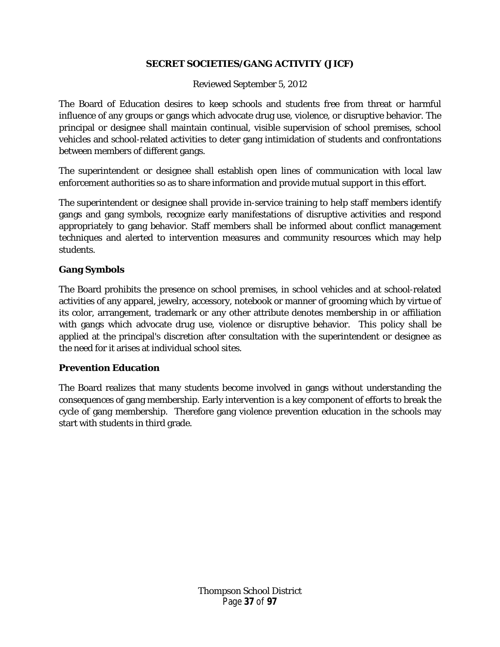# **SECRET SOCIETIES/GANG ACTIVITY (JICF)**

Reviewed September 5, 2012

The Board of Education desires to keep schools and students free from threat or harmful influence of any groups or gangs which advocate drug use, violence, or disruptive behavior. The principal or designee shall maintain continual, visible supervision of school premises, school vehicles and school-related activities to deter gang intimidation of students and confrontations between members of different gangs.

The superintendent or designee shall establish open lines of communication with local law enforcement authorities so as to share information and provide mutual support in this effort.

The superintendent or designee shall provide in-service training to help staff members identify gangs and gang symbols, recognize early manifestations of disruptive activities and respond appropriately to gang behavior. Staff members shall be informed about conflict management techniques and alerted to intervention measures and community resources which may help students.

# **Gang Symbols**

The Board prohibits the presence on school premises, in school vehicles and at school-related activities of any apparel, jewelry, accessory, notebook or manner of grooming which by virtue of its color, arrangement, trademark or any other attribute denotes membership in or affiliation with gangs which advocate drug use, violence or disruptive behavior. This policy shall be applied at the principal's discretion after consultation with the superintendent or designee as the need for it arises at individual school sites.

# **Prevention Education**

The Board realizes that many students become involved in gangs without understanding the consequences of gang membership. Early intervention is a key component of efforts to break the cycle of gang membership. Therefore gang violence prevention education in the schools may start with students in third grade.

> Thompson School District Page **37** of **97**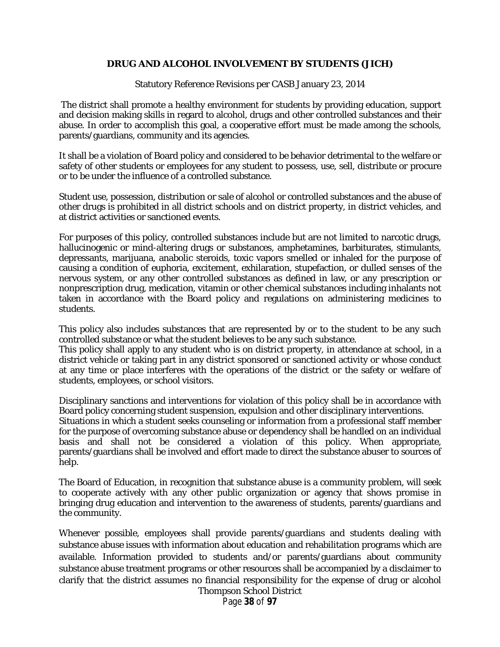### **DRUG AND ALCOHOL INVOLVEMENT BY STUDENTS (JICH)**

Statutory Reference Revisions per CASB January 23, 2014

The district shall promote a healthy environment for students by providing education, support and decision making skills in regard to alcohol, drugs and other controlled substances and their abuse. In order to accomplish this goal, a cooperative effort must be made among the schools, parents/guardians, community and its agencies.

It shall be a violation of Board policy and considered to be behavior detrimental to the welfare or safety of other students or employees for any student to possess, use, sell, distribute or procure or to be under the influence of a controlled substance.

Student use, possession, distribution or sale of alcohol or controlled substances and the abuse of other drugs is prohibited in all district schools and on district property, in district vehicles, and at district activities or sanctioned events.

For purposes of this policy, controlled substances include but are not limited to narcotic drugs, hallucinogenic or mind-altering drugs or substances, amphetamines, barbiturates, stimulants, depressants, marijuana, anabolic steroids, toxic vapors smelled or inhaled for the purpose of causing a condition of euphoria, excitement, exhilaration, stupefaction, or dulled senses of the nervous system, or any other controlled substances as defined in law, or any prescription or nonprescription drug, medication, vitamin or other chemical substances including inhalants not taken in accordance with the Board policy and regulations on administering medicines to students.

This policy also includes substances that are represented by or to the student to be any such controlled substance or what the student believes to be any such substance.

This policy shall apply to any student who is on district property, in attendance at school, in a district vehicle or taking part in any district sponsored or sanctioned activity or whose conduct at any time or place interferes with the operations of the district or the safety or welfare of students, employees, or school visitors.

Disciplinary sanctions and interventions for violation of this policy shall be in accordance with Board policy concerning student suspension, expulsion and other disciplinary interventions. Situations in which a student seeks counseling or information from a professional staff member for the purpose of overcoming substance abuse or dependency shall be handled on an individual basis and shall not be considered a violation of this policy. When appropriate, parents/guardians shall be involved and effort made to direct the substance abuser to sources of help.

The Board of Education, in recognition that substance abuse is a community problem, will seek to cooperate actively with any other public organization or agency that shows promise in bringing drug education and intervention to the awareness of students, parents/guardians and the community.

Whenever possible, employees shall provide parents/guardians and students dealing with substance abuse issues with information about education and rehabilitation programs which are available. Information provided to students and/or parents/guardians about community substance abuse treatment programs or other resources shall be accompanied by a disclaimer to clarify that the district assumes no financial responsibility for the expense of drug or alcohol Thompson School District

Page **38** of **97**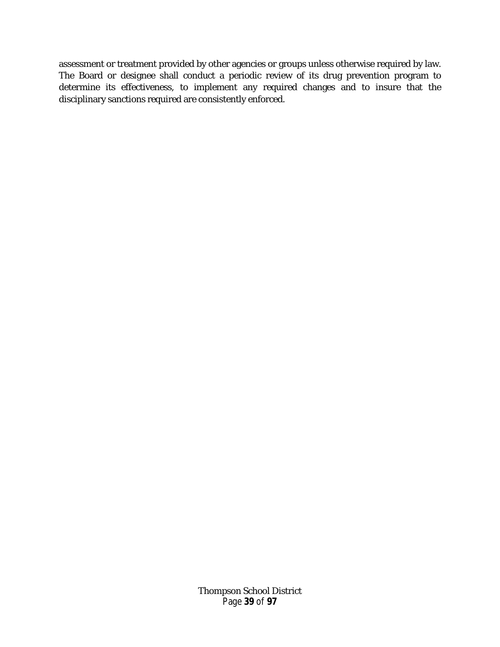assessment or treatment provided by other agencies or groups unless otherwise required by law. The Board or designee shall conduct a periodic review of its drug prevention program to determine its effectiveness, to implement any required changes and to insure that the disciplinary sanctions required are consistently enforced.

> Thompson School District Page **39** of **97**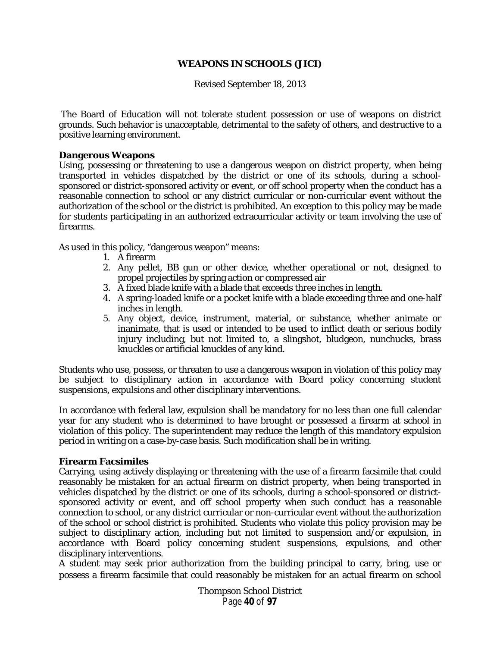### **WEAPONS IN SCHOOLS (JICI)**

Revised September 18, 2013

The Board of Education will not tolerate student possession or use of weapons on district grounds. Such behavior is unacceptable, detrimental to the safety of others, and destructive to a positive learning environment.

#### **Dangerous Weapons**

Using, possessing or threatening to use a dangerous weapon on district property, when being transported in vehicles dispatched by the district or one of its schools, during a schoolsponsored or district-sponsored activity or event, or off school property when the conduct has a reasonable connection to school or any district curricular or non-curricular event without the authorization of the school or the district is prohibited. An exception to this policy may be made for students participating in an authorized extracurricular activity or team involving the use of firearms.

As used in this policy, "dangerous weapon" means:

- 1. A firearm
- 2. Any pellet, BB gun or other device, whether operational or not, designed to propel projectiles by spring action or compressed air
- 3. A fixed blade knife with a blade that exceeds three inches in length.
- 4. A spring-loaded knife or a pocket knife with a blade exceeding three and one-half inches in length.
- 5. Any object, device, instrument, material, or substance, whether animate or inanimate, that is used or intended to be used to inflict death or serious bodily injury including, but not limited to, a slingshot, bludgeon, nunchucks, brass knuckles or artificial knuckles of any kind.

Students who use, possess, or threaten to use a dangerous weapon in violation of this policy may be subject to disciplinary action in accordance with Board policy concerning student suspensions, expulsions and other disciplinary interventions.

In accordance with federal law, expulsion shall be mandatory for no less than one full calendar year for any student who is determined to have brought or possessed a firearm at school in violation of this policy. The superintendent may reduce the length of this mandatory expulsion period in writing on a case-by-case basis. Such modification shall be in writing.

#### **Firearm Facsimiles**

Carrying, using actively displaying or threatening with the use of a firearm facsimile that could reasonably be mistaken for an actual firearm on district property, when being transported in vehicles dispatched by the district or one of its schools, during a school-sponsored or districtsponsored activity or event, and off school property when such conduct has a reasonable connection to school, or any district curricular or non-curricular event without the authorization of the school or school district is prohibited. Students who violate this policy provision may be subject to disciplinary action, including but not limited to suspension and/or expulsion, in accordance with Board policy concerning student suspensions, expulsions, and other disciplinary interventions.

A student may seek prior authorization from the building principal to carry, bring, use or possess a firearm facsimile that could reasonably be mistaken for an actual firearm on school

> Thompson School District Page **40** of **97**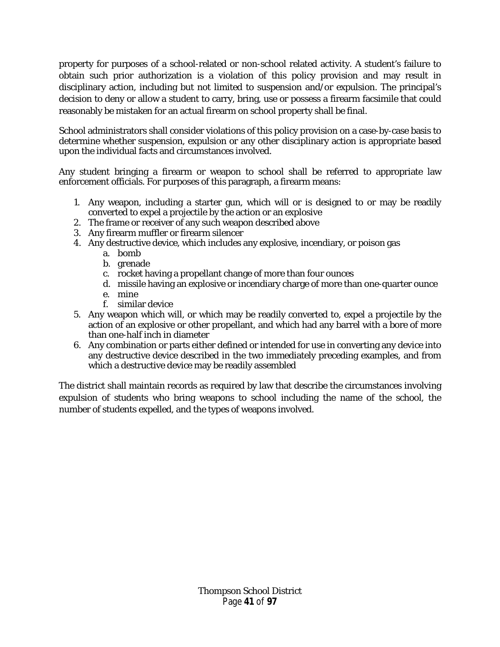property for purposes of a school-related or non-school related activity. A student's failure to obtain such prior authorization is a violation of this policy provision and may result in disciplinary action, including but not limited to suspension and/or expulsion. The principal's decision to deny or allow a student to carry, bring, use or possess a firearm facsimile that could reasonably be mistaken for an actual firearm on school property shall be final.

School administrators shall consider violations of this policy provision on a case-by-case basis to determine whether suspension, expulsion or any other disciplinary action is appropriate based upon the individual facts and circumstances involved.

Any student bringing a firearm or weapon to school shall be referred to appropriate law enforcement officials. For purposes of this paragraph, a firearm means:

- 1. Any weapon, including a starter gun, which will or is designed to or may be readily converted to expel a projectile by the action or an explosive
- 2. The frame or receiver of any such weapon described above
- 3. Any firearm muffler or firearm silencer
- 4. Any destructive device, which includes any explosive, incendiary, or poison gas
	- a. bomb
	- b. grenade
	- c. rocket having a propellant change of more than four ounces
	- d. missile having an explosive or incendiary charge of more than one-quarter ounce
	- e. mine
	- f. similar device
- 5. Any weapon which will, or which may be readily converted to, expel a projectile by the action of an explosive or other propellant, and which had any barrel with a bore of more than one-half inch in diameter
- 6. Any combination or parts either defined or intended for use in converting any device into any destructive device described in the two immediately preceding examples, and from which a destructive device may be readily assembled

The district shall maintain records as required by law that describe the circumstances involving expulsion of students who bring weapons to school including the name of the school, the number of students expelled, and the types of weapons involved.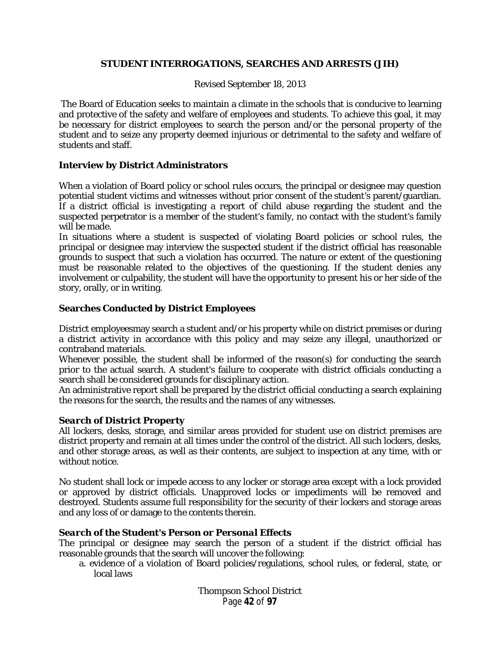### **STUDENT INTERROGATIONS, SEARCHES AND ARRESTS (JIH)**

Revised September 18, 2013

The Board of Education seeks to maintain a climate in the schools that is conducive to learning and protective of the safety and welfare of employees and students. To achieve this goal, it may be necessary for district employees to search the person and/or the personal property of the student and to seize any property deemed injurious or detrimental to the safety and welfare of students and staff.

### **Interview by District Administrators**

When a violation of Board policy or school rules occurs, the principal or designee may question potential student victims and witnesses without prior consent of the student's parent/guardian. If a district official is investigating a report of child abuse regarding the student and the suspected perpetrator is a member of the student's family, no contact with the student's family will be made.

In situations where a student is suspected of violating Board policies or school rules, the principal or designee may interview the suspected student if the district official has reasonable grounds to suspect that such a violation has occurred. The nature or extent of the questioning must be reasonable related to the objectives of the questioning. If the student denies any involvement or culpability, the student will have the opportunity to present his or her side of the story, orally, or in writing.

## **Searches Conducted by District Employees**

District employeesmay search a student and/or his property while on district premises or during a district activity in accordance with this policy and may seize any illegal, unauthorized or contraband materials.

Whenever possible, the student shall be informed of the reason(s) for conducting the search prior to the actual search. A student's failure to cooperate with district officials conducting a search shall be considered grounds for disciplinary action.

An administrative report shall be prepared by the district official conducting a search explaining the reasons for the search, the results and the names of any witnesses.

### *Search of District Property*

All lockers, desks, storage, and similar areas provided for student use on district premises are district property and remain at all times under the control of the district. All such lockers, desks, and other storage areas, as well as their contents, are subject to inspection at any time, with or without notice.

No student shall lock or impede access to any locker or storage area except with a lock provided or approved by district officials. Unapproved locks or impediments will be removed and destroyed. Students assume full responsibility for the security of their lockers and storage areas and any loss of or damage to the contents therein.

# *Search of the Student's Person or Personal Effects*

The principal or designee may search the person of a student if the district official has reasonable grounds that the search will uncover the following:

a. evidence of a violation of Board policies/regulations, school rules, or federal, state, or local laws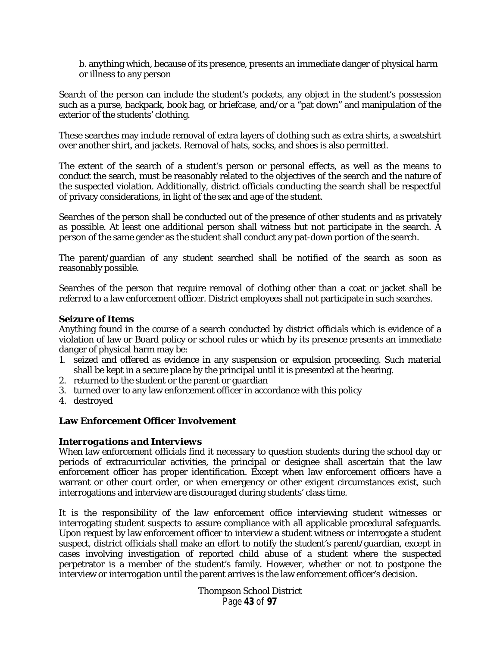b. anything which, because of its presence, presents an immediate danger of physical harm or illness to any person

Search of the person can include the student's pockets, any object in the student's possession such as a purse, backpack, book bag, or briefcase, and/or a "pat down" and manipulation of the exterior of the students' clothing.

These searches may include removal of extra layers of clothing such as extra shirts, a sweatshirt over another shirt, and jackets. Removal of hats, socks, and shoes is also permitted.

The extent of the search of a student's person or personal effects, as well as the means to conduct the search, must be reasonably related to the objectives of the search and the nature of the suspected violation. Additionally, district officials conducting the search shall be respectful of privacy considerations, in light of the sex and age of the student.

Searches of the person shall be conducted out of the presence of other students and as privately as possible. At least one additional person shall witness but not participate in the search. A person of the same gender as the student shall conduct any pat-down portion of the search.

The parent/guardian of any student searched shall be notified of the search as soon as reasonably possible.

Searches of the person that require removal of clothing other than a coat or jacket shall be referred to a law enforcement officer. District employees shall not participate in such searches.

### *Seizure of Items*

Anything found in the course of a search conducted by district officials which is evidence of a violation of law or Board policy or school rules or which by its presence presents an immediate danger of physical harm may be:

- 1. seized and offered as evidence in any suspension or expulsion proceeding. Such material shall be kept in a secure place by the principal until it is presented at the hearing.
- 2. returned to the student or the parent or guardian
- 3. turned over to any law enforcement officer in accordance with this policy
- 4. destroyed

### **Law Enforcement Officer Involvement**

#### *Interrogations and Interviews*

When law enforcement officials find it necessary to question students during the school day or periods of extracurricular activities, the principal or designee shall ascertain that the law enforcement officer has proper identification. Except when law enforcement officers have a warrant or other court order, or when emergency or other exigent circumstances exist, such interrogations and interview are discouraged during students' class time.

It is the responsibility of the law enforcement office interviewing student witnesses or interrogating student suspects to assure compliance with all applicable procedural safeguards. Upon request by law enforcement officer to interview a student witness or interrogate a student suspect, district officials shall make an effort to notify the student's parent/guardian, except in cases involving investigation of reported child abuse of a student where the suspected perpetrator is a member of the student's family. However, whether or not to postpone the interview or interrogation until the parent arrives is the law enforcement officer's decision.

> Thompson School District Page **43** of **97**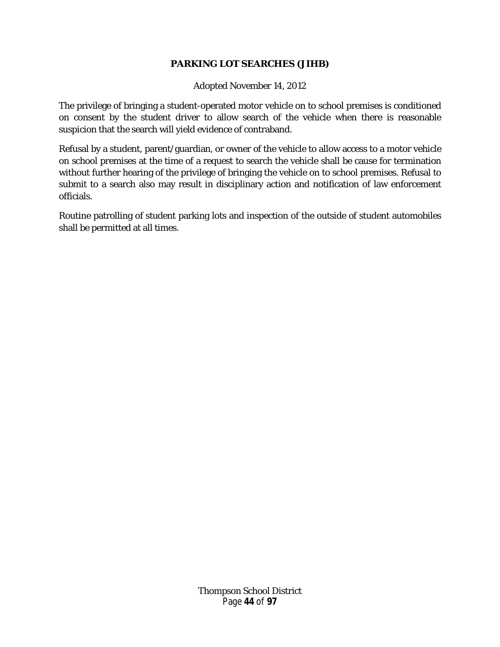## **PARKING LOT SEARCHES (JIHB)**

Adopted November 14, 2012

The privilege of bringing a student-operated motor vehicle on to school premises is conditioned on consent by the student driver to allow search of the vehicle when there is reasonable suspicion that the search will yield evidence of contraband.

Refusal by a student, parent/guardian, or owner of the vehicle to allow access to a motor vehicle on school premises at the time of a request to search the vehicle shall be cause for termination without further hearing of the privilege of bringing the vehicle on to school premises. Refusal to submit to a search also may result in disciplinary action and notification of law enforcement officials.

Routine patrolling of student parking lots and inspection of the outside of student automobiles shall be permitted at all times.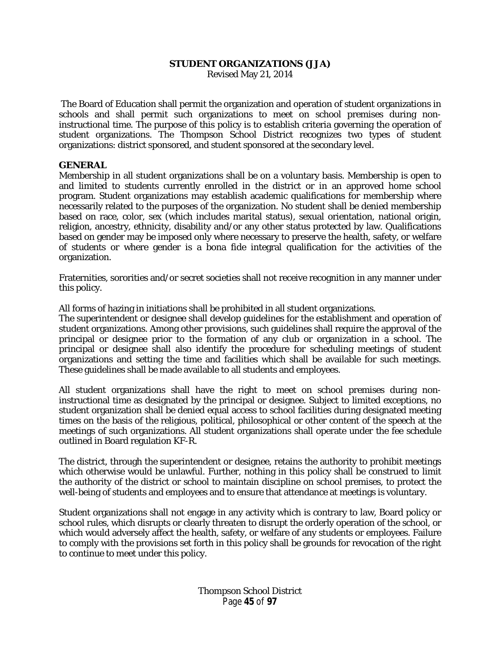#### **STUDENT ORGANIZATIONS (JJA)**

Revised May 21, 2014

The Board of Education shall permit the organization and operation of student organizations in schools and shall permit such organizations to meet on school premises during noninstructional time. The purpose of this policy is to establish criteria governing the operation of student organizations. The Thompson School District recognizes two types of student organizations: district sponsored, and student sponsored at the secondary level.

#### **GENERAL**

Membership in all student organizations shall be on a voluntary basis. Membership is open to and limited to students currently enrolled in the district or in an approved home school program. Student organizations may establish academic qualifications for membership where necessarily related to the purposes of the organization. No student shall be denied membership based on race, color, sex (which includes marital status), sexual orientation, national origin, religion, ancestry, ethnicity, disability and/or any other status protected by law. Qualifications based on gender may be imposed only where necessary to preserve the health, safety, or welfare of students or where gender is a bona fide integral qualification for the activities of the organization.

Fraternities, sororities and/or secret societies shall not receive recognition in any manner under this policy.

All forms of hazing in initiations shall be prohibited in all student organizations.

The superintendent or designee shall develop guidelines for the establishment and operation of student organizations. Among other provisions, such guidelines shall require the approval of the principal or designee prior to the formation of any club or organization in a school. The principal or designee shall also identify the procedure for scheduling meetings of student organizations and setting the time and facilities which shall be available for such meetings. These guidelines shall be made available to all students and employees.

All student organizations shall have the right to meet on school premises during noninstructional time as designated by the principal or designee. Subject to limited exceptions, no student organization shall be denied equal access to school facilities during designated meeting times on the basis of the religious, political, philosophical or other content of the speech at the meetings of such organizations. All student organizations shall operate under the fee schedule outlined in Board regulation KF-R.

The district, through the superintendent or designee, retains the authority to prohibit meetings which otherwise would be unlawful. Further, nothing in this policy shall be construed to limit the authority of the district or school to maintain discipline on school premises, to protect the well-being of students and employees and to ensure that attendance at meetings is voluntary.

Student organizations shall not engage in any activity which is contrary to law, Board policy or school rules, which disrupts or clearly threaten to disrupt the orderly operation of the school, or which would adversely affect the health, safety, or welfare of any students or employees. Failure to comply with the provisions set forth in this policy shall be grounds for revocation of the right to continue to meet under this policy.

> Thompson School District Page **45** of **97**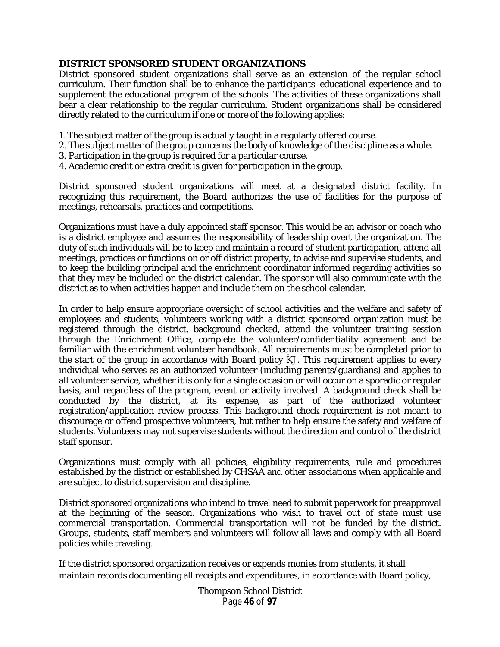### **DISTRICT SPONSORED STUDENT ORGANIZATIONS**

District sponsored student organizations shall serve as an extension of the regular school curriculum. Their function shall be to enhance the participants' educational experience and to supplement the educational program of the schools. The activities of these organizations shall bear a clear relationship to the regular curriculum. Student organizations shall be considered directly related to the curriculum if one or more of the following applies:

- 1. The subject matter of the group is actually taught in a regularly offered course.
- 2. The subject matter of the group concerns the body of knowledge of the discipline as a whole.
- 3. Participation in the group is required for a particular course.
- 4. Academic credit or extra credit is given for participation in the group.

District sponsored student organizations will meet at a designated district facility. In recognizing this requirement, the Board authorizes the use of facilities for the purpose of meetings, rehearsals, practices and competitions.

Organizations must have a duly appointed staff sponsor. This would be an advisor or coach who is a district employee and assumes the responsibility of leadership overt the organization. The duty of such individuals will be to keep and maintain a record of student participation, attend all meetings, practices or functions on or off district property, to advise and supervise students, and to keep the building principal and the enrichment coordinator informed regarding activities so that they may be included on the district calendar. The sponsor will also communicate with the district as to when activities happen and include them on the school calendar.

In order to help ensure appropriate oversight of school activities and the welfare and safety of employees and students, volunteers working with a district sponsored organization must be registered through the district, background checked, attend the volunteer training session through the Enrichment Office, complete the volunteer/confidentiality agreement and be familiar with the enrichment volunteer handbook. All requirements must be completed prior to the start of the group in accordance with Board policy KJ. This requirement applies to every individual who serves as an authorized volunteer (including parents/guardians) and applies to all volunteer service, whether it is only for a single occasion or will occur on a sporadic or regular basis, and regardless of the program, event or activity involved. A background check shall be conducted by the district, at its expense, as part of the authorized volunteer registration/application review process. This background check requirement is not meant to discourage or offend prospective volunteers, but rather to help ensure the safety and welfare of students. Volunteers may not supervise students without the direction and control of the district staff sponsor.

Organizations must comply with all policies, eligibility requirements, rule and procedures established by the district or established by CHSAA and other associations when applicable and are subject to district supervision and discipline.

District sponsored organizations who intend to travel need to submit paperwork for preapproval at the beginning of the season. Organizations who wish to travel out of state must use commercial transportation. Commercial transportation will not be funded by the district. Groups, students, staff members and volunteers will follow all laws and comply with all Board policies while traveling.

If the district sponsored organization receives or expends monies from students, it shall maintain records documenting all receipts and expenditures, in accordance with Board policy,

> Thompson School District Page **46** of **97**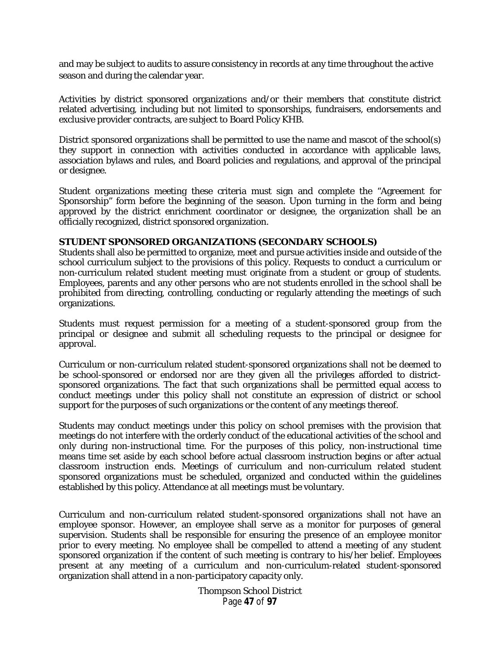and may be subject to audits to assure consistency in records at any time throughout the active season and during the calendar year.

Activities by district sponsored organizations and/or their members that constitute district related advertising, including but not limited to sponsorships, fundraisers, endorsements and exclusive provider contracts, are subject to Board Policy KHB.

District sponsored organizations shall be permitted to use the name and mascot of the school(s) they support in connection with activities conducted in accordance with applicable laws, association bylaws and rules, and Board policies and regulations, and approval of the principal or designee.

Student organizations meeting these criteria must sign and complete the "Agreement for Sponsorship" form before the beginning of the season. Upon turning in the form and being approved by the district enrichment coordinator or designee, the organization shall be an officially recognized, district sponsored organization.

#### **STUDENT SPONSORED ORGANIZATIONS (SECONDARY SCHOOLS)**

Students shall also be permitted to organize, meet and pursue activities inside and outside of the school curriculum subject to the provisions of this policy. Requests to conduct a curriculum or non-curriculum related student meeting must originate from a student or group of students. Employees, parents and any other persons who are not students enrolled in the school shall be prohibited from directing, controlling, conducting or regularly attending the meetings of such organizations.

Students must request permission for a meeting of a student-sponsored group from the principal or designee and submit all scheduling requests to the principal or designee for approval.

Curriculum or non-curriculum related student-sponsored organizations shall not be deemed to be school-sponsored or endorsed nor are they given all the privileges afforded to districtsponsored organizations. The fact that such organizations shall be permitted equal access to conduct meetings under this policy shall not constitute an expression of district or school support for the purposes of such organizations or the content of any meetings thereof.

Students may conduct meetings under this policy on school premises with the provision that meetings do not interfere with the orderly conduct of the educational activities of the school and only during non-instructional time. For the purposes of this policy, non-instructional time means time set aside by each school before actual classroom instruction begins or after actual classroom instruction ends. Meetings of curriculum and non-curriculum related student sponsored organizations must be scheduled, organized and conducted within the guidelines established by this policy. Attendance at all meetings must be voluntary.

Curriculum and non-curriculum related student-sponsored organizations shall not have an employee sponsor. However, an employee shall serve as a monitor for purposes of general supervision. Students shall be responsible for ensuring the presence of an employee monitor prior to every meeting. No employee shall be compelled to attend a meeting of any student sponsored organization if the content of such meeting is contrary to his/her belief. Employees present at any meeting of a curriculum and non-curriculum-related student-sponsored organization shall attend in a non-participatory capacity only.

> Thompson School District Page **47** of **97**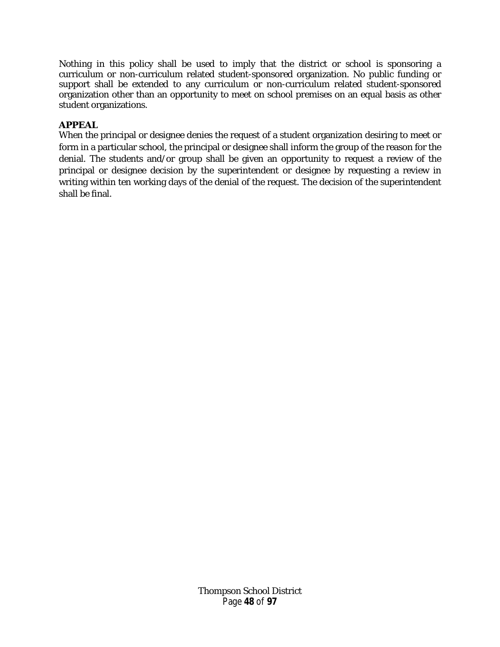Nothing in this policy shall be used to imply that the district or school is sponsoring a curriculum or non-curriculum related student-sponsored organization. No public funding or support shall be extended to any curriculum or non-curriculum related student-sponsored organization other than an opportunity to meet on school premises on an equal basis as other student organizations.

# **APPEAL**

When the principal or designee denies the request of a student organization desiring to meet or form in a particular school, the principal or designee shall inform the group of the reason for the denial. The students and/or group shall be given an opportunity to request a review of the principal or designee decision by the superintendent or designee by requesting a review in writing within ten working days of the denial of the request. The decision of the superintendent shall be final.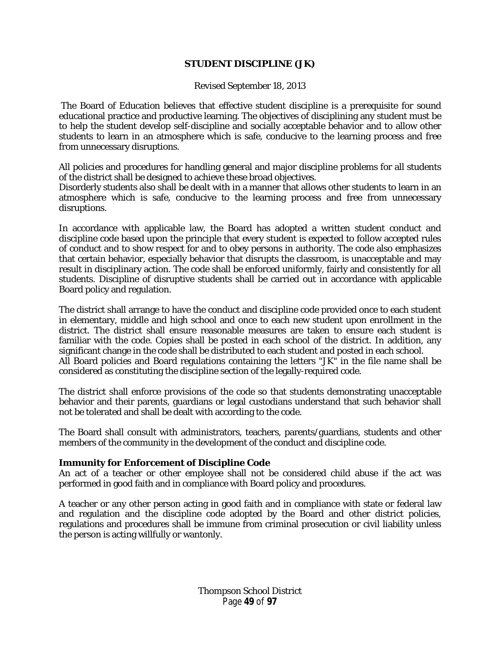#### **STUDENT DISCIPLINE (JK)**

Revised September 18, 2013

The Board of Education believes that effective student discipline is a prerequisite for sound educational practice and productive learning. The objectives of disciplining any student must be to help the student develop self-discipline and socially acceptable behavior and to allow other students to learn in an atmosphere which is safe, conducive to the learning process and free from unnecessary disruptions.

All policies and procedures for handling general and major discipline problems for all students of the district shall be designed to achieve these broad objectives.

Disorderly students also shall be dealt with in a manner that allows other students to learn in an atmosphere which is safe, conducive to the learning process and free from unnecessary disruptions.

In accordance with applicable law, the Board has adopted a written student conduct and discipline code based upon the principle that every student is expected to follow accepted rules of conduct and to show respect for and to obey persons in authority. The code also emphasizes that certain behavior, especially behavior that disrupts the classroom, is unacceptable and may result in disciplinary action. The code shall be enforced uniformly, fairly and consistently for all students. Discipline of disruptive students shall be carried out in accordance with applicable Board policy and regulation.

The district shall arrange to have the conduct and discipline code provided once to each student in elementary, middle and high school and once to each new student upon enrollment in the district. The district shall ensure reasonable measures are taken to ensure each student is familiar with the code. Copies shall be posted in each school of the district. In addition, any significant change in the code shall be distributed to each student and posted in each school. All Board policies and Board regulations containing the letters "JK" in the file name shall be considered as constituting the discipline section of the legally-required code.

The district shall enforce provisions of the code so that students demonstrating unacceptable behavior and their parents, guardians or legal custodians understand that such behavior shall not be tolerated and shall be dealt with according to the code.

The Board shall consult with administrators, teachers, parents/guardians, students and other members of the community in the development of the conduct and discipline code.

#### **Immunity for Enforcement of Discipline Code**

An act of a teacher or other employee shall not be considered child abuse if the act was performed in good faith and in compliance with Board policy and procedures.

A teacher or any other person acting in good faith and in compliance with state or federal law and regulation and the discipline code adopted by the Board and other district policies, regulations and procedures shall be immune from criminal prosecution or civil liability unless the person is acting willfully or wantonly.

> Thompson School District Page **49** of **97**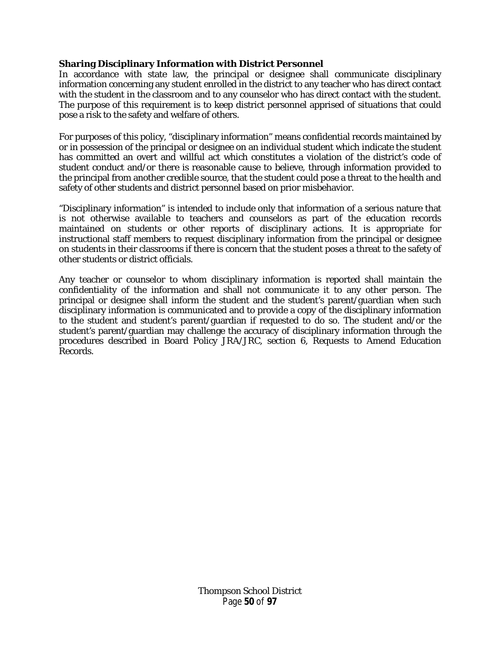## **Sharing Disciplinary Information with District Personnel**

In accordance with state law, the principal or designee shall communicate disciplinary information concerning any student enrolled in the district to any teacher who has direct contact with the student in the classroom and to any counselor who has direct contact with the student. The purpose of this requirement is to keep district personnel apprised of situations that could pose a risk to the safety and welfare of others.

For purposes of this policy, "disciplinary information" means confidential records maintained by or in possession of the principal or designee on an individual student which indicate the student has committed an overt and willful act which constitutes a violation of the district's code of student conduct and/or there is reasonable cause to believe, through information provided to the principal from another credible source, that the student could pose a threat to the health and safety of other students and district personnel based on prior misbehavior.

"Disciplinary information" is intended to include only that information of a serious nature that is not otherwise available to teachers and counselors as part of the education records maintained on students or other reports of disciplinary actions. It is appropriate for instructional staff members to request disciplinary information from the principal or designee on students in their classrooms if there is concern that the student poses a threat to the safety of other students or district officials.

Any teacher or counselor to whom disciplinary information is reported shall maintain the confidentiality of the information and shall not communicate it to any other person. The principal or designee shall inform the student and the student's parent/guardian when such disciplinary information is communicated and to provide a copy of the disciplinary information to the student and student's parent/guardian if requested to do so. The student and/or the student's parent/guardian may challenge the accuracy of disciplinary information through the procedures described in Board Policy JRA/JRC, section 6, Requests to Amend Education Records.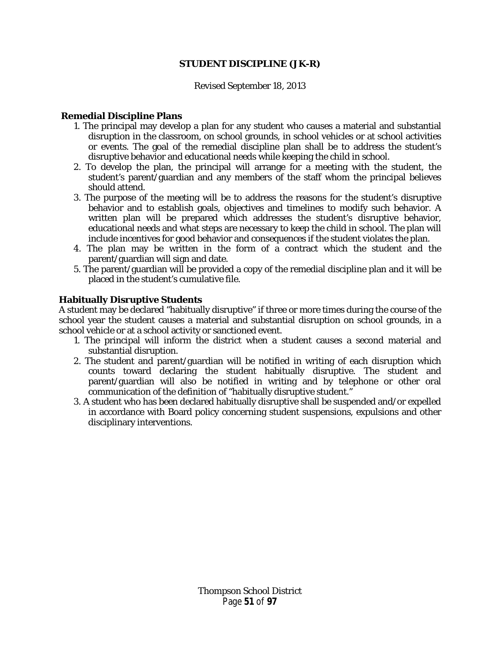#### **STUDENT DISCIPLINE (JK-R)**

#### Revised September 18, 2013

#### **Remedial Discipline Plans**

- 1. The principal may develop a plan for any student who causes a material and substantial disruption in the classroom, on school grounds, in school vehicles or at school activities or events. The goal of the remedial discipline plan shall be to address the student's disruptive behavior and educational needs while keeping the child in school.
- 2. To develop the plan, the principal will arrange for a meeting with the student, the student's parent/guardian and any members of the staff whom the principal believes should attend.
- 3. The purpose of the meeting will be to address the reasons for the student's disruptive behavior and to establish goals, objectives and timelines to modify such behavior. A written plan will be prepared which addresses the student's disruptive behavior, educational needs and what steps are necessary to keep the child in school. The plan will include incentives for good behavior and consequences if the student violates the plan.
- 4. The plan may be written in the form of a contract which the student and the parent/guardian will sign and date.
- 5. The parent/guardian will be provided a copy of the remedial discipline plan and it will be placed in the student's cumulative file.

#### **Habitually Disruptive Students**

A student may be declared "habitually disruptive" if three or more times during the course of the school year the student causes a material and substantial disruption on school grounds, in a school vehicle or at a school activity or sanctioned event.

- 1. The principal will inform the district when a student causes a second material and substantial disruption.
- 2. The student and parent/guardian will be notified in writing of each disruption which counts toward declaring the student habitually disruptive. The student and parent/guardian will also be notified in writing and by telephone or other oral communication of the definition of "habitually disruptive student."
- 3. A student who has been declared habitually disruptive shall be suspended and/or expelled in accordance with Board policy concerning student suspensions, expulsions and other disciplinary interventions.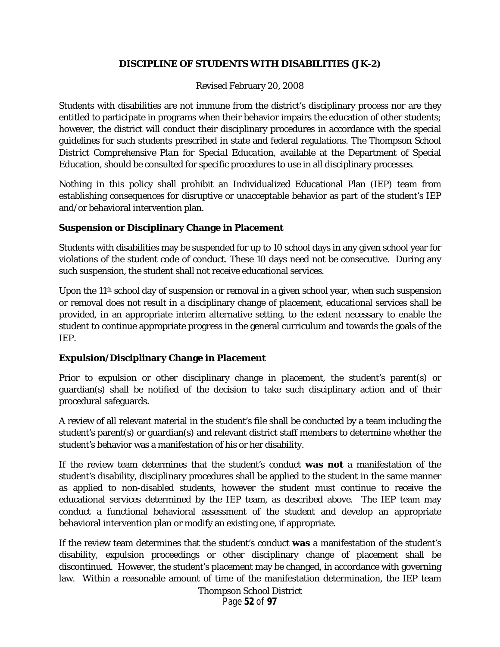## **DISCIPLINE OF STUDENTS WITH DISABILITIES (JK-2)**

### Revised February 20, 2008

Students with disabilities are not immune from the district's disciplinary process nor are they entitled to participate in programs when their behavior impairs the education of other students; however, the district will conduct their disciplinary procedures in accordance with the special guidelines for such students prescribed in state and federal regulations. The *Thompson School District Comprehensive Plan for Special Education,* available at the Department of Special Education, should be consulted for specific procedures to use in all disciplinary processes.

Nothing in this policy shall prohibit an Individualized Educational Plan (IEP) team from establishing consequences for disruptive or unacceptable behavior as part of the student's IEP and/or behavioral intervention plan.

## **Suspension or Disciplinary Change in Placement**

Students with disabilities may be suspended for up to 10 school days in any given school year for violations of the student code of conduct. These 10 days need not be consecutive. During any such suspension, the student shall not receive educational services.

Upon the  $11<sup>th</sup>$  school day of suspension or removal in a given school year, when such suspension or removal does not result in a disciplinary change of placement, educational services shall be provided, in an appropriate interim alternative setting, to the extent necessary to enable the student to continue appropriate progress in the general curriculum and towards the goals of the IEP.

# **Expulsion/Disciplinary Change in Placement**

Prior to expulsion or other disciplinary change in placement, the student's parent(s) or guardian(s) shall be notified of the decision to take such disciplinary action and of their procedural safeguards.

A review of all relevant material in the student's file shall be conducted by a team including the student's parent(s) or guardian(s) and relevant district staff members to determine whether the student's behavior was a manifestation of his or her disability.

If the review team determines that the student's conduct **was not** a manifestation of the student's disability, disciplinary procedures shall be applied to the student in the same manner as applied to non-disabled students, however the student must continue to receive the educational services determined by the IEP team, as described above. The IEP team may conduct a functional behavioral assessment of the student and develop an appropriate behavioral intervention plan or modify an existing one, if appropriate.

If the review team determines that the student's conduct **was** a manifestation of the student's disability, expulsion proceedings or other disciplinary change of placement shall be discontinued. However, the student's placement may be changed, in accordance with governing law. Within a reasonable amount of time of the manifestation determination, the IEP team

> Thompson School District Page **52** of **97**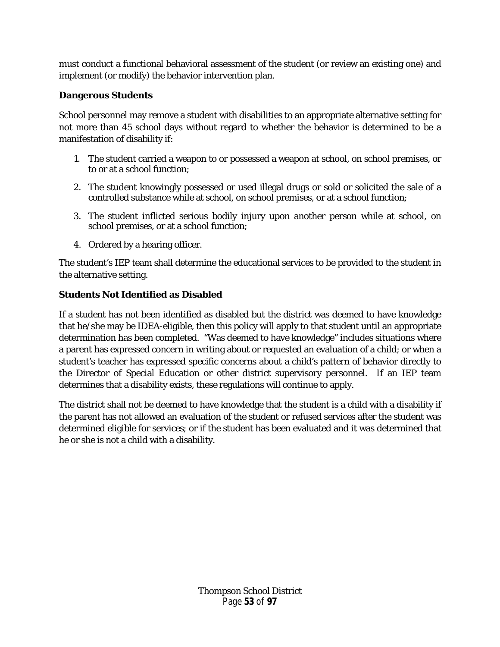must conduct a functional behavioral assessment of the student (or review an existing one) and implement (or modify) the behavior intervention plan.

# **Dangerous Students**

School personnel may remove a student with disabilities to an appropriate alternative setting for not more than 45 school days without regard to whether the behavior is determined to be a manifestation of disability if:

- 1. The student carried a weapon to or possessed a weapon at school, on school premises, or to or at a school function;
- 2. The student knowingly possessed or used illegal drugs or sold or solicited the sale of a controlled substance while at school, on school premises, or at a school function;
- 3. The student inflicted serious bodily injury upon another person while at school, on school premises, or at a school function;
- 4. Ordered by a hearing officer.

The student's IEP team shall determine the educational services to be provided to the student in the alternative setting.

# **Students Not Identified as Disabled**

If a student has not been identified as disabled but the district was deemed to have knowledge that he/she may be IDEA-eligible, then this policy will apply to that student until an appropriate determination has been completed. "Was deemed to have knowledge" includes situations where a parent has expressed concern in writing about or requested an evaluation of a child; or when a student's teacher has expressed specific concerns about a child's pattern of behavior directly to the Director of Special Education or other district supervisory personnel. If an IEP team determines that a disability exists, these regulations will continue to apply.

The district shall not be deemed to have knowledge that the student is a child with a disability if the parent has not allowed an evaluation of the student or refused services after the student was determined eligible for services; or if the student has been evaluated and it was determined that he or she is not a child with a disability.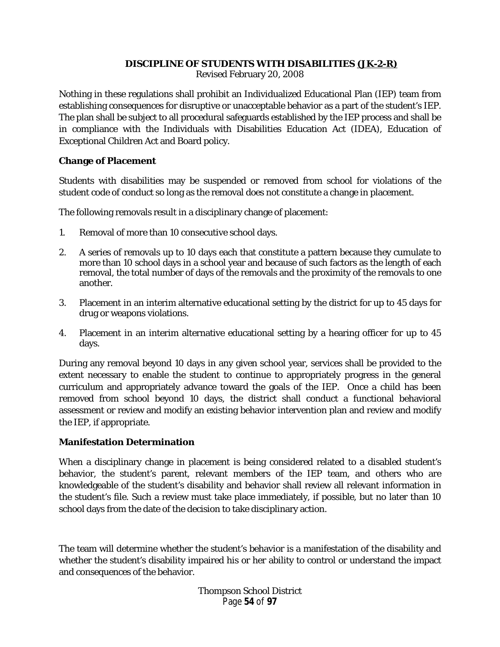### **DISCIPLINE OF STUDENTS WITH DISABILITIES (JK-2-R)**

Revised February 20, 2008

Nothing in these regulations shall prohibit an Individualized Educational Plan (IEP) team from establishing consequences for disruptive or unacceptable behavior as a part of the student's IEP. The plan shall be subject to all procedural safeguards established by the IEP process and shall be in compliance with the Individuals with Disabilities Education Act (IDEA), Education of Exceptional Children Act and Board policy.

### **Change of Placement**

Students with disabilities may be suspended or removed from school for violations of the student code of conduct so long as the removal does not constitute a change in placement.

The following removals result in a disciplinary change of placement:

- 1. Removal of more than 10 consecutive school days.
- 2. A series of removals up to 10 days each that constitute a pattern because they cumulate to more than 10 school days in a school year and because of such factors as the length of each removal, the total number of days of the removals and the proximity of the removals to one another.
- 3. Placement in an interim alternative educational setting by the district for up to 45 days for drug or weapons violations.
- 4. Placement in an interim alternative educational setting by a hearing officer for up to 45 days.

During any removal beyond 10 days in any given school year, services shall be provided to the extent necessary to enable the student to continue to appropriately progress in the general curriculum and appropriately advance toward the goals of the IEP. Once a child has been removed from school beyond 10 days, the district shall conduct a functional behavioral assessment or review and modify an existing behavior intervention plan and review and modify the IEP, if appropriate.

### **Manifestation Determination**

When a disciplinary change in placement is being considered related to a disabled student's behavior, the student's parent, relevant members of the IEP team, and others who are knowledgeable of the student's disability and behavior shall review all relevant information in the student's file. Such a review must take place immediately, if possible, but no later than 10 school days from the date of the decision to take disciplinary action.

The team will determine whether the student's behavior is a manifestation of the disability and whether the student's disability impaired his or her ability to control or understand the impact and consequences of the behavior.

> Thompson School District Page **54** of **97**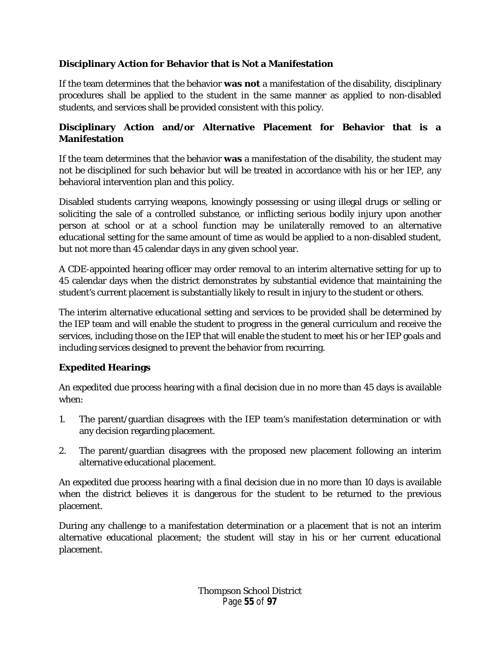# **Disciplinary Action for Behavior that is Not a Manifestation**

If the team determines that the behavior **was not** a manifestation of the disability, disciplinary procedures shall be applied to the student in the same manner as applied to non-disabled students, and services shall be provided consistent with this policy.

# **Disciplinary Action and/or Alternative Placement for Behavior that is a Manifestation**

If the team determines that the behavior **was** a manifestation of the disability, the student may not be disciplined for such behavior but will be treated in accordance with his or her IEP, any behavioral intervention plan and this policy.

Disabled students carrying weapons, knowingly possessing or using illegal drugs or selling or soliciting the sale of a controlled substance, or inflicting serious bodily injury upon another person at school or at a school function may be unilaterally removed to an alternative educational setting for the same amount of time as would be applied to a non-disabled student, but not more than 45 calendar days in any given school year.

A CDE-appointed hearing officer may order removal to an interim alternative setting for up to 45 calendar days when the district demonstrates by substantial evidence that maintaining the student's current placement is substantially likely to result in injury to the student or others.

The interim alternative educational setting and services to be provided shall be determined by the IEP team and will enable the student to progress in the general curriculum and receive the services, including those on the IEP that will enable the student to meet his or her IEP goals and including services designed to prevent the behavior from recurring.

# **Expedited Hearings**

An expedited due process hearing with a final decision due in no more than 45 days is available when:

- 1. The parent/guardian disagrees with the IEP team's manifestation determination or with any decision regarding placement.
- 2. The parent/guardian disagrees with the proposed new placement following an interim alternative educational placement.

An expedited due process hearing with a final decision due in no more than 10 days is available when the district believes it is dangerous for the student to be returned to the previous placement.

During any challenge to a manifestation determination or a placement that is not an interim alternative educational placement; the student will stay in his or her current educational placement.

> Thompson School District Page **55** of **97**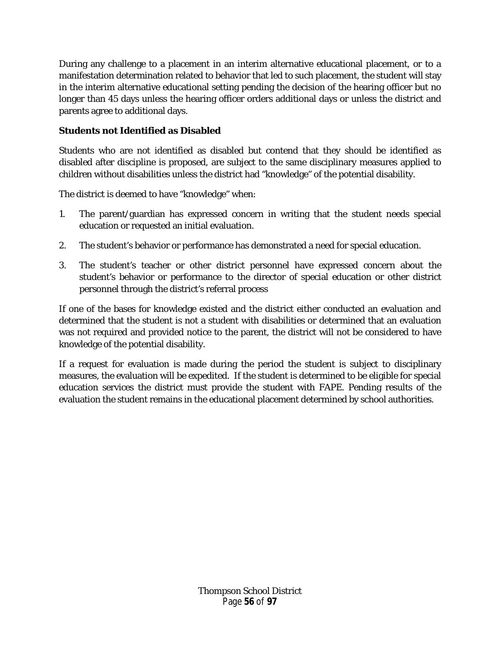During any challenge to a placement in an interim alternative educational placement, or to a manifestation determination related to behavior that led to such placement, the student will stay in the interim alternative educational setting pending the decision of the hearing officer but no longer than 45 days unless the hearing officer orders additional days or unless the district and parents agree to additional days.

# **Students not Identified as Disabled**

Students who are not identified as disabled but contend that they should be identified as disabled after discipline is proposed, are subject to the same disciplinary measures applied to children without disabilities unless the district had "knowledge" of the potential disability.

The district is deemed to have "knowledge" when:

- 1. The parent/guardian has expressed concern in writing that the student needs special education or requested an initial evaluation.
- 2. The student's behavior or performance has demonstrated a need for special education.
- 3. The student's teacher or other district personnel have expressed concern about the student's behavior or performance to the director of special education or other district personnel through the district's referral process

If one of the bases for knowledge existed and the district either conducted an evaluation and determined that the student is not a student with disabilities or determined that an evaluation was not required and provided notice to the parent, the district will not be considered to have knowledge of the potential disability.

If a request for evaluation is made during the period the student is subject to disciplinary measures, the evaluation will be expedited. If the student is determined to be eligible for special education services the district must provide the student with FAPE. Pending results of the evaluation the student remains in the educational placement determined by school authorities.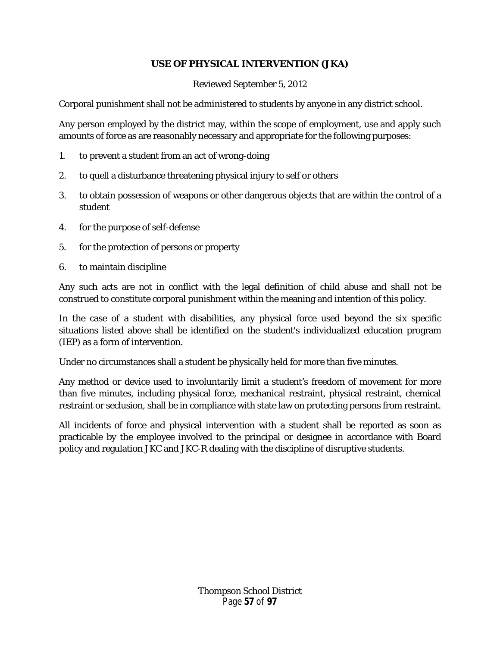# **USE OF PHYSICAL INTERVENTION (JKA)**

## Reviewed September 5, 2012

Corporal punishment shall not be administered to students by anyone in any district school.

Any person employed by the district may, within the scope of employment, use and apply such amounts of force as are reasonably necessary and appropriate for the following purposes:

- 1. to prevent a student from an act of wrong-doing
- 2. to quell a disturbance threatening physical injury to self or others
- 3. to obtain possession of weapons or other dangerous objects that are within the control of a student
- 4. for the purpose of self-defense
- 5. for the protection of persons or property
- 6. to maintain discipline

Any such acts are not in conflict with the legal definition of child abuse and shall not be construed to constitute corporal punishment within the meaning and intention of this policy.

In the case of a student with disabilities, any physical force used beyond the six specific situations listed above shall be identified on the student's individualized education program (IEP) as a form of intervention.

Under no circumstances shall a student be physically held for more than five minutes.

Any method or device used to involuntarily limit a student's freedom of movement for more than five minutes, including physical force, mechanical restraint, physical restraint, chemical restraint or seclusion, shall be in compliance with state law on protecting persons from restraint.

All incidents of force and physical intervention with a student shall be reported as soon as practicable by the employee involved to the principal or designee in accordance with Board policy and regulation JKC and JKC-R dealing with the discipline of disruptive students.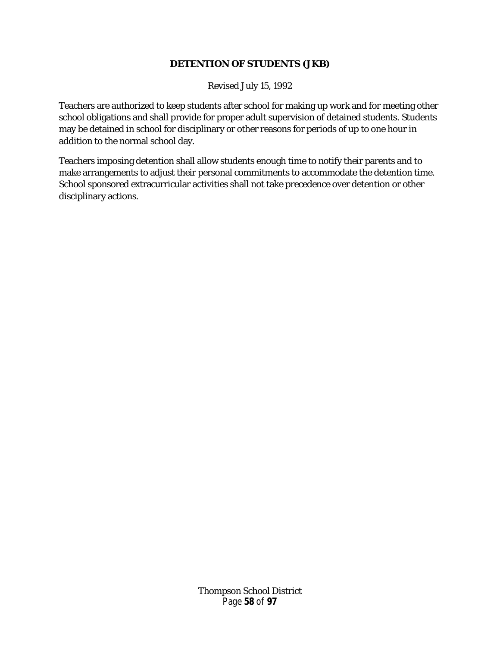## **DETENTION OF STUDENTS (JKB)**

Revised July 15, 1992

Teachers are authorized to keep students after school for making up work and for meeting other school obligations and shall provide for proper adult supervision of detained students. Students may be detained in school for disciplinary or other reasons for periods of up to one hour in addition to the normal school day.

Teachers imposing detention shall allow students enough time to notify their parents and to make arrangements to adjust their personal commitments to accommodate the detention time. School sponsored extracurricular activities shall not take precedence over detention or other disciplinary actions.

> Thompson School District Page **58** of **97**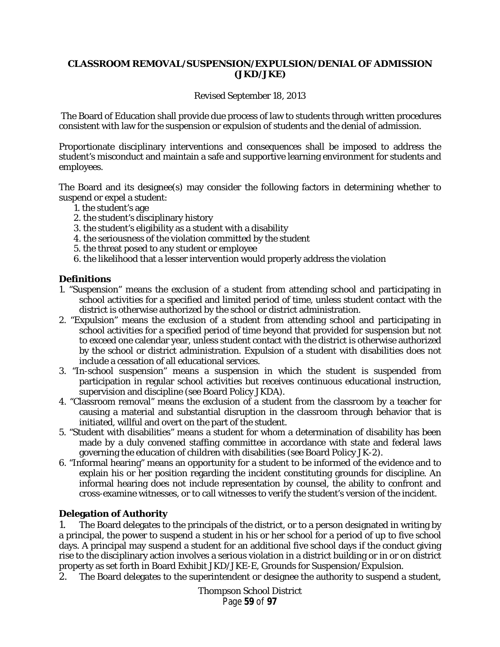### **CLASSROOM REMOVAL/SUSPENSION/EXPULSION/DENIAL OF ADMISSION (JKD/JKE)**

#### Revised September 18, 2013

The Board of Education shall provide due process of law to students through written procedures consistent with law for the suspension or expulsion of students and the denial of admission.

Proportionate disciplinary interventions and consequences shall be imposed to address the student's misconduct and maintain a safe and supportive learning environment for students and employees.

The Board and its designee(s) may consider the following factors in determining whether to suspend or expel a student:

- 1. the student's age
- 2. the student's disciplinary history
- 3. the student's eligibility as a student with a disability
- 4. the seriousness of the violation committed by the student
- 5. the threat posed to any student or employee
- 6. the likelihood that a lesser intervention would properly address the violation

### **Definitions**

- 1. "Suspension" means the exclusion of a student from attending school and participating in school activities for a specified and limited period of time, unless student contact with the district is otherwise authorized by the school or district administration.
- 2. "Expulsion" means the exclusion of a student from attending school and participating in school activities for a specified period of time beyond that provided for suspension but not to exceed one calendar year, unless student contact with the district is otherwise authorized by the school or district administration. Expulsion of a student with disabilities does not include a cessation of all educational services.
- 3. "In-school suspension" means a suspension in which the student is suspended from participation in regular school activities but receives continuous educational instruction, supervision and discipline (see Board Policy JKDA).
- 4. "Classroom removal" means the exclusion of a student from the classroom by a teacher for causing a material and substantial disruption in the classroom through behavior that is initiated, willful and overt on the part of the student.
- 5. "Student with disabilities" means a student for whom a determination of disability has been made by a duly convened staffing committee in accordance with state and federal laws governing the education of children with disabilities (see Board Policy JK-2).
- 6. "Informal hearing" means an opportunity for a student to be informed of the evidence and to explain his or her position regarding the incident constituting grounds for discipline. An informal hearing does not include representation by counsel, the ability to confront and cross-examine witnesses, or to call witnesses to verify the student's version of the incident.

### **Delegation of Authority**

1. The Board delegates to the principals of the district, or to a person designated in writing by a principal, the power to suspend a student in his or her school for a period of up to five school days. A principal may suspend a student for an additional five school days if the conduct giving rise to the disciplinary action involves a serious violation in a district building or in or on district property as set forth in Board Exhibit JKD/JKE-E, Grounds for Suspension/Expulsion.

2. The Board delegates to the superintendent or designee the authority to suspend a student,

Thompson School District Page **59** of **97**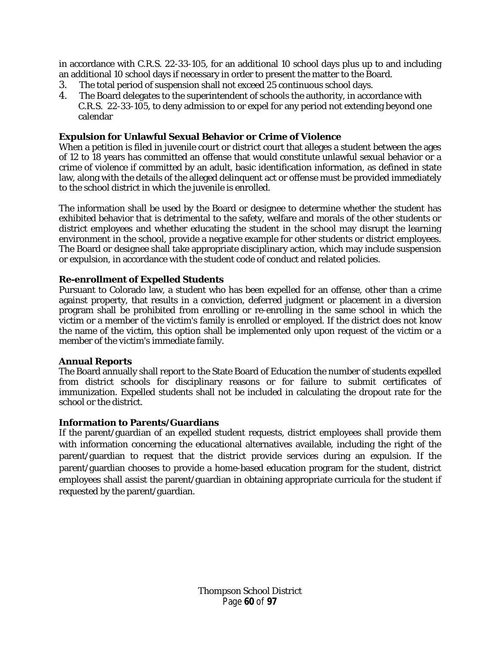in accordance with C.R.S. 22-33-105, for an additional 10 school days plus up to and including an additional 10 school days if necessary in order to present the matter to the Board.

- 3. The total period of suspension shall not exceed 25 continuous school days.
- 4. The Board delegates to the superintendent of schools the authority, in accordance with C.R.S. 22-33-105, to deny admission to or expel for any period not extending beyond one calendar

#### **Expulsion for Unlawful Sexual Behavior or Crime of Violence**

When a petition is filed in juvenile court or district court that alleges a student between the ages of 12 to 18 years has committed an offense that would constitute unlawful sexual behavior or a crime of violence if committed by an adult, basic identification information, as defined in state law, along with the details of the alleged delinquent act or offense must be provided immediately to the school district in which the juvenile is enrolled.

The information shall be used by the Board or designee to determine whether the student has exhibited behavior that is detrimental to the safety, welfare and morals of the other students or district employees and whether educating the student in the school may disrupt the learning environment in the school, provide a negative example for other students or district employees. The Board or designee shall take appropriate disciplinary action, which may include suspension or expulsion, in accordance with the student code of conduct and related policies.

### **Re-enrollment of Expelled Students**

Pursuant to Colorado law, a student who has been expelled for an offense, other than a crime against property, that results in a conviction, deferred judgment or placement in a diversion program shall be prohibited from enrolling or re-enrolling in the same school in which the victim or a member of the victim's family is enrolled or employed. If the district does not know the name of the victim, this option shall be implemented only upon request of the victim or a member of the victim's immediate family.

#### **Annual Reports**

The Board annually shall report to the State Board of Education the number of students expelled from district schools for disciplinary reasons or for failure to submit certificates of immunization. Expelled students shall not be included in calculating the dropout rate for the school or the district.

#### **Information to Parents/Guardians**

If the parent/guardian of an expelled student requests, district employees shall provide them with information concerning the educational alternatives available, including the right of the parent/guardian to request that the district provide services during an expulsion. If the parent/guardian chooses to provide a home-based education program for the student, district employees shall assist the parent/guardian in obtaining appropriate curricula for the student if requested by the parent/guardian.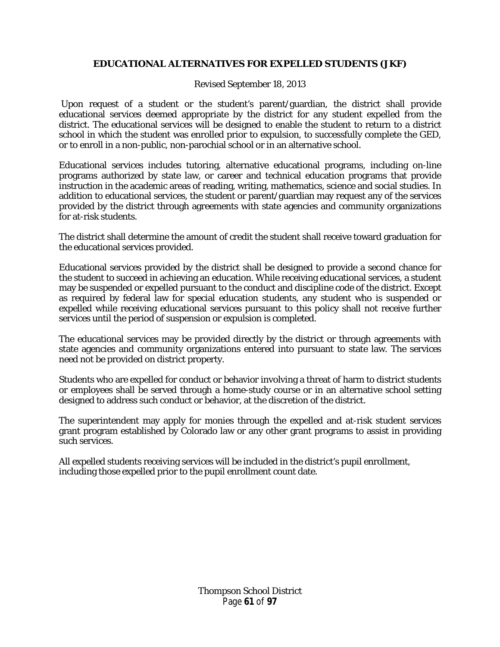## **EDUCATIONAL ALTERNATIVES FOR EXPELLED STUDENTS (JKF)**

Revised September 18, 2013

Upon request of a student or the student's parent/guardian, the district shall provide educational services deemed appropriate by the district for any student expelled from the district. The educational services will be designed to enable the student to return to a district school in which the student was enrolled prior to expulsion, to successfully complete the GED, or to enroll in a non-public, non-parochial school or in an alternative school.

Educational services includes tutoring, alternative educational programs, including on-line programs authorized by state law, or career and technical education programs that provide instruction in the academic areas of reading, writing, mathematics, science and social studies. In addition to educational services, the student or parent/guardian may request any of the services provided by the district through agreements with state agencies and community organizations for at-risk students.

The district shall determine the amount of credit the student shall receive toward graduation for the educational services provided.

Educational services provided by the district shall be designed to provide a second chance for the student to succeed in achieving an education. While receiving educational services, a student may be suspended or expelled pursuant to the conduct and discipline code of the district. Except as required by federal law for special education students, any student who is suspended or expelled while receiving educational services pursuant to this policy shall not receive further services until the period of suspension or expulsion is completed.

The educational services may be provided directly by the district or through agreements with state agencies and community organizations entered into pursuant to state law. The services need not be provided on district property.

Students who are expelled for conduct or behavior involving a threat of harm to district students or employees shall be served through a home-study course or in an alternative school setting designed to address such conduct or behavior, at the discretion of the district.

The superintendent may apply for monies through the expelled and at-risk student services grant program established by Colorado law or any other grant programs to assist in providing such services.

All expelled students receiving services will be included in the district's pupil enrollment, including those expelled prior to the pupil enrollment count date.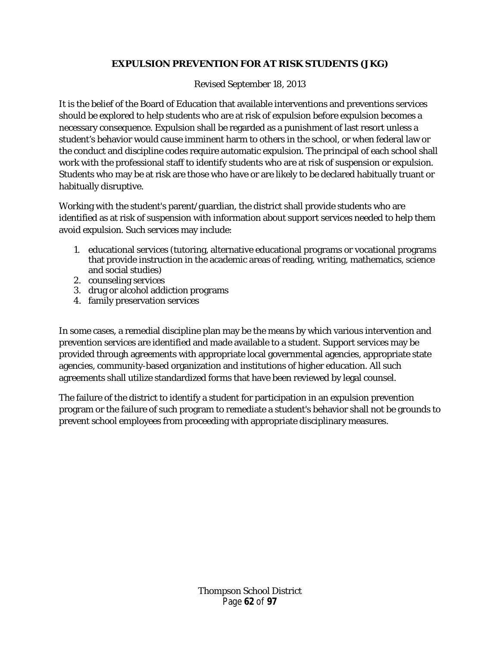# **EXPULSION PREVENTION FOR AT RISK STUDENTS (JKG)**

Revised September 18, 2013

It is the belief of the Board of Education that available interventions and preventions services should be explored to help students who are at risk of expulsion before expulsion becomes a necessary consequence. Expulsion shall be regarded as a punishment of last resort unless a student's behavior would cause imminent harm to others in the school, or when federal law or the conduct and discipline codes require automatic expulsion. The principal of each school shall work with the professional staff to identify students who are at risk of suspension or expulsion. Students who may be at risk are those who have or are likely to be declared habitually truant or habitually disruptive.

Working with the student's parent/guardian, the district shall provide students who are identified as at risk of suspension with information about support services needed to help them avoid expulsion. Such services may include:

- 1. educational services (tutoring, alternative educational programs or vocational programs that provide instruction in the academic areas of reading, writing, mathematics, science and social studies)
- 2. counseling services
- 3. drug or alcohol addiction programs
- 4. family preservation services

In some cases, a remedial discipline plan may be the means by which various intervention and prevention services are identified and made available to a student. Support services may be provided through agreements with appropriate local governmental agencies, appropriate state agencies, community-based organization and institutions of higher education. All such agreements shall utilize standardized forms that have been reviewed by legal counsel.

The failure of the district to identify a student for participation in an expulsion prevention program or the failure of such program to remediate a student's behavior shall not be grounds to prevent school employees from proceeding with appropriate disciplinary measures.

> Thompson School District Page **62** of **97**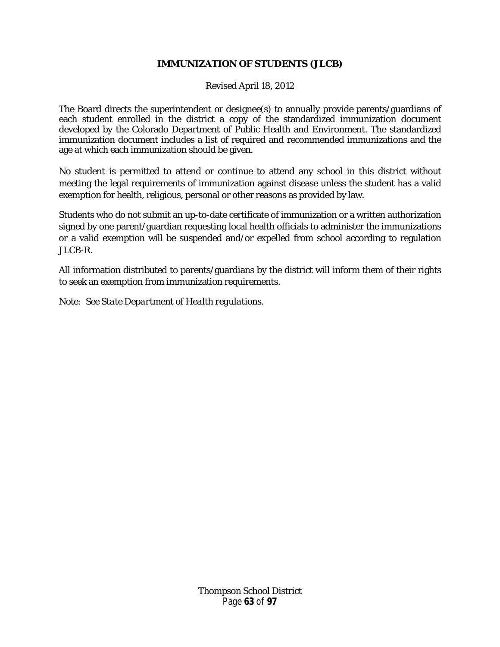## **IMMUNIZATION OF STUDENTS (JLCB)**

Revised April 18, 2012

The Board directs the superintendent or designee(s) to annually provide parents/guardians of each student enrolled in the district a copy of the standardized immunization document developed by the Colorado Department of Public Health and Environment. The standardized immunization document includes a list of required and recommended immunizations and the age at which each immunization should be given.

No student is permitted to attend or continue to attend any school in this district without meeting the legal requirements of immunization against disease unless the student has a valid exemption for health, religious, personal or other reasons as provided by law.

Students who do not submit an up-to-date certificate of immunization or a written authorization signed by one parent/guardian requesting local health officials to administer the immunizations or a valid exemption will be suspended and/or expelled from school according to regulation JLCB-R.

All information distributed to parents/guardians by the district will inform them of their rights to seek an exemption from immunization requirements.

*Note: See State Department of Health regulations.*

Thompson School District Page **63** of **97**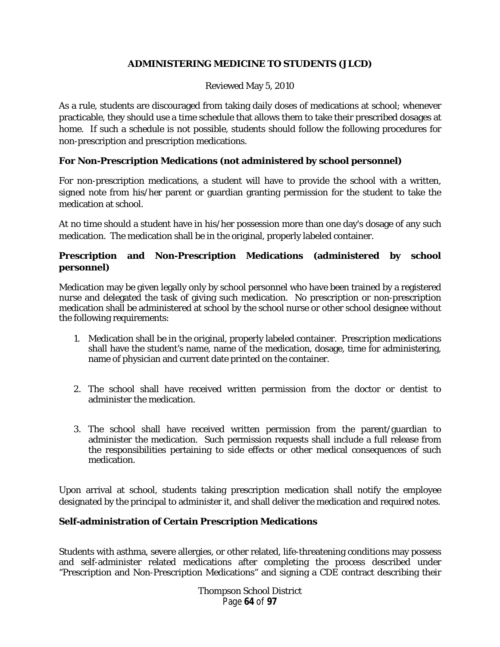# **ADMINISTERING MEDICINE TO STUDENTS (JLCD)**

### Reviewed May 5, 2010

As a rule, students are discouraged from taking daily doses of medications at school; whenever practicable, they should use a time schedule that allows them to take their prescribed dosages at home. If such a schedule is not possible, students should follow the following procedures for non-prescription and prescription medications.

## **For Non-Prescription Medications (not administered by school personnel)**

For non-prescription medications, a student will have to provide the school with a written, signed note from his/her parent or guardian granting permission for the student to take the medication at school.

At no time should a student have in his/her possession more than one day's dosage of any such medication. The medication shall be in the original, properly labeled container.

# **Prescription and Non-Prescription Medications (administered by school personnel)**

Medication may be given legally only by school personnel who have been trained by a registered nurse and delegated the task of giving such medication. No prescription or non-prescription medication shall be administered at school by the school nurse or other school designee without the following requirements:

- 1. Medication shall be in the original, properly labeled container. Prescription medications shall have the student's name, name of the medication, dosage, time for administering, name of physician and current date printed on the container.
- 2. The school shall have received written permission from the doctor or dentist to administer the medication.
- 3. The school shall have received written permission from the parent/guardian to administer the medication. Such permission requests shall include a full release from the responsibilities pertaining to side effects or other medical consequences of such medication.

Upon arrival at school, students taking prescription medication shall notify the employee designated by the principal to administer it, and shall deliver the medication and required notes.

# **Self-administration of Certain Prescription Medications**

Students with asthma, severe allergies, or other related, life-threatening conditions may possess and self-administer related medications after completing the process described under "Prescription and Non-Prescription Medications" and signing a CDE contract describing their

> Thompson School District Page **64** of **97**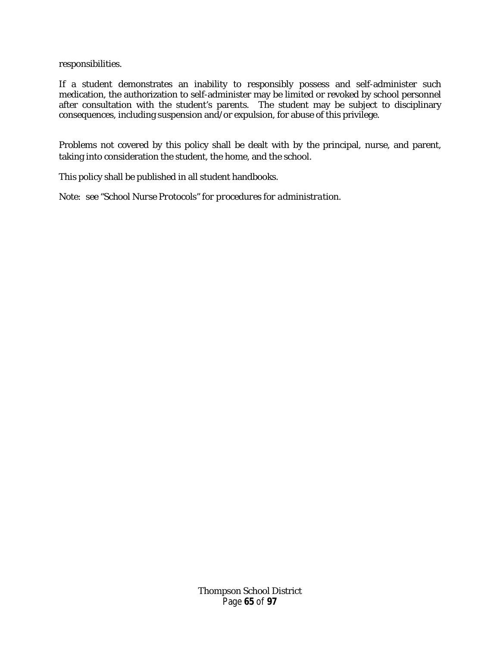responsibilities.

If a student demonstrates an inability to responsibly possess and self-administer such medication, the authorization to self-administer may be limited or revoked by school personnel after consultation with the student's parents. The student may be subject to disciplinary consequences, including suspension and/or expulsion, for abuse of this privilege.

Problems not covered by this policy shall be dealt with by the principal, nurse, and parent, taking into consideration the student, the home, and the school.

This policy shall be published in all student handbooks.

*Note: see "School Nurse Protocols" for procedures for administration.*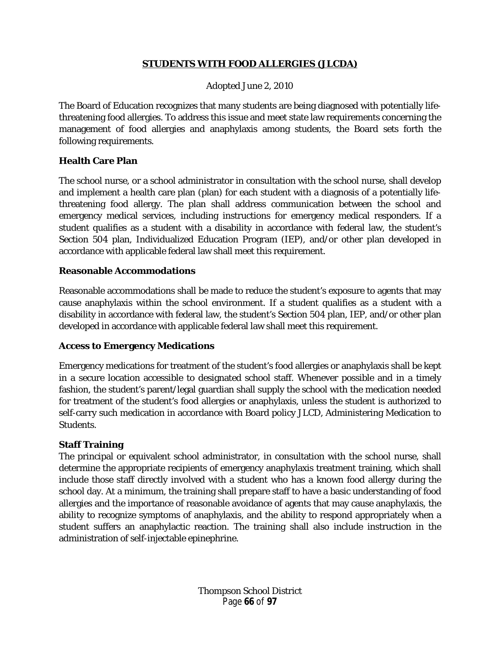## **STUDENTS WITH FOOD ALLERGIES (JLCDA)**

## Adopted June 2, 2010

The Board of Education recognizes that many students are being diagnosed with potentially lifethreatening food allergies. To address this issue and meet state law requirements concerning the management of food allergies and anaphylaxis among students, the Board sets forth the following requirements.

# **Health Care Plan**

The school nurse, or a school administrator in consultation with the school nurse, shall develop and implement a health care plan (plan) for each student with a diagnosis of a potentially lifethreatening food allergy. The plan shall address communication between the school and emergency medical services, including instructions for emergency medical responders. If a student qualifies as a student with a disability in accordance with federal law, the student's Section 504 plan, Individualized Education Program (IEP), and/or other plan developed in accordance with applicable federal law shall meet this requirement.

## **Reasonable Accommodations**

Reasonable accommodations shall be made to reduce the student's exposure to agents that may cause anaphylaxis within the school environment. If a student qualifies as a student with a disability in accordance with federal law, the student's Section 504 plan, IEP, and/or other plan developed in accordance with applicable federal law shall meet this requirement.

# **Access to Emergency Medications**

Emergency medications for treatment of the student's food allergies or anaphylaxis shall be kept in a secure location accessible to designated school staff. Whenever possible and in a timely fashion, the student's parent/legal guardian shall supply the school with the medication needed for treatment of the student's food allergies or anaphylaxis, unless the student is authorized to self-carry such medication in accordance with Board policy JLCD, Administering Medication to Students.

# **Staff Training**

The principal or equivalent school administrator, in consultation with the school nurse, shall determine the appropriate recipients of emergency anaphylaxis treatment training, which shall include those staff directly involved with a student who has a known food allergy during the school day. At a minimum, the training shall prepare staff to have a basic understanding of food allergies and the importance of reasonable avoidance of agents that may cause anaphylaxis, the ability to recognize symptoms of anaphylaxis, and the ability to respond appropriately when a student suffers an anaphylactic reaction. The training shall also include instruction in the administration of self-injectable epinephrine.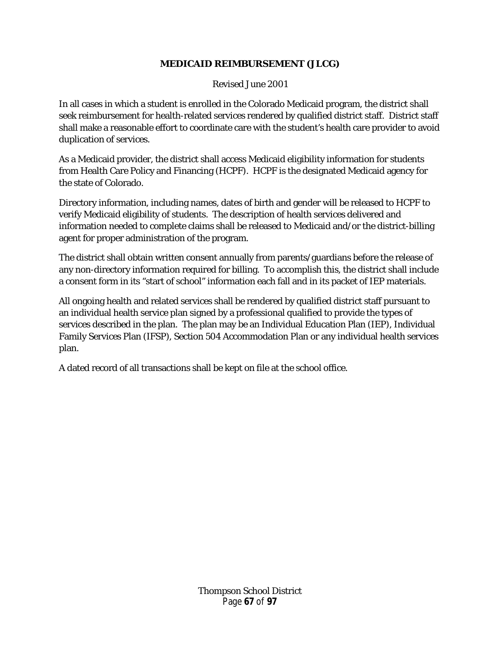# **MEDICAID REIMBURSEMENT (JLCG)**

Revised June 2001

In all cases in which a student is enrolled in the Colorado Medicaid program, the district shall seek reimbursement for health-related services rendered by qualified district staff. District staff shall make a reasonable effort to coordinate care with the student's health care provider to avoid duplication of services.

As a Medicaid provider, the district shall access Medicaid eligibility information for students from Health Care Policy and Financing (HCPF). HCPF is the designated Medicaid agency for the state of Colorado.

Directory information, including names, dates of birth and gender will be released to HCPF to verify Medicaid eligibility of students. The description of health services delivered and information needed to complete claims shall be released to Medicaid and/or the district-billing agent for proper administration of the program.

The district shall obtain written consent annually from parents/guardians before the release of any non-directory information required for billing. To accomplish this, the district shall include a consent form in its "start of school" information each fall and in its packet of IEP materials.

All ongoing health and related services shall be rendered by qualified district staff pursuant to an individual health service plan signed by a professional qualified to provide the types of services described in the plan. The plan may be an Individual Education Plan (IEP), Individual Family Services Plan (IFSP), Section 504 Accommodation Plan or any individual health services plan.

A dated record of all transactions shall be kept on file at the school office.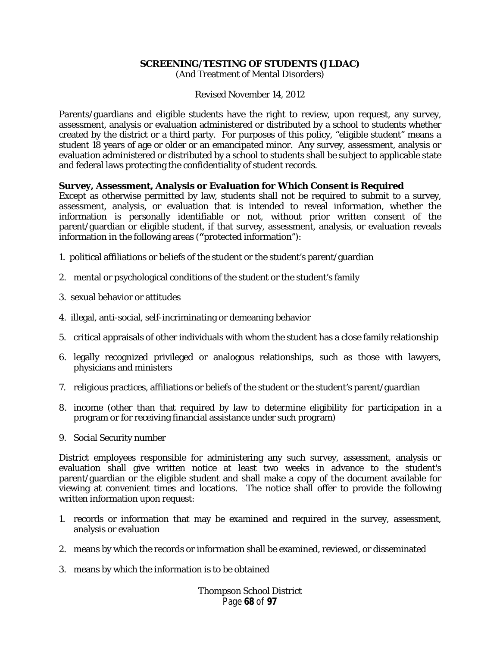#### **SCREENING/TESTING OF STUDENTS (JLDAC)**

(And Treatment of Mental Disorders)

Revised November 14, 2012

Parents/guardians and eligible students have the right to review, upon request, any survey, assessment, analysis or evaluation administered or distributed by a school to students whether created by the district or a third party. For purposes of this policy, "eligible student" means a student 18 years of age or older or an emancipated minor. Any survey, assessment, analysis or evaluation administered or distributed by a school to students shall be subject to applicable state and federal laws protecting the confidentiality of student records.

#### **Survey, Assessment, Analysis or Evaluation for Which Consent is Required**

Except as otherwise permitted by law, students shall not be required to submit to a survey, assessment, analysis, or evaluation that is intended to reveal information, whether the information is personally identifiable or not, without prior written consent of the parent/guardian or eligible student, if that survey, assessment, analysis, or evaluation reveals information in the following areas (**"**protected information"):

- 1. political affiliations or beliefs of the student or the student's parent/guardian
- 2. mental or psychological conditions of the student or the student's family
- 3. sexual behavior or attitudes
- 4. illegal, anti-social, self-incriminating or demeaning behavior
- 5. critical appraisals of other individuals with whom the student has a close family relationship
- 6. legally recognized privileged or analogous relationships, such as those with lawyers, physicians and ministers
- 7. religious practices, affiliations or beliefs of the student or the student's parent/guardian
- 8. income (other than that required by law to determine eligibility for participation in a program or for receiving financial assistance under such program)
- 9. Social Security number

District employees responsible for administering any such survey, assessment, analysis or evaluation shall give written notice at least two weeks in advance to the student's parent/guardian or the eligible student and shall make a copy of the document available for viewing at convenient times and locations. The notice shall offer to provide the following written information upon request:

- 1. records or information that may be examined and required in the survey, assessment, analysis or evaluation
- 2. means by which the records or information shall be examined, reviewed, or disseminated
- 3. means by which the information is to be obtained

Thompson School District Page **68** of **97**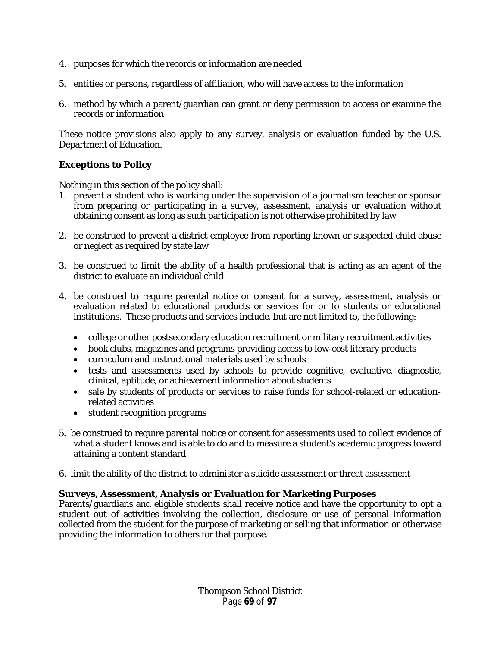- 4. purposes for which the records or information are needed
- 5. entities or persons, regardless of affiliation, who will have access to the information
- 6. method by which a parent/guardian can grant or deny permission to access or examine the records or information

These notice provisions also apply to any survey, analysis or evaluation funded by the U.S. Department of Education.

# **Exceptions to Policy**

Nothing in this section of the policy shall:

- 1. prevent a student who is working under the supervision of a journalism teacher or sponsor from preparing or participating in a survey, assessment, analysis or evaluation without obtaining consent as long as such participation is not otherwise prohibited by law
- 2. be construed to prevent a district employee from reporting known or suspected child abuse or neglect as required by state law
- 3. be construed to limit the ability of a health professional that is acting as an agent of the district to evaluate an individual child
- 4. be construed to require parental notice or consent for a survey, assessment, analysis or evaluation related to educational products or services for or to students or educational institutions. These products and services include, but are not limited to, the following:
	- college or other postsecondary education recruitment or military recruitment activities
	- book clubs, magazines and programs providing access to low-cost literary products
	- curriculum and instructional materials used by schools
	- tests and assessments used by schools to provide cognitive, evaluative, diagnostic, clinical, aptitude, or achievement information about students
	- sale by students of products or services to raise funds for school-related or educationrelated activities
	- student recognition programs
- 5. be construed to require parental notice or consent for assessments used to collect evidence of what a student knows and is able to do and to measure a student's academic progress toward attaining a content standard
- 6. limit the ability of the district to administer a suicide assessment or threat assessment

### **Surveys, Assessment, Analysis or Evaluation for Marketing Purposes**

Parents/guardians and eligible students shall receive notice and have the opportunity to opt a student out of activities involving the collection, disclosure or use of personal information collected from the student for the purpose of marketing or selling that information or otherwise providing the information to others for that purpose.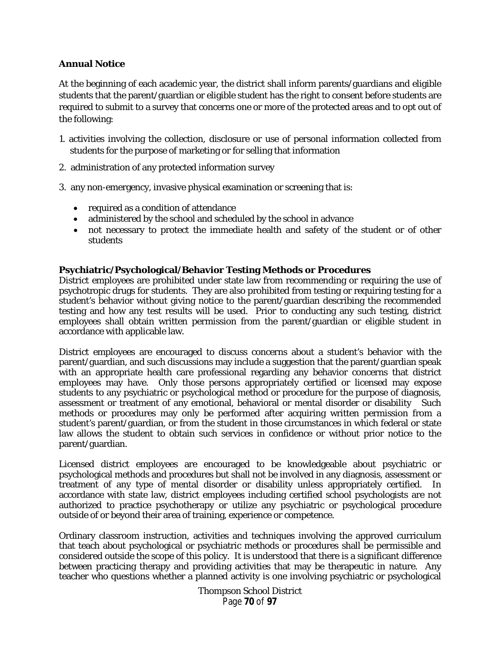## **Annual Notice**

At the beginning of each academic year, the district shall inform parents/guardians and eligible students that the parent/guardian or eligible student has the right to consent before students are required to submit to a survey that concerns one or more of the protected areas and to opt out of the following:

- 1. activities involving the collection, disclosure or use of personal information collected from students for the purpose of marketing or for selling that information
- 2. administration of any protected information survey
- 3. any non-emergency, invasive physical examination or screening that is:
	- required as a condition of attendance
	- administered by the school and scheduled by the school in advance
	- not necessary to protect the immediate health and safety of the student or of other students

### **Psychiatric/Psychological/Behavior Testing Methods or Procedures**

District employees are prohibited under state law from recommending or requiring the use of psychotropic drugs for students. They are also prohibited from testing or requiring testing for a student's behavior without giving notice to the parent/guardian describing the recommended testing and how any test results will be used. Prior to conducting any such testing, district employees shall obtain written permission from the parent/guardian or eligible student in accordance with applicable law.

District employees are encouraged to discuss concerns about a student's behavior with the parent/guardian, and such discussions may include a suggestion that the parent/guardian speak with an appropriate health care professional regarding any behavior concerns that district employees may have. Only those persons appropriately certified or licensed may expose students to any psychiatric or psychological method or procedure for the purpose of diagnosis, assessment or treatment of any emotional, behavioral or mental disorder or disability Such methods or procedures may only be performed after acquiring written permission from a student's parent/guardian, or from the student in those circumstances in which federal or state law allows the student to obtain such services in confidence or without prior notice to the parent/guardian.

Licensed district employees are encouraged to be knowledgeable about psychiatric or psychological methods and procedures but shall not be involved in any diagnosis, assessment or treatment of any type of mental disorder or disability unless appropriately certified. In accordance with state law, district employees including certified school psychologists are not authorized to practice psychotherapy or utilize any psychiatric or psychological procedure outside of or beyond their area of training, experience or competence.

Ordinary classroom instruction, activities and techniques involving the approved curriculum that teach about psychological or psychiatric methods or procedures shall be permissible and considered outside the scope of this policy. It is understood that there is a significant difference between practicing therapy and providing activities that may be therapeutic in nature. Any teacher who questions whether a planned activity is one involving psychiatric or psychological

> Thompson School District Page **70** of **97**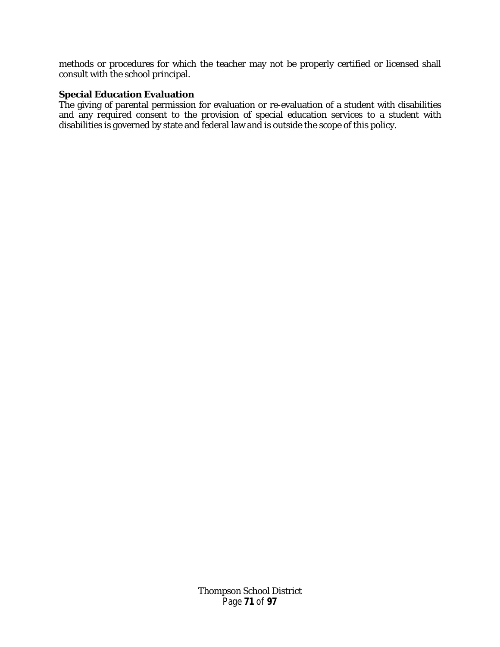methods or procedures for which the teacher may not be properly certified or licensed shall consult with the school principal.

### **Special Education Evaluation**

The giving of parental permission for evaluation or re-evaluation of a student with disabilities and any required consent to the provision of special education services to a student with disabilities is governed by state and federal law and is outside the scope of this policy.

> Thompson School District Page **71** of **97**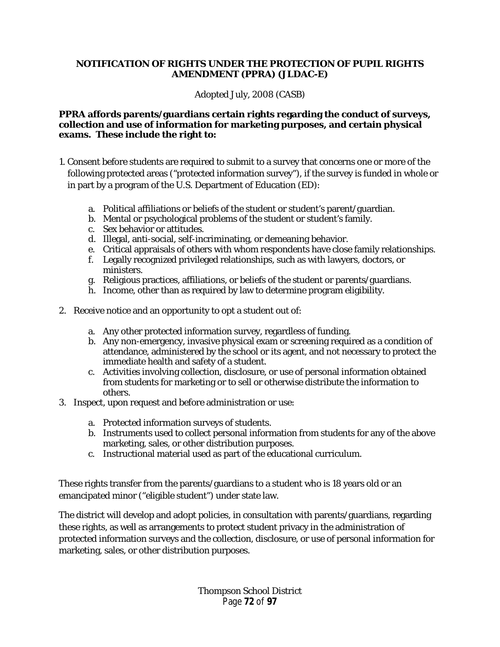## **NOTIFICATION OF RIGHTS UNDER THE PROTECTION OF PUPIL RIGHTS AMENDMENT (PPRA) (JLDAC-E)**

Adopted July, 2008 (CASB)

### **PPRA affords parents/guardians certain rights regarding the conduct of surveys, collection and use of information for marketing purposes, and certain physical exams. These include the right to:**

- 1. Consent before students are required to submit to a survey that concerns one or more of the following protected areas ("protected information survey"), if the survey is funded in whole or in part by a program of the U.S. Department of Education (ED):
	- a. Political affiliations or beliefs of the student or student's parent/guardian.
	- b. Mental or psychological problems of the student or student's family.
	- c. Sex behavior or attitudes.
	- d. Illegal, anti-social, self-incriminating, or demeaning behavior.
	- e. Critical appraisals of others with whom respondents have close family relationships.
	- f. Legally recognized privileged relationships, such as with lawyers, doctors, or ministers.
	- g. Religious practices, affiliations, or beliefs of the student or parents/guardians.
	- h. Income, other than as required by law to determine program eligibility.
- 2. Receive notice and an opportunity to opt a student out of:
	- a. Any other protected information survey, regardless of funding.
	- b. Any non-emergency, invasive physical exam or screening required as a condition of attendance, administered by the school or its agent, and not necessary to protect the immediate health and safety of a student.
	- c. Activities involving collection, disclosure, or use of personal information obtained from students for marketing or to sell or otherwise distribute the information to others.
- 3. Inspect, upon request and before administration or use:
	- a. Protected information surveys of students.
	- b. Instruments used to collect personal information from students for any of the above marketing, sales, or other distribution purposes.
	- c. Instructional material used as part of the educational curriculum.

These rights transfer from the parents/guardians to a student who is 18 years old or an emancipated minor ("eligible student") under state law.

The district will develop and adopt policies, in consultation with parents/guardians, regarding these rights, as well as arrangements to protect student privacy in the administration of protected information surveys and the collection, disclosure, or use of personal information for marketing, sales, or other distribution purposes.

> Thompson School District Page **72** of **97**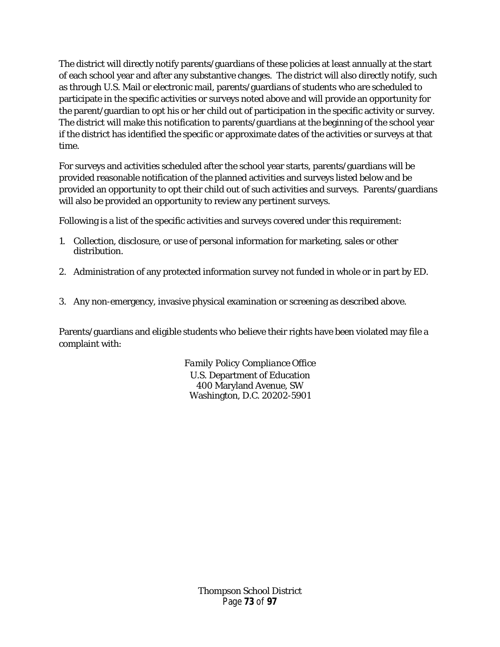The district will directly notify parents/guardians of these policies at least annually at the start of each school year and after any substantive changes. The district will also directly notify, such as through U.S. Mail or electronic mail, parents/guardians of students who are scheduled to participate in the specific activities or surveys noted above and will provide an opportunity for the parent/guardian to opt his or her child out of participation in the specific activity or survey. The district will make this notification to parents/guardians at the beginning of the school year if the district has identified the specific or approximate dates of the activities or surveys at that time.

For surveys and activities scheduled after the school year starts, parents/guardians will be provided reasonable notification of the planned activities and surveys listed below and be provided an opportunity to opt their child out of such activities and surveys. Parents/guardians will also be provided an opportunity to review any pertinent surveys.

Following is a list of the specific activities and surveys covered under this requirement:

- 1. Collection, disclosure, or use of personal information for marketing, sales or other distribution.
- 2. Administration of any protected information survey not funded in whole or in part by ED.
- 3. Any non-emergency, invasive physical examination or screening as described above.

Parents/guardians and eligible students who believe their rights have been violated may file a complaint with:

> *Family Policy Compliance Office* U.S. Department of Education 400 Maryland Avenue, SW Washington, D.C. 20202-5901

> > Thompson School District Page **73** of **97**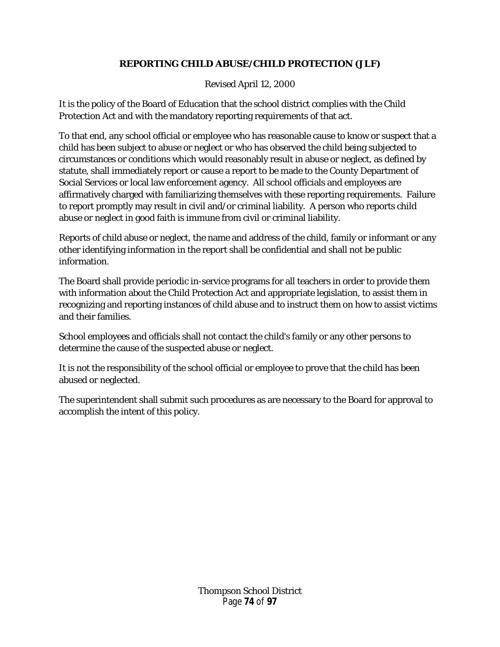# **REPORTING CHILD ABUSE/CHILD PROTECTION (JLF)**

# Revised April 12, 2000

It is the policy of the Board of Education that the school district complies with the Child Protection Act and with the mandatory reporting requirements of that act.

To that end, any school official or employee who has reasonable cause to know or suspect that a child has been subject to abuse or neglect or who has observed the child being subjected to circumstances or conditions which would reasonably result in abuse or neglect, as defined by statute, shall immediately report or cause a report to be made to the County Department of Social Services or local law enforcement agency. All school officials and employees are affirmatively charged with familiarizing themselves with these reporting requirements. Failure to report promptly may result in civil and/or criminal liability. A person who reports child abuse or neglect in good faith is immune from civil or criminal liability.

Reports of child abuse or neglect, the name and address of the child, family or informant or any other identifying information in the report shall be confidential and shall not be public information.

The Board shall provide periodic in-service programs for all teachers in order to provide them with information about the Child Protection Act and appropriate legislation, to assist them in recognizing and reporting instances of child abuse and to instruct them on how to assist victims and their families.

School employees and officials shall not contact the child's family or any other persons to determine the cause of the suspected abuse or neglect.

It is not the responsibility of the school official or employee to prove that the child has been abused or neglected.

The superintendent shall submit such procedures as are necessary to the Board for approval to accomplish the intent of this policy.

> Thompson School District Page **74** of **97**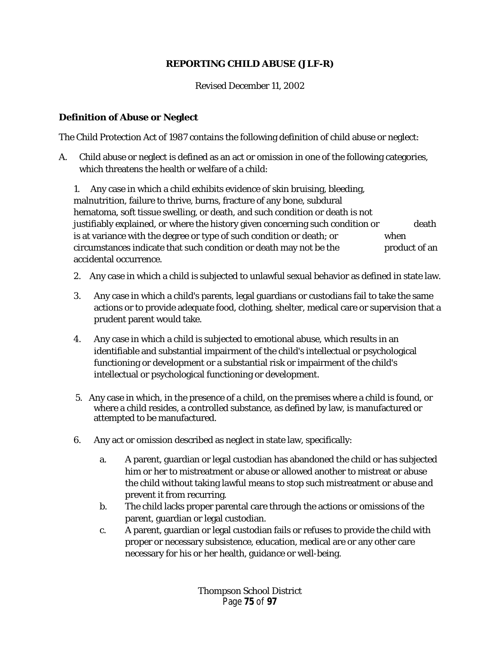# **REPORTING CHILD ABUSE (JLF-R)**

Revised December 11, 2002

## **Definition of Abuse or Neglect**

The Child Protection Act of 1987 contains the following definition of child abuse or neglect:

A. Child abuse or neglect is defined as an act or omission in one of the following categories, which threatens the health or welfare of a child:

1. Any case in which a child exhibits evidence of skin bruising, bleeding, malnutrition, failure to thrive, burns, fracture of any bone, subdural hematoma, soft tissue swelling, or death, and such condition or death is not justifiably explained, or where the history given concerning such condition or death is at variance with the degree or type of such condition or death; or when circumstances indicate that such condition or death may not be the product of an accidental occurrence.

- 2. Any case in which a child is subjected to unlawful sexual behavior as defined in state law.
- 3. Any case in which a child's parents, legal guardians or custodians fail to take the same actions or to provide adequate food, clothing, shelter, medical care or supervision that a prudent parent would take.
- 4. Any case in which a child is subjected to emotional abuse, which results in an identifiable and substantial impairment of the child's intellectual or psychological functioning or development or a substantial risk or impairment of the child's intellectual or psychological functioning or development.
- 5. Any case in which, in the presence of a child, on the premises where a child is found, or where a child resides, a controlled substance, as defined by law, is manufactured or attempted to be manufactured.
- 6. Any act or omission described as neglect in state law, specifically:
	- a. A parent, guardian or legal custodian has abandoned the child or has subjected him or her to mistreatment or abuse or allowed another to mistreat or abuse the child without taking lawful means to stop such mistreatment or abuse and prevent it from recurring.
	- b. The child lacks proper parental care through the actions or omissions of the parent, guardian or legal custodian.
	- c. A parent, guardian or legal custodian fails or refuses to provide the child with proper or necessary subsistence, education, medical are or any other care necessary for his or her health, guidance or well-being.

Thompson School District Page **75** of **97**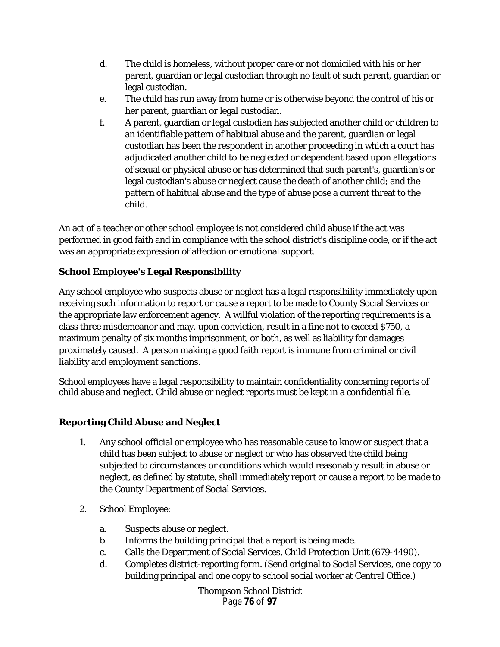- d. The child is homeless, without proper care or not domiciled with his or her parent, guardian or legal custodian through no fault of such parent, guardian or legal custodian.
- e. The child has run away from home or is otherwise beyond the control of his or her parent, guardian or legal custodian.
- f. A parent, guardian or legal custodian has subjected another child or children to an identifiable pattern of habitual abuse and the parent, guardian or legal custodian has been the respondent in another proceeding in which a court has adjudicated another child to be neglected or dependent based upon allegations of sexual or physical abuse or has determined that such parent's, guardian's or legal custodian's abuse or neglect cause the death of another child; and the pattern of habitual abuse and the type of abuse pose a current threat to the child.

An act of a teacher or other school employee is not considered child abuse if the act was performed in good faith and in compliance with the school district's discipline code, or if the act was an appropriate expression of affection or emotional support.

# **School Employee's Legal Responsibility**

Any school employee who suspects abuse or neglect has a legal responsibility immediately upon receiving such information to report or cause a report to be made to County Social Services or the appropriate law enforcement agency. A willful violation of the reporting requirements is a class three misdemeanor and may, upon conviction, result in a fine not to exceed \$750, a maximum penalty of six months imprisonment, or both, as well as liability for damages proximately caused. A person making a good faith report is immune from criminal or civil liability and employment sanctions.

School employees have a legal responsibility to maintain confidentiality concerning reports of child abuse and neglect. Child abuse or neglect reports must be kept in a confidential file.

# **Reporting Child Abuse and Neglect**

- 1. Any school official or employee who has reasonable cause to know or suspect that a child has been subject to abuse or neglect or who has observed the child being subjected to circumstances or conditions which would reasonably result in abuse or neglect, as defined by statute, shall immediately report or cause a report to be made to the County Department of Social Services.
- 2. School Employee:
	- a. Suspects abuse or neglect.
	- b. Informs the building principal that a report is being made.
	- c. Calls the Department of Social Services, Child Protection Unit (679-4490).
	- d. Completes district-reporting form. (Send original to Social Services, one copy to building principal and one copy to school social worker at Central Office.)

Thompson School District Page **76** of **97**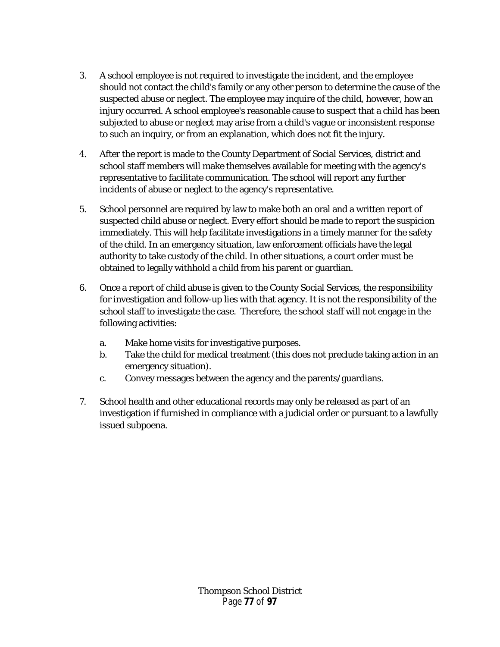- 3. A school employee is not required to investigate the incident, and the employee should not contact the child's family or any other person to determine the cause of the suspected abuse or neglect. The employee may inquire of the child, however, how an injury occurred. A school employee's reasonable cause to suspect that a child has been subjected to abuse or neglect may arise from a child's vague or inconsistent response to such an inquiry, or from an explanation, which does not fit the injury.
- 4. After the report is made to the County Department of Social Services, district and school staff members will make themselves available for meeting with the agency's representative to facilitate communication. The school will report any further incidents of abuse or neglect to the agency's representative.
- 5. School personnel are required by law to make both an oral and a written report of suspected child abuse or neglect. Every effort should be made to report the suspicion immediately. This will help facilitate investigations in a timely manner for the safety of the child. In an emergency situation, law enforcement officials have the legal authority to take custody of the child. In other situations, a court order must be obtained to legally withhold a child from his parent or guardian.
- 6. Once a report of child abuse is given to the County Social Services, the responsibility for investigation and follow-up lies with that agency. It is not the responsibility of the school staff to investigate the case. Therefore, the school staff will not engage in the following activities:
	- a. Make home visits for investigative purposes.
	- b. Take the child for medical treatment (this does not preclude taking action in an emergency situation).
	- c. Convey messages between the agency and the parents/guardians.
- 7. School health and other educational records may only be released as part of an investigation if furnished in compliance with a judicial order or pursuant to a lawfully issued subpoena.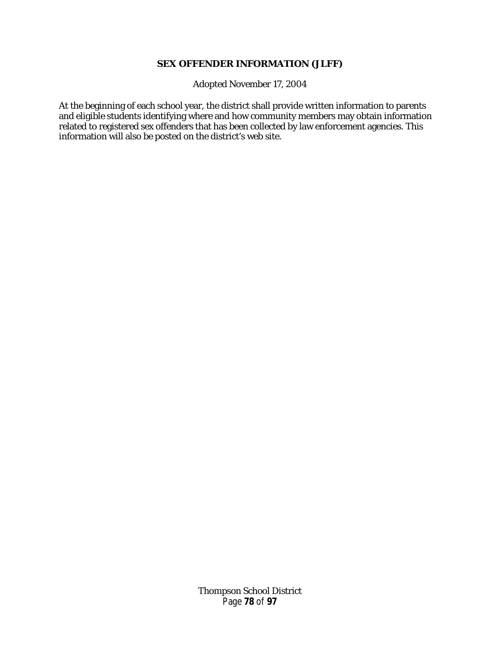#### **SEX OFFENDER INFORMATION (JLFF)**

Adopted November 17, 2004

At the beginning of each school year, the district shall provide written information to parents and eligible students identifying where and how community members may obtain information related to registered sex offenders that has been collected by law enforcement agencies. This information will also be posted on the district's web site.

> Thompson School District Page **78** of **97**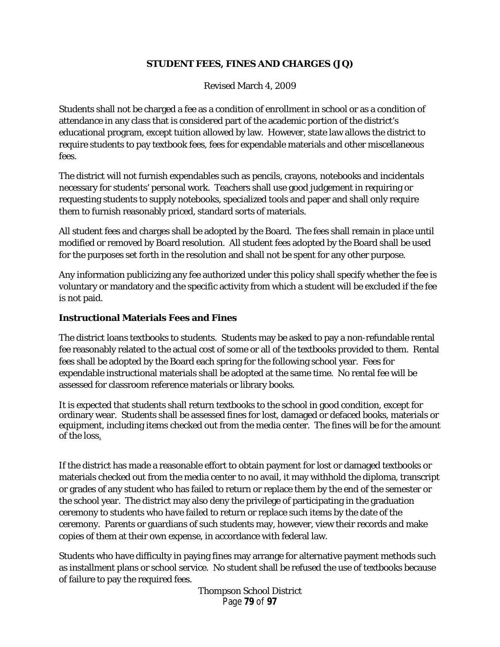# **STUDENT FEES, FINES AND CHARGES (JQ)**

Revised March 4, 2009

Students shall not be charged a fee as a condition of enrollment in school or as a condition of attendance in any class that is considered part of the academic portion of the district's educational program, except tuition allowed by law. However, state law allows the district to require students to pay textbook fees, fees for expendable materials and other miscellaneous fees.

The district will not furnish expendables such as pencils, crayons, notebooks and incidentals necessary for students' personal work. Teachers shall use good judgement in requiring or requesting students to supply notebooks, specialized tools and paper and shall only require them to furnish reasonably priced, standard sorts of materials.

All student fees and charges shall be adopted by the Board. The fees shall remain in place until modified or removed by Board resolution. All student fees adopted by the Board shall be used for the purposes set forth in the resolution and shall not be spent for any other purpose.

Any information publicizing any fee authorized under this policy shall specify whether the fee is voluntary or mandatory and the specific activity from which a student will be excluded if the fee is not paid.

## **Instructional Materials Fees and Fines**

The district loans textbooks to students. Students may be asked to pay a non-refundable rental fee reasonably related to the actual cost of some or all of the textbooks provided to them. Rental fees shall be adopted by the Board each spring for the following school year. Fees for expendable instructional materials shall be adopted at the same time. No rental fee will be assessed for classroom reference materials or library books.

It is expected that students shall return textbooks to the school in good condition, except for ordinary wear. Students shall be assessed fines for lost, damaged or defaced books, materials or equipment, including items checked out from the media center. The fines will be for the amount of the loss.

If the district has made a reasonable effort to obtain payment for lost or damaged textbooks or materials checked out from the media center to no avail, it may withhold the diploma, transcript or grades of any student who has failed to return or replace them by the end of the semester or the school year. The district may also deny the privilege of participating in the graduation ceremony to students who have failed to return or replace such items by the date of the ceremony. Parents or guardians of such students may, however, view their records and make copies of them at their own expense, in accordance with federal law.

Students who have difficulty in paying fines may arrange for alternative payment methods such as installment plans or school service. No student shall be refused the use of textbooks because of failure to pay the required fees.

> Thompson School District Page **79** of **97**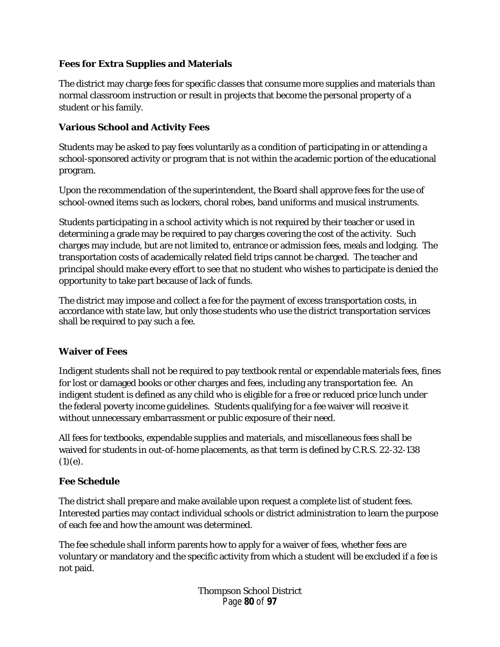# **Fees for Extra Supplies and Materials**

The district may charge fees for specific classes that consume more supplies and materials than normal classroom instruction or result in projects that become the personal property of a student or his family.

# **Various School and Activity Fees**

Students may be asked to pay fees voluntarily as a condition of participating in or attending a school-sponsored activity or program that is not within the academic portion of the educational program.

Upon the recommendation of the superintendent, the Board shall approve fees for the use of school-owned items such as lockers, choral robes, band uniforms and musical instruments.

Students participating in a school activity which is not required by their teacher or used in determining a grade may be required to pay charges covering the cost of the activity. Such charges may include, but are not limited to, entrance or admission fees, meals and lodging. The transportation costs of academically related field trips cannot be charged. The teacher and principal should make every effort to see that no student who wishes to participate is denied the opportunity to take part because of lack of funds.

The district may impose and collect a fee for the payment of excess transportation costs, in accordance with state law, but only those students who use the district transportation services shall be required to pay such a fee.

# **Waiver of Fees**

Indigent students shall not be required to pay textbook rental or expendable materials fees, fines for lost or damaged books or other charges and fees, including any transportation fee. An indigent student is defined as any child who is eligible for a free or reduced price lunch under the federal poverty income guidelines. Students qualifying for a fee waiver will receive it without unnecessary embarrassment or public exposure of their need.

All fees for textbooks, expendable supplies and materials, and miscellaneous fees shall be waived for students in out-of-home placements, as that term is defined by C.R.S. 22-32-138  $(1)(e)$ .

# **Fee Schedule**

The district shall prepare and make available upon request a complete list of student fees. Interested parties may contact individual schools or district administration to learn the purpose of each fee and how the amount was determined.

The fee schedule shall inform parents how to apply for a waiver of fees, whether fees are voluntary or mandatory and the specific activity from which a student will be excluded if a fee is not paid.

> Thompson School District Page **80** of **97**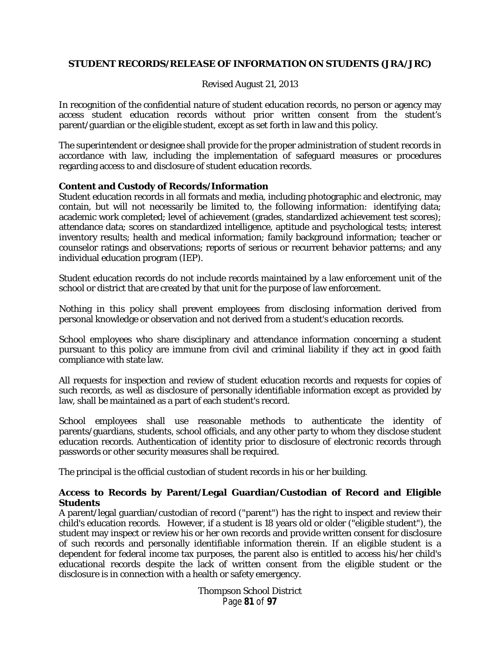## **STUDENT RECORDS/RELEASE OF INFORMATION ON STUDENTS (JRA/JRC)**

### Revised August 21, 2013

In recognition of the confidential nature of student education records, no person or agency may access student education records without prior written consent from the student's parent/guardian or the eligible student, except as set forth in law and this policy.

The superintendent or designee shall provide for the proper administration of student records in accordance with law, including the implementation of safeguard measures or procedures regarding access to and disclosure of student education records.

#### **Content and Custody of Records/Information**

Student education records in all formats and media, including photographic and electronic, may contain, but will not necessarily be limited to, the following information: identifying data; academic work completed; level of achievement (grades, standardized achievement test scores); attendance data; scores on standardized intelligence, aptitude and psychological tests; interest inventory results; health and medical information; family background information; teacher or counselor ratings and observations; reports of serious or recurrent behavior patterns; and any individual education program (IEP).

Student education records do not include records maintained by a law enforcement unit of the school or district that are created by that unit for the purpose of law enforcement.

Nothing in this policy shall prevent employees from disclosing information derived from personal knowledge or observation and not derived from a student's education records.

School employees who share disciplinary and attendance information concerning a student pursuant to this policy are immune from civil and criminal liability if they act in good faith compliance with state law.

All requests for inspection and review of student education records and requests for copies of such records, as well as disclosure of personally identifiable information except as provided by law, shall be maintained as a part of each student's record.

School employees shall use reasonable methods to authenticate the identity of parents/guardians, students, school officials, and any other party to whom they disclose student education records. Authentication of identity prior to disclosure of electronic records through passwords or other security measures shall be required.

The principal is the official custodian of student records in his or her building.

## **Access to Records by Parent/Legal Guardian/Custodian of Record and Eligible Students**

A parent/legal guardian/custodian of record ("parent") has the right to inspect and review their child's education records. However, if a student is 18 years old or older ("eligible student"), the student may inspect or review his or her own records and provide written consent for disclosure of such records and personally identifiable information therein. If an eligible student is a dependent for federal income tax purposes, the parent also is entitled to access his/her child's educational records despite the lack of written consent from the eligible student or the disclosure is in connection with a health or safety emergency.

> Thompson School District Page **81** of **97**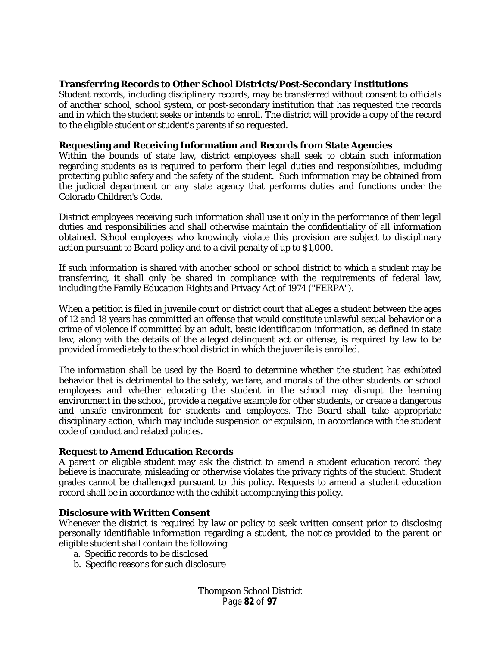### **Transferring Records to Other School Districts/Post-Secondary Institutions**

Student records, including disciplinary records, may be transferred without consent to officials of another school, school system, or post-secondary institution that has requested the records and in which the student seeks or intends to enroll. The district will provide a copy of the record to the eligible student or student's parents if so requested.

#### **Requesting and Receiving Information and Records from State Agencies**

Within the bounds of state law, district employees shall seek to obtain such information regarding students as is required to perform their legal duties and responsibilities, including protecting public safety and the safety of the student. Such information may be obtained from the judicial department or any state agency that performs duties and functions under the Colorado Children's Code.

District employees receiving such information shall use it only in the performance of their legal duties and responsibilities and shall otherwise maintain the confidentiality of all information obtained. School employees who knowingly violate this provision are subject to disciplinary action pursuant to Board policy and to a civil penalty of up to \$1,000.

If such information is shared with another school or school district to which a student may be transferring, it shall only be shared in compliance with the requirements of federal law, including the Family Education Rights and Privacy Act of 1974 ("FERPA").

When a petition is filed in juvenile court or district court that alleges a student between the ages of 12 and 18 years has committed an offense that would constitute unlawful sexual behavior or a crime of violence if committed by an adult, basic identification information, as defined in state law, along with the details of the alleged delinquent act or offense, is required by law to be provided immediately to the school district in which the juvenile is enrolled.

The information shall be used by the Board to determine whether the student has exhibited behavior that is detrimental to the safety, welfare, and morals of the other students or school employees and whether educating the student in the school may disrupt the learning environment in the school, provide a negative example for other students, or create a dangerous and unsafe environment for students and employees. The Board shall take appropriate disciplinary action, which may include suspension or expulsion, in accordance with the student code of conduct and related policies.

## **Request to Amend Education Records**

A parent or eligible student may ask the district to amend a student education record they believe is inaccurate, misleading or otherwise violates the privacy rights of the student. Student grades cannot be challenged pursuant to this policy. Requests to amend a student education record shall be in accordance with the exhibit accompanying this policy.

#### **Disclosure with Written Consent**

Whenever the district is required by law or policy to seek written consent prior to disclosing personally identifiable information regarding a student, the notice provided to the parent or eligible student shall contain the following:

- a. Specific records to be disclosed
- b. Specific reasons for such disclosure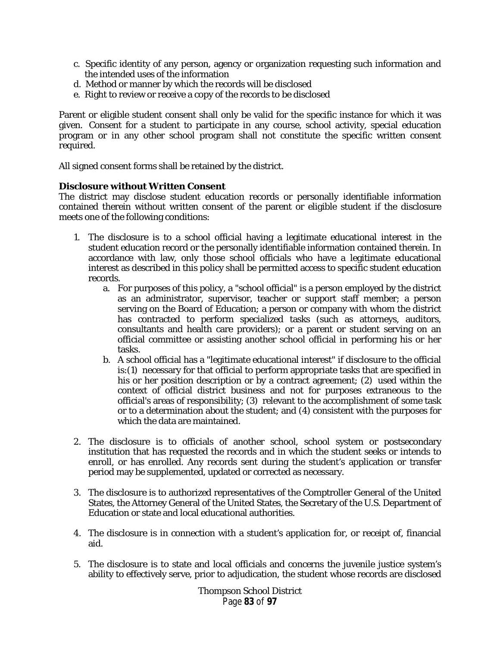- c. Specific identity of any person, agency or organization requesting such information and the intended uses of the information
- d. Method or manner by which the records will be disclosed
- e. Right to review or receive a copy of the records to be disclosed

Parent or eligible student consent shall only be valid for the specific instance for which it was given. Consent for a student to participate in any course, school activity, special education program or in any other school program shall not constitute the specific written consent required.

All signed consent forms shall be retained by the district.

#### **Disclosure without Written Consent**

The district may disclose student education records or personally identifiable information contained therein without written consent of the parent or eligible student if the disclosure meets one of the following conditions:

- 1. The disclosure is to a school official having a legitimate educational interest in the student education record or the personally identifiable information contained therein. In accordance with law, only those school officials who have a legitimate educational interest as described in this policy shall be permitted access to specific student education records.
	- a. For purposes of this policy, a "school official" is a person employed by the district as an administrator, supervisor, teacher or support staff member; a person serving on the Board of Education; a person or company with whom the district has contracted to perform specialized tasks (such as attorneys, auditors, consultants and health care providers); or a parent or student serving on an official committee or assisting another school official in performing his or her tasks.
	- b. A school official has a "legitimate educational interest" if disclosure to the official is:(1) necessary for that official to perform appropriate tasks that are specified in his or her position description or by a contract agreement; (2) used within the context of official district business and not for purposes extraneous to the official's areas of responsibility; (3) relevant to the accomplishment of some task or to a determination about the student; and (4) consistent with the purposes for which the data are maintained.
- 2. The disclosure is to officials of another school, school system or postsecondary institution that has requested the records and in which the student seeks or intends to enroll, or has enrolled. Any records sent during the student's application or transfer period may be supplemented, updated or corrected as necessary.
- 3. The disclosure is to authorized representatives of the Comptroller General of the United States, the Attorney General of the United States, the Secretary of the U.S. Department of Education or state and local educational authorities.
- 4. The disclosure is in connection with a student's application for, or receipt of, financial aid.
- 5. The disclosure is to state and local officials and concerns the juvenile justice system's ability to effectively serve, prior to adjudication, the student whose records are disclosed

Thompson School District Page **83** of **97**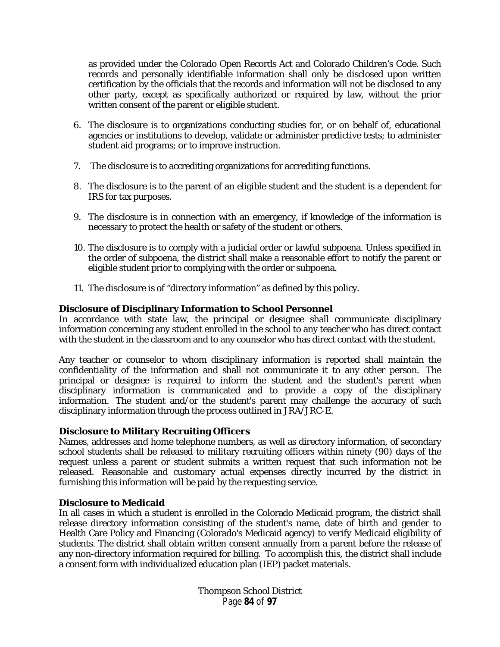as provided under the Colorado Open Records Act and Colorado Children's Code. Such records and personally identifiable information shall only be disclosed upon written certification by the officials that the records and information will not be disclosed to any other party, except as specifically authorized or required by law, without the prior written consent of the parent or eligible student.

- 6. The disclosure is to organizations conducting studies for, or on behalf of, educational agencies or institutions to develop, validate or administer predictive tests; to administer student aid programs; or to improve instruction.
- 7. The disclosure is to accrediting organizations for accrediting functions.
- 8. The disclosure is to the parent of an eligible student and the student is a dependent for IRS for tax purposes.
- 9. The disclosure is in connection with an emergency, if knowledge of the information is necessary to protect the health or safety of the student or others.
- 10. The disclosure is to comply with a judicial order or lawful subpoena. Unless specified in the order of subpoena, the district shall make a reasonable effort to notify the parent or eligible student prior to complying with the order or subpoena.
- 11. The disclosure is of "directory information" as defined by this policy.

## **Disclosure of Disciplinary Information to School Personnel**

In accordance with state law, the principal or designee shall communicate disciplinary information concerning any student enrolled in the school to any teacher who has direct contact with the student in the classroom and to any counselor who has direct contact with the student.

Any teacher or counselor to whom disciplinary information is reported shall maintain the confidentiality of the information and shall not communicate it to any other person. The principal or designee is required to inform the student and the student's parent when disciplinary information is communicated and to provide a copy of the disciplinary information. The student and/or the student's parent may challenge the accuracy of such disciplinary information through the process outlined in JRA/JRC-E.

#### **Disclosure to Military Recruiting Officers**

Names, addresses and home telephone numbers, as well as directory information, of secondary school students shall be released to military recruiting officers within ninety (90) days of the request unless a parent or student submits a written request that such information not be released. Reasonable and customary actual expenses directly incurred by the district in furnishing this information will be paid by the requesting service.

#### **Disclosure to Medicaid**

In all cases in which a student is enrolled in the Colorado Medicaid program, the district shall release directory information consisting of the student's name, date of birth and gender to Health Care Policy and Financing (Colorado's Medicaid agency) to verify Medicaid eligibility of students. The district shall obtain written consent annually from a parent before the release of any non-directory information required for billing. To accomplish this, the district shall include a consent form with individualized education plan (IEP) packet materials.

> Thompson School District Page **84** of **97**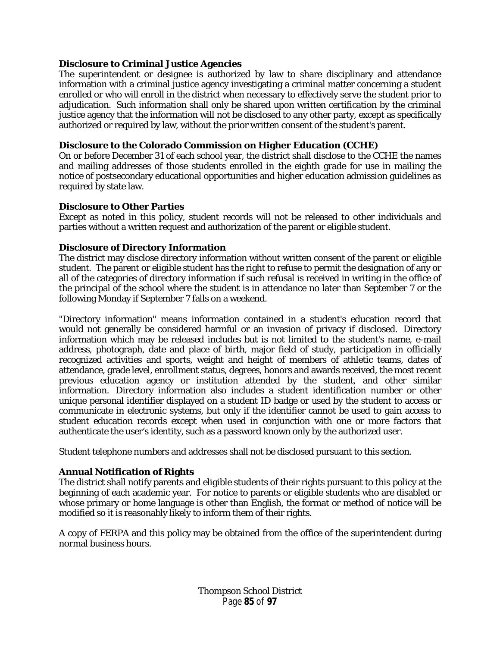## **Disclosure to Criminal Justice Agencies**

The superintendent or designee is authorized by law to share disciplinary and attendance information with a criminal justice agency investigating a criminal matter concerning a student enrolled or who will enroll in the district when necessary to effectively serve the student prior to adjudication. Such information shall only be shared upon written certification by the criminal justice agency that the information will not be disclosed to any other party, except as specifically authorized or required by law, without the prior written consent of the student's parent.

### **Disclosure to the Colorado Commission on Higher Education (CCHE)**

On or before December 31 of each school year, the district shall disclose to the CCHE the names and mailing addresses of those students enrolled in the eighth grade for use in mailing the notice of postsecondary educational opportunities and higher education admission guidelines as required by state law.

#### **Disclosure to Other Parties**

Except as noted in this policy, student records will not be released to other individuals and parties without a written request and authorization of the parent or eligible student.

## **Disclosure of Directory Information**

The district may disclose directory information without written consent of the parent or eligible student. The parent or eligible student has the right to refuse to permit the designation of any or all of the categories of directory information if such refusal is received in writing in the office of the principal of the school where the student is in attendance no later than September 7 or the following Monday if September 7 falls on a weekend.

"Directory information" means information contained in a student's education record that would not generally be considered harmful or an invasion of privacy if disclosed. Directory information which may be released includes but is not limited to the student's name, e-mail address, photograph, date and place of birth, major field of study, participation in officially recognized activities and sports, weight and height of members of athletic teams, dates of attendance, grade level, enrollment status, degrees, honors and awards received, the most recent previous education agency or institution attended by the student, and other similar information. Directory information also includes a student identification number or other unique personal identifier displayed on a student ID badge or used by the student to access or communicate in electronic systems, but only if the identifier cannot be used to gain access to student education records except when used in conjunction with one or more factors that authenticate the user's identity, such as a password known only by the authorized user.

Student telephone numbers and addresses shall not be disclosed pursuant to this section.

## **Annual Notification of Rights**

The district shall notify parents and eligible students of their rights pursuant to this policy at the beginning of each academic year. For notice to parents or eligible students who are disabled or whose primary or home language is other than English, the format or method of notice will be modified so it is reasonably likely to inform them of their rights.

A copy of FERPA and this policy may be obtained from the office of the superintendent during normal business hours.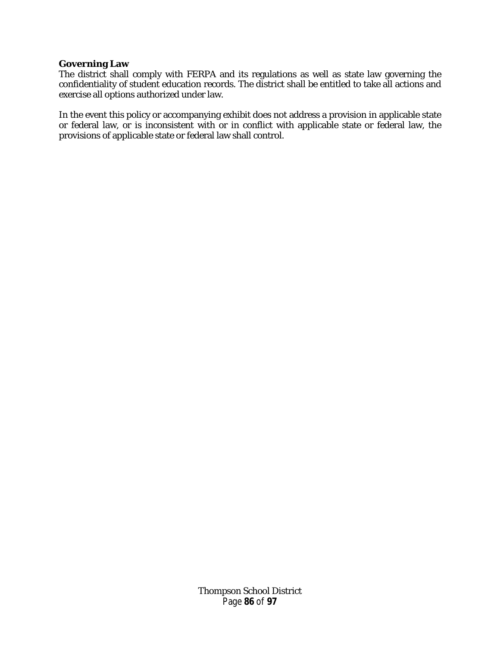#### **Governing Law**

The district shall comply with FERPA and its regulations as well as state law governing the confidentiality of student education records. The district shall be entitled to take all actions and exercise all options authorized under law.

In the event this policy or accompanying exhibit does not address a provision in applicable state or federal law, or is inconsistent with or in conflict with applicable state or federal law, the provisions of applicable state or federal law shall control.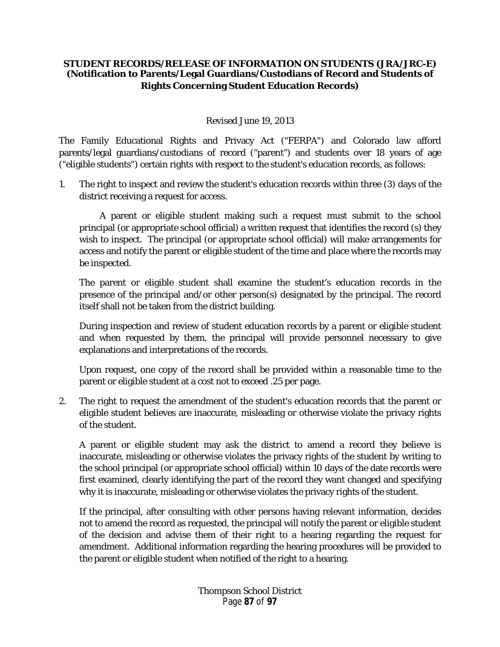## **STUDENT RECORDS/RELEASE OF INFORMATION ON STUDENTS (JRA/JRC-E) (Notification to Parents/Legal Guardians/Custodians of Record and Students of Rights Concerning Student Education Records)**

## Revised June 19, 2013

The Family Educational Rights and Privacy Act ("FERPA") and Colorado law afford parents/legal guardians/custodians of record ("parent") and students over 18 years of age ("eligible students") certain rights with respect to the student's education records, as follows:

1. The right to inspect and review the student's education records within three (3) days of the district receiving a request for access.

A parent or eligible student making such a request must submit to the school principal (or appropriate school official) a written request that identifies the record (s) they wish to inspect. The principal (or appropriate school official) will make arrangements for access and notify the parent or eligible student of the time and place where the records may be inspected.

The parent or eligible student shall examine the student's education records in the presence of the principal and/or other person(s) designated by the principal. The record itself shall not be taken from the district building.

During inspection and review of student education records by a parent or eligible student and when requested by them, the principal will provide personnel necessary to give explanations and interpretations of the records.

Upon request, one copy of the record shall be provided within a reasonable time to the parent or eligible student at a cost not to exceed .25 per page.

2. The right to request the amendment of the student's education records that the parent or eligible student believes are inaccurate, misleading or otherwise violate the privacy rights of the student.

A parent or eligible student may ask the district to amend a record they believe is inaccurate, misleading or otherwise violates the privacy rights of the student by writing to the school principal (or appropriate school official) within 10 days of the date records were first examined, clearly identifying the part of the record they want changed and specifying why it is inaccurate, misleading or otherwise violates the privacy rights of the student.

If the principal, after consulting with other persons having relevant information, decides not to amend the record as requested, the principal will notify the parent or eligible student of the decision and advise them of their right to a hearing regarding the request for amendment. Additional information regarding the hearing procedures will be provided to the parent or eligible student when notified of the right to a hearing.

> Thompson School District Page **87** of **97**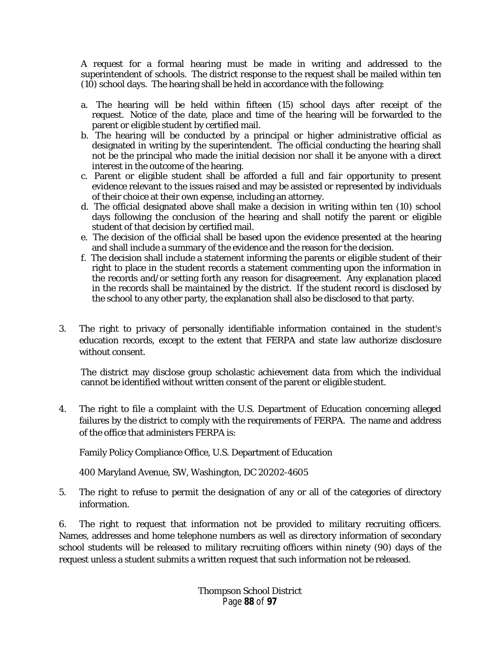A request for a formal hearing must be made in writing and addressed to the superintendent of schools. The district response to the request shall be mailed within ten (10) school days. The hearing shall be held in accordance with the following:

- a. The hearing will be held within fifteen (15) school days after receipt of the request. Notice of the date, place and time of the hearing will be forwarded to the parent or eligible student by certified mail.
- b. The hearing will be conducted by a principal or higher administrative official as designated in writing by the superintendent. The official conducting the hearing shall not be the principal who made the initial decision nor shall it be anyone with a direct interest in the outcome of the hearing.
- c. Parent or eligible student shall be afforded a full and fair opportunity to present evidence relevant to the issues raised and may be assisted or represented by individuals of their choice at their own expense, including an attorney.
- d. The official designated above shall make a decision in writing within ten (10) school days following the conclusion of the hearing and shall notify the parent or eligible student of that decision by certified mail.
- e. The decision of the official shall be based upon the evidence presented at the hearing and shall include a summary of the evidence and the reason for the decision.
- f. The decision shall include a statement informing the parents or eligible student of their right to place in the student records a statement commenting upon the information in the records and/or setting forth any reason for disagreement. Any explanation placed in the records shall be maintained by the district. If the student record is disclosed by the school to any other party, the explanation shall also be disclosed to that party.
- 3. The right to privacy of personally identifiable information contained in the student's education records, except to the extent that FERPA and state law authorize disclosure without consent.

The district may disclose group scholastic achievement data from which the individual cannot be identified without written consent of the parent or eligible student.

4. The right to file a complaint with the U.S. Department of Education concerning alleged failures by the district to comply with the requirements of FERPA. The name and address of the office that administers FERPA is:

Family Policy Compliance Office, U.S. Department of Education

400 Maryland Avenue, SW, Washington, DC 20202-4605

5. The right to refuse to permit the designation of any or all of the categories of directory information.

6. The right to request that information not be provided to military recruiting officers. Names, addresses and home telephone numbers as well as directory information of secondary school students will be released to military recruiting officers within ninety (90) days of the request unless a student submits a written request that such information not be released.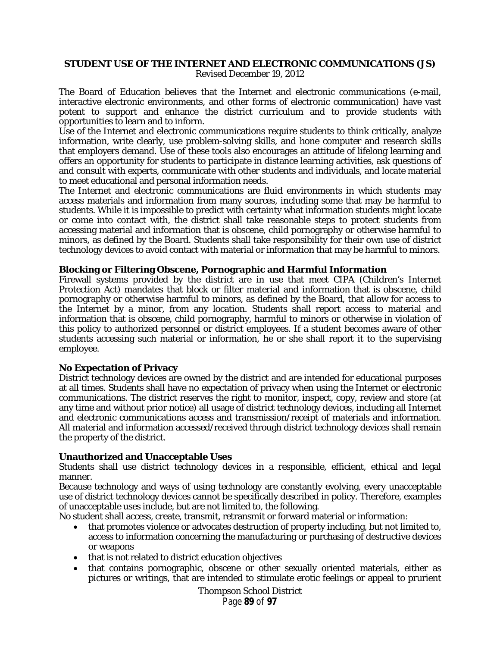# **STUDENT USE OF THE INTERNET AND ELECTRONIC COMMUNICATIONS (JS)**

Revised December 19, 2012

The Board of Education believes that the Internet and electronic communications (e-mail, interactive electronic environments, and other forms of electronic communication) have vast potent to support and enhance the district curriculum and to provide students with opportunities to learn and to inform.

Use of the Internet and electronic communications require students to think critically, analyze information, write clearly, use problem-solving skills, and hone computer and research skills that employers demand. Use of these tools also encourages an attitude of lifelong learning and offers an opportunity for students to participate in distance learning activities, ask questions of and consult with experts, communicate with other students and individuals, and locate material to meet educational and personal information needs.

The Internet and electronic communications are fluid environments in which students may access materials and information from many sources, including some that may be harmful to students. While it is impossible to predict with certainty what information students might locate or come into contact with, the district shall take reasonable steps to protect students from accessing material and information that is obscene, child pornography or otherwise harmful to minors, as defined by the Board. Students shall take responsibility for their own use of district technology devices to avoid contact with material or information that may be harmful to minors.

#### **Blocking or Filtering Obscene, Pornographic and Harmful Information**

Firewall systems provided by the district are in use that meet CIPA (Children's Internet Protection Act) mandates that block or filter material and information that is obscene, child pornography or otherwise harmful to minors, as defined by the Board, that allow for access to the Internet by a minor, from any location. Students shall report access to material and information that is obscene, child pornography, harmful to minors or otherwise in violation of this policy to authorized personnel or district employees. If a student becomes aware of other students accessing such material or information, he or she shall report it to the supervising employee.

## **No Expectation of Privacy**

District technology devices are owned by the district and are intended for educational purposes at all times. Students shall have no expectation of privacy when using the Internet or electronic communications. The district reserves the right to monitor, inspect, copy, review and store (at any time and without prior notice) all usage of district technology devices, including all Internet and electronic communications access and transmission/receipt of materials and information. All material and information accessed/received through district technology devices shall remain the property of the district.

## **Unauthorized and Unacceptable Uses**

Students shall use district technology devices in a responsible, efficient, ethical and legal manner.

Because technology and ways of using technology are constantly evolving, every unacceptable use of district technology devices cannot be specifically described in policy. Therefore, examples of unacceptable uses include, but are not limited to, the following.

No student shall access, create, transmit, retransmit or forward material or information:

- that promotes violence or advocates destruction of property including, but not limited to, access to information concerning the manufacturing or purchasing of destructive devices or weapons
- that is not related to district education objectives
- that contains pornographic, obscene or other sexually oriented materials, either as pictures or writings, that are intended to stimulate erotic feelings or appeal to prurient

Thompson School District Page **89** of **97**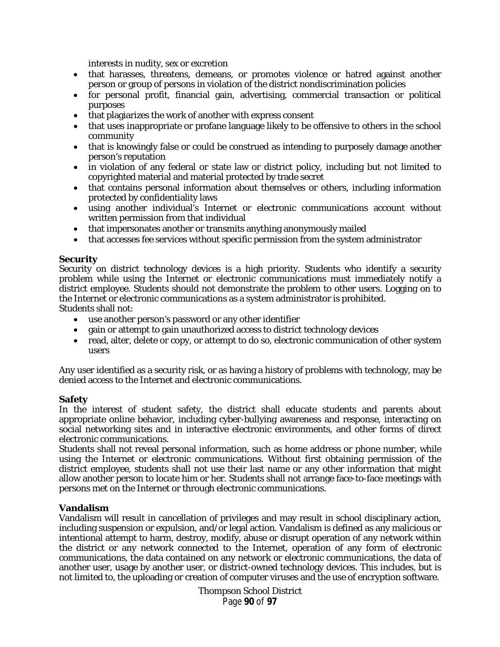interests in nudity, sex or excretion

- that harasses, threatens, demeans, or promotes violence or hatred against another person or group of persons in violation of the district nondiscrimination policies
- for personal profit, financial gain, advertising, commercial transaction or political purposes
- that plagiarizes the work of another with express consent
- that uses inappropriate or profane language likely to be offensive to others in the school community
- that is knowingly false or could be construed as intending to purposely damage another person's reputation
- in violation of any federal or state law or district policy, including but not limited to copyrighted material and material protected by trade secret
- that contains personal information about themselves or others, including information protected by confidentiality laws
- using another individual's Internet or electronic communications account without written permission from that individual
- that impersonates another or transmits anything anonymously mailed
- that accesses fee services without specific permission from the system administrator

#### **Security**

Security on district technology devices is a high priority. Students who identify a security problem while using the Internet or electronic communications must immediately notify a district employee. Students should not demonstrate the problem to other users. Logging on to the Internet or electronic communications as a system administrator is prohibited. Students shall not:

- use another person's password or any other identifier
- gain or attempt to gain unauthorized access to district technology devices
- read, alter, delete or copy, or attempt to do so, electronic communication of other system users

Any user identified as a security risk, or as having a history of problems with technology, may be denied access to the Internet and electronic communications.

#### **Safety**

In the interest of student safety, the district shall educate students and parents about appropriate online behavior, including cyber-bullying awareness and response, interacting on social networking sites and in interactive electronic environments, and other forms of direct electronic communications.

Students shall not reveal personal information, such as home address or phone number, while using the Internet or electronic communications. Without first obtaining permission of the district employee, students shall not use their last name or any other information that might allow another person to locate him or her. Students shall not arrange face-to-face meetings with persons met on the Internet or through electronic communications.

#### **Vandalism**

Vandalism will result in cancellation of privileges and may result in school disciplinary action, including suspension or expulsion, and/or legal action. Vandalism is defined as any malicious or intentional attempt to harm, destroy, modify, abuse or disrupt operation of any network within the district or any network connected to the Internet, operation of any form of electronic communications, the data contained on any network or electronic communications, the data of another user, usage by another user, or district-owned technology devices. This includes, but is not limited to, the uploading or creation of computer viruses and the use of encryption software.

> Thompson School District Page **90** of **97**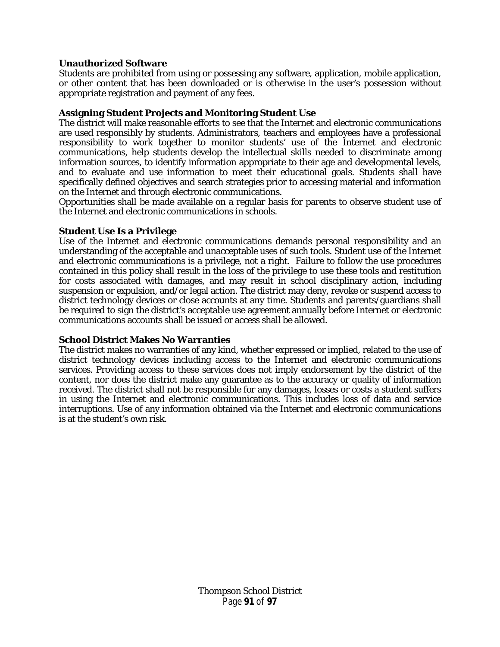#### **Unauthorized Software**

Students are prohibited from using or possessing any software, application, mobile application, or other content that has been downloaded or is otherwise in the user's possession without appropriate registration and payment of any fees.

#### **Assigning Student Projects and Monitoring Student Use**

The district will make reasonable efforts to see that the Internet and electronic communications are used responsibly by students. Administrators, teachers and employees have a professional responsibility to work together to monitor students' use of the Internet and electronic communications, help students develop the intellectual skills needed to discriminate among information sources, to identify information appropriate to their age and developmental levels, and to evaluate and use information to meet their educational goals. Students shall have specifically defined objectives and search strategies prior to accessing material and information on the Internet and through electronic communications.

Opportunities shall be made available on a regular basis for parents to observe student use of the Internet and electronic communications in schools.

#### **Student Use Is a Privilege**

Use of the Internet and electronic communications demands personal responsibility and an understanding of the acceptable and unacceptable uses of such tools. Student use of the Internet and electronic communications is a privilege, not a right. Failure to follow the use procedures contained in this policy shall result in the loss of the privilege to use these tools and restitution for costs associated with damages, and may result in school disciplinary action, including suspension or expulsion, and/or legal action. The district may deny, revoke or suspend access to district technology devices or close accounts at any time. Students and parents/guardians shall be required to sign the district's acceptable use agreement annually before Internet or electronic communications accounts shall be issued or access shall be allowed.

#### **School District Makes No Warranties**

The district makes no warranties of any kind, whether expressed or implied, related to the use of district technology devices including access to the Internet and electronic communications services. Providing access to these services does not imply endorsement by the district of the content, nor does the district make any guarantee as to the accuracy or quality of information received. The district shall not be responsible for any damages, losses or costs a student suffers in using the Internet and electronic communications. This includes loss of data and service interruptions. Use of any information obtained via the Internet and electronic communications is at the student's own risk.

> Thompson School District Page **91** of **97**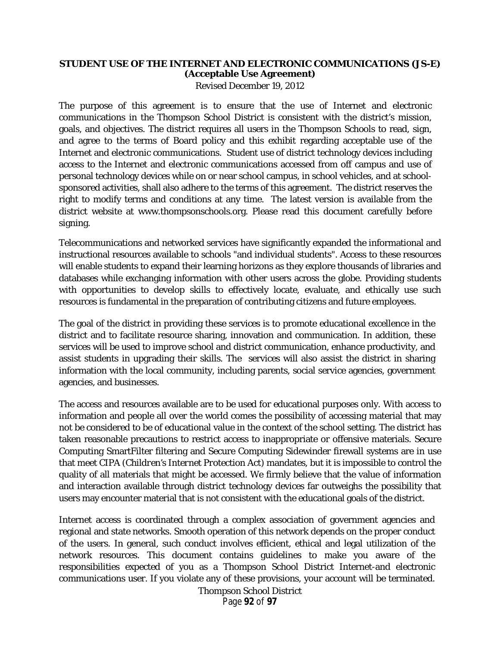# **STUDENT USE OF THE INTERNET AND ELECTRONIC COMMUNICATIONS (JS-E) (Acceptable Use Agreement)**

Revised December 19, 2012

The purpose of this agreement is to ensure that the use of Internet and electronic communications in the Thompson School District is consistent with the district's mission, goals, and objectives. The district requires all users in the Thompson Schools to read, sign, and agree to the terms of Board policy and this exhibit regarding acceptable use of the Internet and electronic communications. Student use of district technology devices including access to the Internet and electronic communications accessed from off campus and use of personal technology devices while on or near school campus, in school vehicles, and at schoolsponsored activities, shall also adhere to the terms of this agreement. The district reserves the right to modify terms and conditions at any time. The latest version is available from the district website at www.thompsonschools.org. Please read this document carefully before signing.

Telecommunications and networked services have significantly expanded the informational and instructional resources available to schools "and individual students". Access to these resources will enable students to expand their learning horizons as they explore thousands of libraries and databases while exchanging information with other users across the globe. Providing students with opportunities to develop skills to effectively locate, evaluate, and ethically use such resources is fundamental in the preparation of contributing citizens and future employees.

The goal of the district in providing these services is to promote educational excellence in the district and to facilitate resource sharing, innovation and communication. In addition, these services will be used to improve school and district communication, enhance productivity, and assist students in upgrading their skills. The services will also assist the district in sharing information with the local community, including parents, social service agencies, government agencies, and businesses.

The access and resources available are to be used for educational purposes only. With access to information and people all over the world comes the possibility of accessing material that may not be considered to be of educational value in the context of the school setting. The district has taken reasonable precautions to restrict access to inappropriate or offensive materials. Secure Computing SmartFilter filtering and Secure Computing Sidewinder firewall systems are in use that meet CIPA (*Children's Internet Protection Act*) mandates, but it is impossible to control the quality of all materials that might be accessed. We firmly believe that the value of information and interaction available through district technology devices far outweighs the possibility that users may encounter material that is not consistent with the educational goals of the district.

Internet access is coordinated through a complex association of government agencies and regional and state networks. Smooth operation of this network depends on the proper conduct of the users. In general, such conduct involves efficient, ethical and legal utilization of the network resources. This document contains guidelines to make you aware of the responsibilities expected of you as a Thompson School District Internet-and electronic communications user. If you violate any of these provisions, your account will be terminated.

> Thompson School District Page **92** of **97**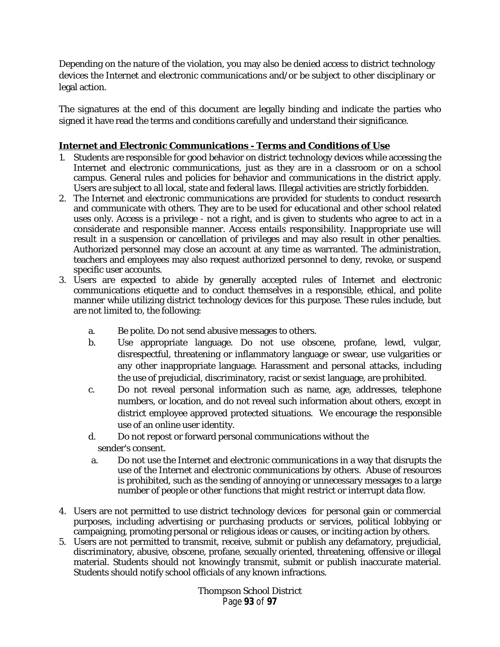Depending on the nature of the violation, you may also be denied access to district technology devices the Internet and electronic communications and/or be subject to other disciplinary or legal action.

The signatures at the end of this document are legally binding and indicate the parties who signed it have read the terms and conditions carefully and understand their significance.

# **Internet and Electronic Communications - Terms and Conditions of Use**

- 1. Students are responsible for good behavior on district technology devices while accessing the Internet and electronic communications, just as they are in a classroom or on a school campus. General rules and policies for behavior and communications in the district apply. Users are subject to all local, state and federal laws. Illegal activities are strictly forbidden.
- 2. The Internet and electronic communications are provided for students to conduct research and communicate with others. They are to be used for educational and other school related uses only. Access is a privilege - not a right, and is given to students who agree to act in a considerate and responsible manner. Access entails responsibility. Inappropriate use will result in a suspension or cancellation of privileges and may also result in other penalties. Authorized personnel may close an account at any time as warranted. The administration, teachers and employees may also request authorized personnel to deny, revoke, or suspend specific user accounts.
- 3. Users are expected to abide by generally accepted rules of Internet and electronic communications etiquette and to conduct themselves in a responsible, ethical, and polite manner while utilizing district technology devices for this purpose. These rules include, but are not limited to, the following:
	- a. Be polite. Do not send abusive messages to others.
	- b. Use appropriate language. Do not use obscene, profane, lewd, vulgar, disrespectful, threatening or inflammatory language or swear, use vulgarities or any other inappropriate language. Harassment and personal attacks, including the use of prejudicial, discriminatory, racist or sexist language, are prohibited.
	- c. Do not reveal personal information such as name, age, addresses, telephone numbers, or location, and do not reveal such information about others, except in district employee approved protected situations. We encourage the responsible use of an online user identity.
	- d. Do not repost or forward personal communications without the sender's consent.
	- a. Do not use the Internet and electronic communications in a way that disrupts the use of the Internet and electronic communications by others. Abuse of resources is prohibited, such as the sending of annoying or unnecessary messages to a large number of people or other functions that might restrict or interrupt data flow.
- 4. Users are not permitted to use district technology devices for personal gain or commercial purposes, including advertising or purchasing products or services, political lobbying or campaigning, promoting personal or religious ideas or causes, or inciting action by others.
- 5. Users are not permitted to transmit, receive, submit or publish any defamatory, prejudicial, discriminatory, abusive, obscene, profane, sexually oriented, threatening, offensive or illegal material. Students should not knowingly transmit, submit or publish inaccurate material. Students should notify school officials of any known infractions.

Thompson School District Page **93** of **97**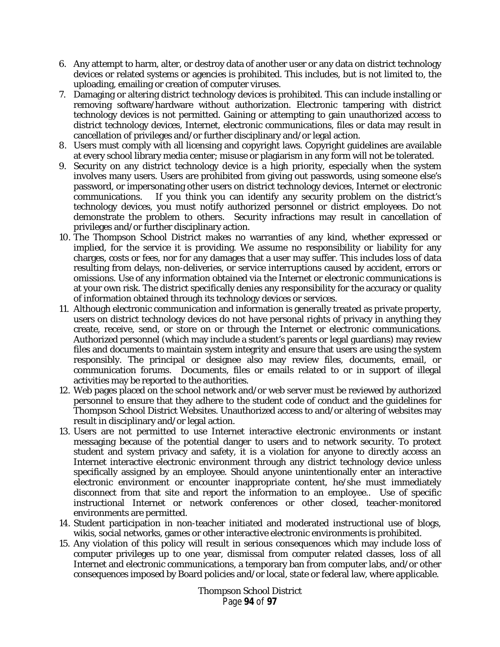- 6. Any attempt to harm, alter, or destroy data of another user or any data on district technology devices or related systems or agencies is prohibited. This includes, but is not limited to, the uploading, emailing or creation of computer viruses.
- 7. Damaging or altering district technology devices is prohibited. This can include installing or removing software/hardware without authorization. Electronic tampering with district technology devices is not permitted. Gaining or attempting to gain unauthorized access to district technology devices, Internet, electronic communications, files or data may result in cancellation of privileges and/or further disciplinary and/or legal action.
- 8. Users must comply with all licensing and copyright laws. Copyright guidelines are available at every school library media center; misuse or plagiarism in any form will not be tolerated.
- 9. Security on any district technology device is a high priority, especially when the system involves many users. Users are prohibited from giving out passwords, using someone else's password, or impersonating other users on district technology devices, Internet or electronic communications. If you think you can identify any security problem on the district's technology devices, you must notify authorized personnel or district employees. Do not demonstrate the problem to others. Security infractions may result in cancellation of privileges and/or further disciplinary action.
- 10. The Thompson School District makes no warranties of any kind, whether expressed or implied, for the service it is providing. We assume no responsibility or liability for any charges, costs or fees, nor for any damages that a user may suffer. This includes loss of data resulting from delays, non-deliveries, or service interruptions caused by accident, errors or omissions. Use of any information obtained via the Internet or electronic communications is at your own risk. The district specifically denies any responsibility for the accuracy or quality of information obtained through its technology devices or services.
- 11. Although electronic communication and information is generally treated as private property, users on district technology devices do not have personal rights of privacy in anything they create, receive, send, or store on or through the Internet or electronic communications. Authorized personnel (which may include a student's parents or legal guardians) may review files and documents to maintain system integrity and ensure that users are using the system responsibly. The principal or designee also may review files, documents, email, or communication forums. Documents, files or emails related to or in support of illegal activities may be reported to the authorities.
- 12. Web pages placed on the school network and/or web server must be reviewed by authorized personnel to ensure that they adhere to the student code of conduct and the guidelines for Thompson School District Websites. Unauthorized access to and/or altering of websites may result in disciplinary and/or legal action.
- 13. Users are not permitted to use Internet interactive electronic environments or instant messaging because of the potential danger to users and to network security. To protect student and system privacy and safety, it is a violation for anyone to directly access an Internet interactive electronic environment through any district technology device unless specifically assigned by an employee. Should anyone unintentionally enter an interactive electronic environment or encounter inappropriate content, he/she must immediately disconnect from that site and report the information to an employee.. Use of specific instructional Internet or network conferences or other closed, teacher-monitored environments are permitted.
- 14. Student participation in non-teacher initiated and moderated instructional use of blogs, wikis, social networks, games or other interactive electronic environments is prohibited.
- 15. Any violation of this policy will result in serious consequences which may include loss of computer privileges up to one year, dismissal from computer related classes, loss of all Internet and electronic communications, a temporary ban from computer labs, and/or other consequences imposed by Board policies and/or local, state or federal law, where applicable.

Thompson School District Page **94** of **97**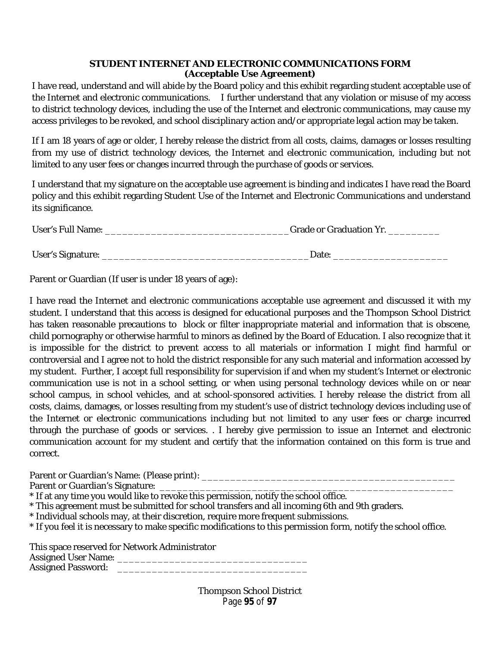## **STUDENT INTERNET AND ELECTRONIC COMMUNICATIONS FORM (Acceptable Use Agreement)**

I have read, understand and will abide by the Board policy and this exhibit regarding student acceptable use of the Internet and electronic communications. I further understand that any violation or misuse of my access to district technology devices, including the use of the Internet and electronic communications, may cause my access privileges to be revoked, and school disciplinary action and/or appropriate legal action may be taken.

If I am 18 years of age or older, I hereby release the district from all costs, claims, damages or losses resulting from my use of district technology devices, the Internet and electronic communication, including but not limited to any user fees or changes incurred through the purchase of goods or services.

I understand that my signature on the acceptable use agreement is binding and indicates I have read the Board policy and this exhibit regarding Student Use of the Internet and Electronic Communications and understand its significance.

| <b>User's Full Name:</b> | <b>Grade or Graduation Yr.</b> |
|--------------------------|--------------------------------|
|                          |                                |
| User's Signature:        | Date:                          |

Parent or Guardian (If user is under 18 years of age):

I have read the Internet and electronic communications acceptable use agreement and discussed it with my student. I understand that this access is designed for educational purposes and the Thompson School District has taken reasonable precautions to block or filter inappropriate material and information that is obscene, child pornography or otherwise harmful to minors as defined by the Board of Education. I also recognize that it is impossible for the district to prevent access to all materials or information I might find harmful or controversial and I agree not to hold the district responsible for any such material and information accessed by my student. Further, I accept full responsibility for supervision if and when my student's Internet or electronic communication use is not in a school setting, or when using personal technology devices while on or near school campus, in school vehicles, and at school-sponsored activities. I hereby release the district from all costs, claims, damages, or losses resulting from my student's use of district technology devices including use of the Internet or electronic communications including but not limited to any user fees or charge incurred through the purchase of goods or services. . I hereby give permission to issue an Internet and electronic communication account for my student and certify that the information contained on this form is true and correct.

Parent or Guardian's Name: (Please print): \_\_\_\_\_\_\_\_\_\_\_\_\_\_\_\_\_\_\_\_\_\_\_\_\_\_\_\_\_\_\_\_\_\_\_\_\_\_\_\_\_\_\_\_

Parent or Guardian's Signature:

- \* If at any time you would like to revoke this permission, notify the school office.
- \* This agreement must be submitted for school transfers and all incoming 6th and 9th graders.
- \* Individual schools may, at their discretion, require more frequent submissions.
- \* If you feel it is necessary to make specific modifications to this permission form, notify the school office.

This space reserved for Network Administrator Assigned User Name: \_\_\_\_\_\_\_\_\_\_\_\_\_\_\_\_\_\_\_\_\_\_\_\_\_\_\_\_\_\_\_\_\_ Assigned Password:

> Thompson School District Page **95** of **97**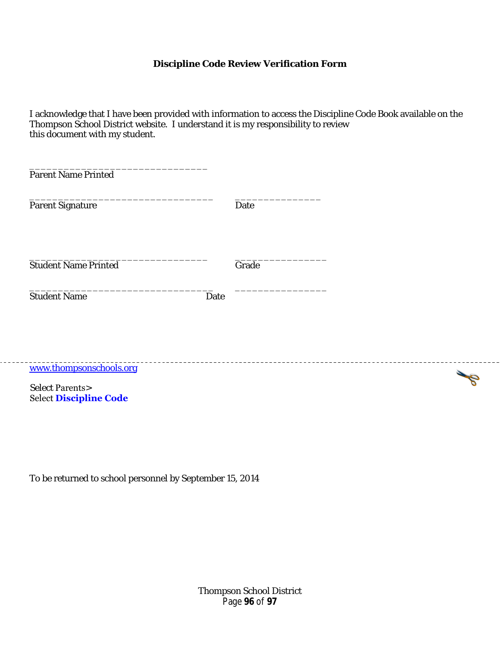## **Discipline Code Review Verification Form**

I acknowledge that I have been provided with information to access the Discipline Code Book available on the Thompson School District website. I understand it is my responsibility to review this document with my student.

| <b>Parent Name Printed</b>                                 |      |       |  |  |
|------------------------------------------------------------|------|-------|--|--|
| <b>Parent Signature</b>                                    |      | Date  |  |  |
| <b>Student Name Printed</b>                                |      | Grade |  |  |
| <b>Student Name</b>                                        | Date |       |  |  |
|                                                            |      |       |  |  |
| www.thompsonschools.org                                    |      |       |  |  |
| <b>Select Parents&gt;</b><br><b>Select Discipline Code</b> |      |       |  |  |

To be returned to school personnel by September 15, 2014

Thompson School District Page **96** of **97**